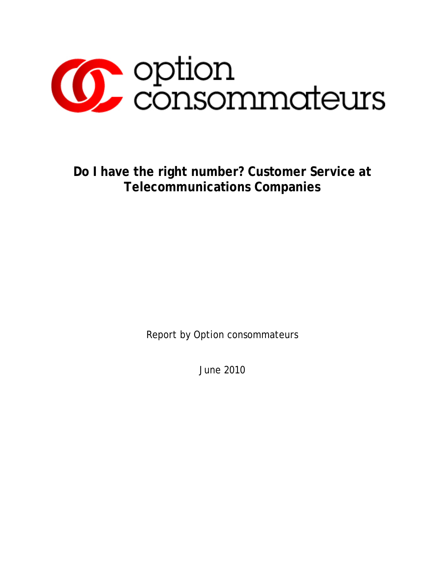

**Do I have the right number? Customer Service at Telecommunications Companies** 

Report by Option consommateurs

June 2010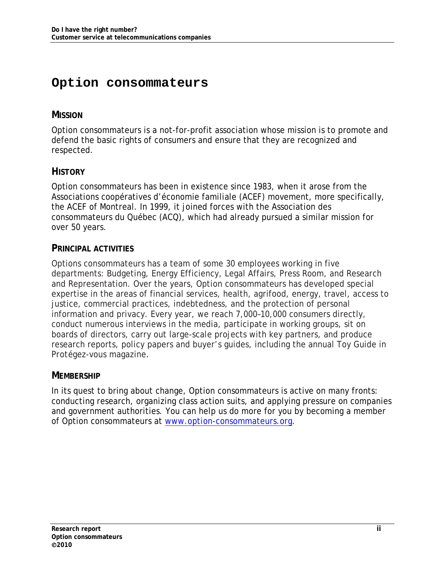# **Option consommateurs**

### **MISSION**

Option consommateurs is a not-for-profit association whose mission is to promote and defend the basic rights of consumers and ensure that they are recognized and respected.

## **HISTORY**

Option consommateurs has been in existence since 1983, when it arose from the Associations coopératives d'économie familiale (ACEF) movement, more specifically, the ACEF of Montreal. In 1999, it joined forces with the Association des consommateurs du Québec (ACQ), which had already pursued a similar mission for over 50 years.

#### **PRINCIPAL ACTIVITIES**

Options consommateurs has a team of some 30 employees working in five departments: Budgeting, Energy Efficiency, Legal Affairs, Press Room, and Research and Representation. Over the years, Option consommateurs has developed special expertise in the areas of financial services, health, agrifood, energy, travel, access to justice, commercial practices, indebtedness, and the protection of personal information and privacy. Every year, we reach 7,000–10,000 consumers directly, conduct numerous interviews in the media, participate in working groups, sit on boards of directors, carry out large-scale projects with key partners, and produce research reports, policy papers and buyer's guides, including the annual Toy Guide in *Protégez-vous* magazine.

### **MEMBERSHIP**

In its quest to bring about change, Option consommateurs is active on many fronts: conducting research, organizing class action suits, and applying pressure on companies and government authorities. You can help us do more for you by becoming a member of Option consommateurs at www.option-consommateurs.org.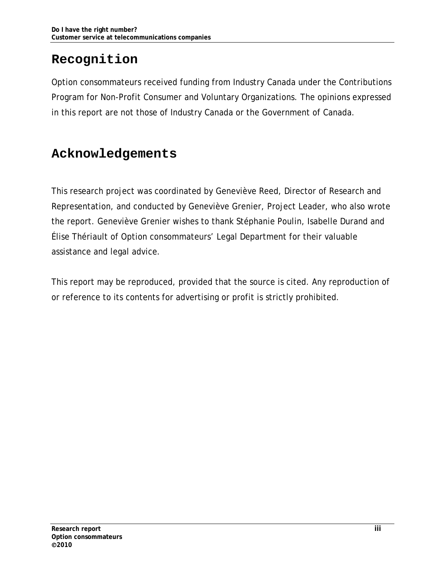# **Recognition**

Option consommateurs received funding from Industry Canada under the Contributions Program for Non-Profit Consumer and Voluntary Organizations. The opinions expressed in this report are not those of Industry Canada or the Government of Canada.

# **Acknowledgements**

This research project was coordinated by Geneviève Reed, Director of Research and Representation, and conducted by Geneviève Grenier, Project Leader, who also wrote the report. Geneviève Grenier wishes to thank Stéphanie Poulin, Isabelle Durand and Élise Thériault of Option consommateurs' Legal Department for their valuable assistance and legal advice.

This report may be reproduced, provided that the source is cited. Any reproduction of or reference to its contents for advertising or profit is strictly prohibited.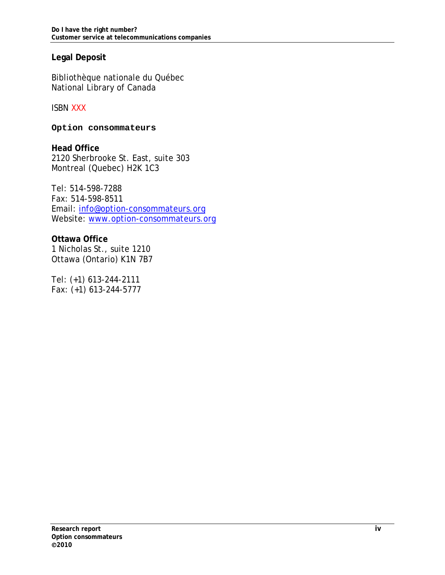#### **Legal Deposit**

Bibliothèque nationale du Québec National Library of Canada

ISBN XXX

**Option consommateurs** 

**Head Office**  2120 Sherbrooke St. East, suite 303 Montreal (Quebec) H2K 1C3

Tel: 514-598-7288 Fax: 514-598-8511 Email: info@option-consommateurs.org Website: www.option-consommateurs.org

**Ottawa Office** 1 Nicholas St., suite 1210 Ottawa (Ontario) K1N 7B7

Tel: (+1) 613-244-2111 Fax: (+1) 613-244-5777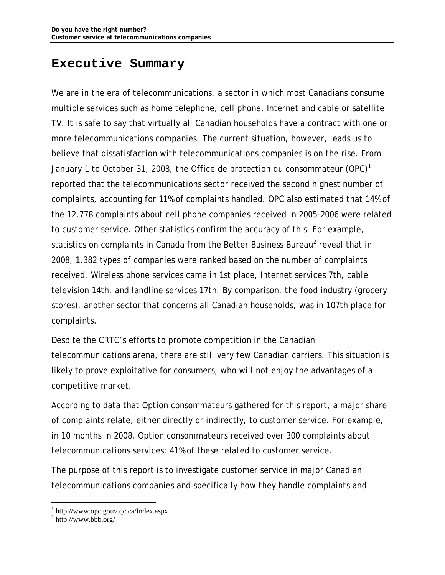## **Executive Summary**

We are in the era of telecommunications, a sector in which most Canadians consume multiple services such as home telephone, cell phone, Internet and cable or satellite TV. It is safe to say that virtually all Canadian households have a contract with one or more telecommunications companies. The current situation, however, leads us to believe that dissatisfaction with telecommunications companies is on the rise. From January 1 to October 31, 2008, the Office de protection du consommateur (OPC)<sup>1</sup> reported that the telecommunications sector received the second highest number of complaints, accounting for 11% of complaints handled. OPC also estimated that 14% of the 12,778 complaints about cell phone companies received in 2005-2006 were related to customer service. Other statistics confirm the accuracy of this. For example, statistics on complaints in Canada from the Better Business Bureau<sup>2</sup> reveal that in 2008, 1,382 types of companies were ranked based on the number of complaints received. Wireless phone services came in 1st place, Internet services 7th, cable television 14th, and landline services 17th. By comparison, the food industry (grocery stores), another sector that concerns all Canadian households, was in 107th place for complaints.

Despite the CRTC's efforts to promote competition in the Canadian telecommunications arena, there are still very few Canadian carriers. This situation is likely to prove exploitative for consumers, who will not enjoy the advantages of a competitive market.

According to data that Option consommateurs gathered for this report, a major share of complaints relate, either directly or indirectly, to customer service. For example, in 10 months in 2008, Option consommateurs received over 300 complaints about telecommunications services; 41% of these related to customer service.

The purpose of this report is to investigate customer service in major Canadian telecommunications companies and specifically how they handle complaints and

<sup>1</sup> http://www.opc.gouv.qc.ca/Index.aspx

<sup>2</sup> http://www.bbb.org/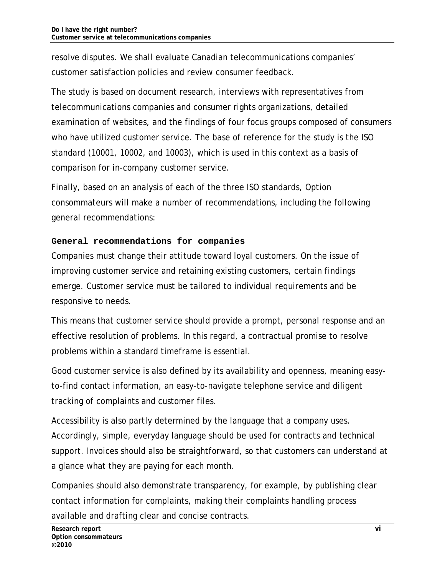resolve disputes. We shall evaluate Canadian telecommunications companies' customer satisfaction policies and review consumer feedback.

The study is based on document research, interviews with representatives from telecommunications companies and consumer rights organizations, detailed examination of websites, and the findings of four focus groups composed of consumers who have utilized customer service. The base of reference for the study is the ISO standard (10001, 10002, and 10003), which is used in this context as a basis of comparison for in-company customer service.

Finally, based on an analysis of each of the three ISO standards, Option consommateurs will make a number of recommendations, including the following general recommendations:

#### **General recommendations for companies**

Companies must change their attitude toward loyal customers. On the issue of improving customer service and retaining existing customers, certain findings emerge. Customer service must be tailored to individual requirements and be responsive to needs.

This means that customer service should provide a prompt, personal response and an effective resolution of problems. In this regard, a contractual promise to resolve problems within a standard timeframe is essential.

Good customer service is also defined by its availability and openness, meaning easyto-find contact information, an easy-to-navigate telephone service and diligent tracking of complaints and customer files.

Accessibility is also partly determined by the language that a company uses. Accordingly, simple, everyday language should be used for contracts and technical support. Invoices should also be straightforward, so that customers can understand at a glance what they are paying for each month.

Companies should also demonstrate transparency, for example, by publishing clear contact information for complaints, making their complaints handling process available and drafting clear and concise contracts.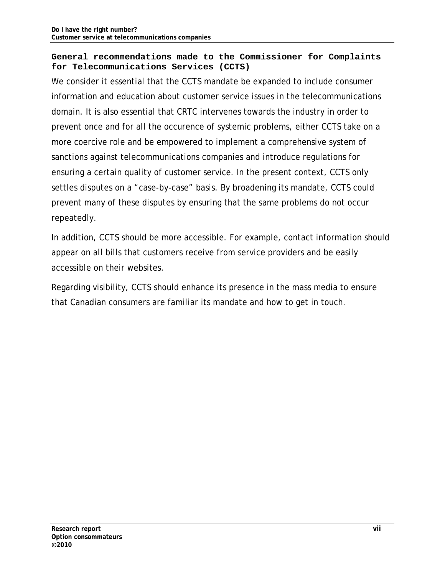#### **General recommendations made to the Commissioner for Complaints for Telecommunications Services (CCTS)**

We consider it essential that the CCTS mandate be expanded to include consumer information and education about customer service issues in the telecommunications domain. It is also essential that CRTC intervenes towards the industry in order to prevent once and for all the occurence of systemic problems, either CCTS take on a more coercive role and be empowered to implement a comprehensive system of sanctions against telecommunications companies and introduce regulations for ensuring a certain quality of customer service. In the present context, CCTS only settles disputes on a "case-by-case" basis. By broadening its mandate, CCTS could prevent many of these disputes by ensuring that the same problems do not occur repeatedly.

In addition, CCTS should be more accessible. For example, contact information should appear on all bills that customers receive from service providers and be easily accessible on their websites.

Regarding visibility, CCTS should enhance its presence in the mass media to ensure that Canadian consumers are familiar its mandate and how to get in touch.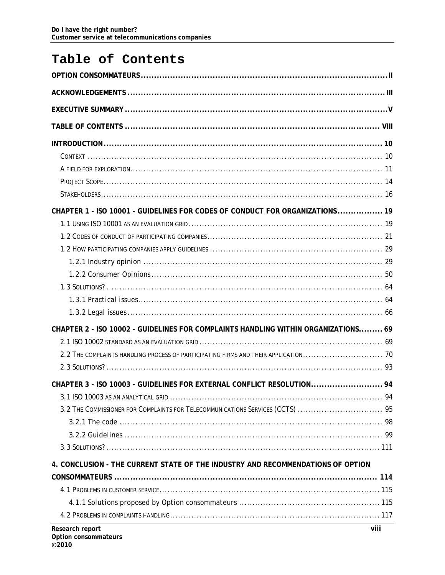# Table of Contents

| CHAPTER 1 - ISO 10001 - GUIDELINES FOR CODES OF CONDUCT FOR ORGANIZATIONS  19      |             |
|------------------------------------------------------------------------------------|-------------|
|                                                                                    |             |
|                                                                                    |             |
|                                                                                    |             |
|                                                                                    |             |
|                                                                                    |             |
|                                                                                    |             |
|                                                                                    |             |
|                                                                                    |             |
| CHAPTER 2 - ISO 10002 - GUIDELINES FOR COMPLAINTS HANDLING WITHIN ORGANIZATIONS 69 |             |
|                                                                                    |             |
|                                                                                    |             |
|                                                                                    |             |
| CHAPTER 3 - ISO 10003 - GUIDELINES FOR EXTERNAL CONFLICT RESOLUTION 94             |             |
|                                                                                    |             |
| 3.2 THE COMMISSIONER FOR COMPLAINTS FOR TELECOMMUNICATIONS SERVICES (CCTS)  95     |             |
|                                                                                    |             |
|                                                                                    |             |
|                                                                                    |             |
| 4. CONCLUSION - THE CURRENT STATE OF THE INDUSTRY AND RECOMMENDATIONS OF OPTION    |             |
|                                                                                    |             |
|                                                                                    |             |
|                                                                                    |             |
|                                                                                    |             |
| <b>Desearch report</b>                                                             | <b>viii</b> |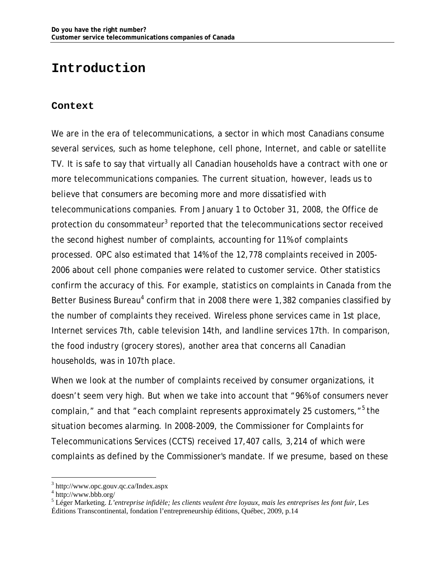## **Introduction**

#### **Context**

We are in the era of telecommunications, a sector in which most Canadians consume several services, such as home telephone, cell phone, Internet, and cable or satellite TV. It is safe to say that virtually all Canadian households have a contract with one or more telecommunications companies. The current situation, however, leads us to believe that consumers are becoming more and more dissatisfied with telecommunications companies. From January 1 to October 31, 2008, the Office de protection du consommateur<sup>3</sup> reported that the telecommunications sector received the second highest number of complaints, accounting for 11% of complaints processed. OPC also estimated that 14% of the 12,778 complaints received in 2005- 2006 about cell phone companies were related to customer service. Other statistics confirm the accuracy of this. For example, statistics on complaints in Canada from the Better Business Bureau<sup>4</sup> confirm that in 2008 there were 1,382 companies classified by the number of complaints they received. Wireless phone services came in 1st place, Internet services 7th, cable television 14th, and landline services 17th. In comparison, the food industry (grocery stores), another area that concerns all Canadian households, was in 107th place.

When we look at the number of complaints received by consumer organizations, it doesn't seem very high. But when we take into account that "96% of consumers never complain," and that "each complaint represents approximately 25 customers,"<sup>5</sup> the situation becomes alarming. In 2008-2009, the Commissioner for Complaints for Telecommunications Services (CCTS) received 17,407 calls, 3,214 of which were complaints as defined by the Commissioner's mandate. If we presume, based on these

<sup>3</sup> http://www.opc.gouv.qc.ca/Index.aspx

<sup>4</sup> http://www.bbb.org/

<sup>5</sup> Léger Marketing. *L'entreprise infidèle; les clients veulent être loyaux, mais les entreprises les font fuir*, Les Éditions Transcontinental, fondation l'entrepreneurship éditions, Québec, 2009, p.14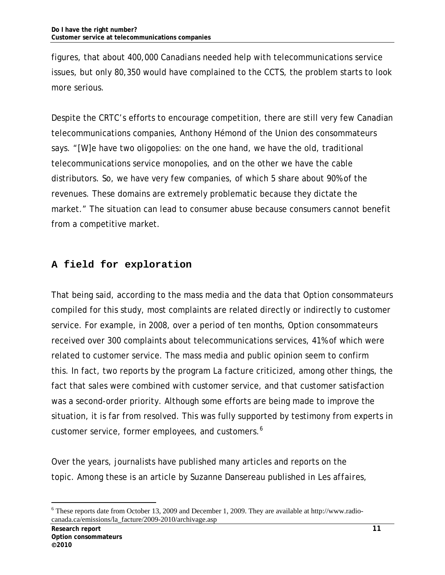figures, that about 400,000 Canadians needed help with telecommunications service issues, but only 80,350 would have complained to the CCTS, the problem starts to look more serious.

Despite the CRTC's efforts to encourage competition, there are still very few Canadian telecommunications companies, Anthony Hémond of the Union des consommateurs says. "[W]e have two oligopolies: on the one hand, we have the old, traditional telecommunications service monopolies, and on the other we have the cable distributors. So, we have very few companies, of which 5 share about 90% of the revenues. These domains are extremely problematic because they dictate the market." The situation can lead to consumer abuse because consumers cannot benefit from a competitive market.

## **A field for exploration**

That being said, according to the mass media and the data that Option consommateurs compiled for this study, most complaints are related directly or indirectly to customer service. For example, in 2008, over a period of ten months, Option consommateurs received over 300 complaints about telecommunications services, 41% of which were related to customer service. The mass media and public opinion seem to confirm this. In fact, two reports by the program *La facture* criticized, among other things, the fact that sales were combined with customer service, and that customer satisfaction was a second-order priority. Although some efforts are being made to improve the situation, it is far from resolved. This was fully supported by testimony from experts in customer service, former employees, and customers.<sup>6</sup>

Over the years, journalists have published many articles and reports on the topic. Among these is an article by Suzanne Dansereau published in *Les affaires,*

<sup>-</sup><sup>6</sup> These reports date from October 13, 2009 and December 1, 2009. They are available at http://www.radiocanada.ca/emissions/la\_facture/2009-2010/archivage.asp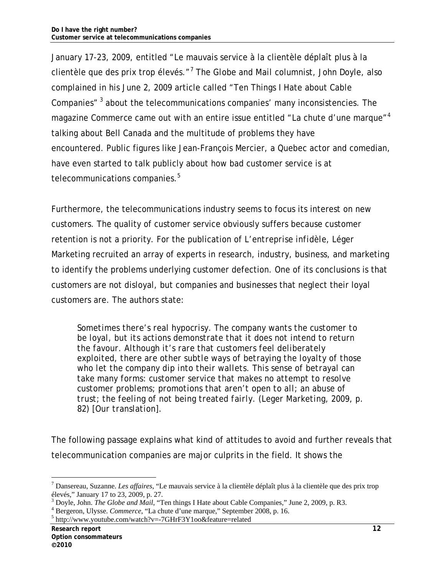January 17-23, 2009, entitled "Le mauvais service à la clientèle déplaît plus à la clientèle que des prix trop élevés."<sup>7</sup> The *Globe and Mail* columnist, John Doyle, also complained in his June 2, 2009 article called "Ten Things I Hate about Cable Companies" 3 about the telecommunications companies' many inconsistencies. The magazine *Commerce* came out with an entire issue entitled "La chute d'une marque"<sup>4</sup> talking about Bell Canada and the multitude of problems they have encountered. Public figures like Jean-François Mercier, a Quebec actor and comedian, have even started to talk publicly about how bad customer service is at telecommunications companies.<sup>5</sup>

Furthermore, the telecommunications industry seems to focus its interest on new customers. The quality of customer service obviously suffers because customer retention is not a priority. For the publication of *L'entreprise infidèle,* Léger Marketing recruited an array of experts in research, industry, business, and marketing to identify the problems underlying customer defection. One of its conclusions is that customers are not disloyal, but companies and businesses that neglect their loyal customers are. The authors state:

*Sometimes there's real hypocrisy. The company wants the customer to be loyal, but its actions demonstrate that it does not intend to return the favour. Although it's rare that customers feel deliberately exploited, there are other subtle ways of betraying the loyalty of those who let the company dip into their wallets. This sense of betrayal can take many forms: customer service that makes no attempt to resolve customer problems; promotions that aren't open to all; an abuse of trust; the feeling of not being treated fairly. (Leger Marketing, 2009, p. 82) [Our translation].*

The following passage explains what kind of attitudes to avoid and further reveals that telecommunication companies are major culprits in the field. It shows the

<sup>7</sup> Dansereau, Suzanne. *Les affaires*, "Le mauvais service à la clientèle déplaît plus à la clientèle que des prix trop élevés," January 17 to 23, 2009, p. 27.

<sup>&</sup>lt;sup>3</sup> Doyle, John. *The Globe and Mail*, "Ten things I Hate about Cable Companies," June 2, 2009, p. R3.

<sup>&</sup>lt;sup>4</sup> Bergeron, Ulysse. *Commerce*, "La chute d'une marque," September 2008, p. 16.

 $5$  http://www.youtube.com/watch?v=-7GHrF3Y1oo&feature=related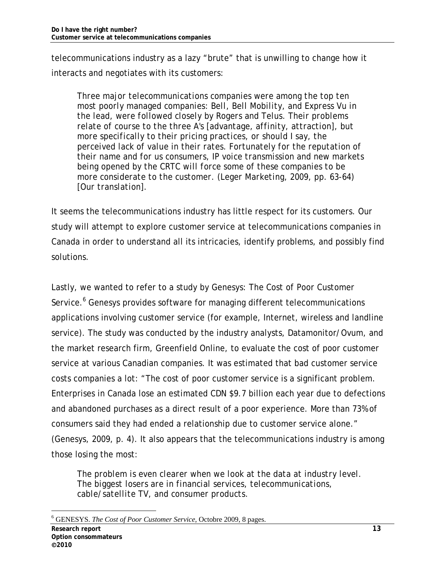telecommunications industry as a lazy "brute" that is unwilling to change how it interacts and negotiates with its customers:

*Three major telecommunications companies were among the top ten most poorly managed companies: Bell, Bell Mobility, and Express Vu in the lead, were followed closely by Rogers and Telus. Their problems relate of course to the three A's [advantage, affinity, attraction], but more specifically to their pricing practices, or should I say, the perceived lack of value in their rates. Fortunately for the reputation of their name and for us consumers, IP voice transmission and new markets being opened by the CRTC will force some of these companies to be more considerate to the customer. (Leger Marketing, 2009, pp. 63-64) [Our translation].*

It seems the telecommunications industry has little respect for its customers. Our study will attempt to explore customer service at telecommunications companies in Canada in order to understand all its intricacies, identify problems, and possibly find solutions.

Lastly, we wanted to refer to a study by Genesys: *The Cost of Poor Customer*  Service.<sup>6</sup> Genesys provides software for managing different telecommunications applications involving customer service (for example, Internet, wireless and landline service). The study was conducted by the industry analysts, Datamonitor/Ovum, and the market research firm, Greenfield Online, to evaluate the cost of poor customer service at various Canadian companies. It was estimated that bad customer service costs companies a lot: "The cost of poor customer service is a significant problem. Enterprises in Canada lose an estimated CDN \$9.7 billion each year due to defections and abandoned purchases as a direct result of a poor experience. More than 73% of consumers said they had ended a relationship due to customer service alone." (Genesys, 2009, p. 4). It also appears that the telecommunications industry is among those losing the most:

*The problem is even clearer when we look at the data at industry level. The biggest losers are in financial services, telecommunications, cable/satellite TV, and consumer products.* 

<sup>-</sup>6 GENESYS. *The Cost of Poor Customer Service*, Octobre 2009, 8 pages.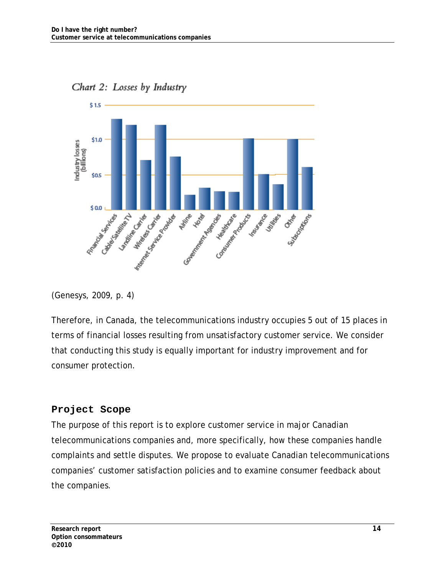



(Genesys, 2009, p. 4)

Therefore, in Canada, the telecommunications industry occupies 5 out of 15 places in terms of financial losses resulting from unsatisfactory customer service. We consider that conducting this study is equally important for industry improvement and for consumer protection.

### **Project Scope**

The purpose of this report is to explore customer service in major Canadian telecommunications companies and, more specifically, how these companies handle complaints and settle disputes. We propose to evaluate Canadian telecommunications companies' customer satisfaction policies and to examine consumer feedback about the companies.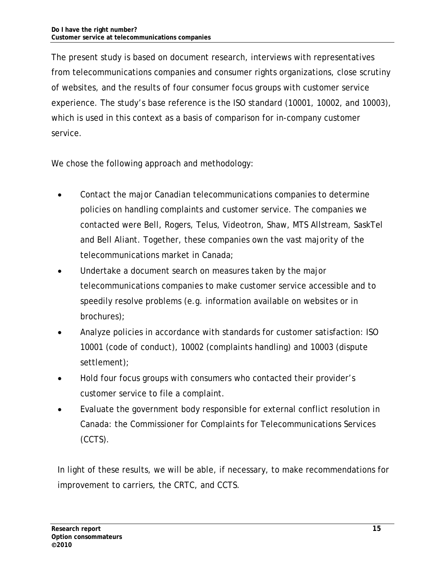The present study is based on document research, interviews with representatives from telecommunications companies and consumer rights organizations, close scrutiny of websites, and the results of four consumer focus groups with customer service experience. The study's base reference is the ISO standard (10001, 10002, and 10003), which is used in this context as a basis of comparison for in-company customer service.

We chose the following approach and methodology:

- Contact the major Canadian telecommunications companies to determine policies on handling complaints and customer service. The companies we contacted were Bell, Rogers, Telus, Videotron, Shaw, MTS Allstream, SaskTel and Bell Aliant. Together, these companies own the vast majority of the telecommunications market in Canada;
- Undertake a document search on measures taken by the major telecommunications companies to make customer service accessible and to speedily resolve problems (e.g. information available on websites or in brochures);
- Analyze policies in accordance with standards for customer satisfaction: ISO 10001 (code of conduct), 10002 (complaints handling) and 10003 (dispute settlement);
- Hold four focus groups with consumers who contacted their provider's customer service to file a complaint.
- Evaluate the government body responsible for external conflict resolution in Canada: the Commissioner for Complaints for Telecommunications Services (CCTS).

In light of these results, we will be able, if necessary, to make recommendations for improvement to carriers, the CRTC, and CCTS.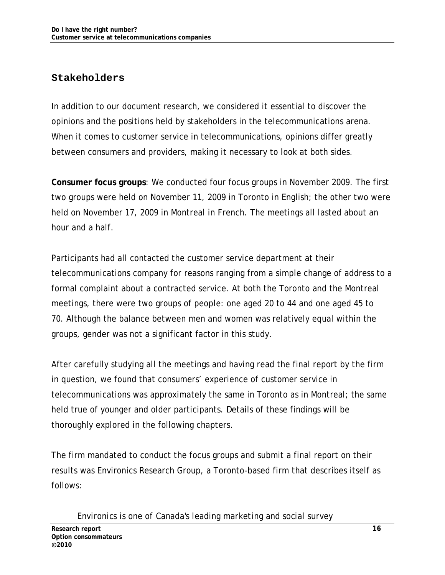### **Stakeholders**

In addition to our document research, we considered it essential to discover the opinions and the positions held by stakeholders in the telecommunications arena. When it comes to customer service in telecommunications, opinions differ greatly between consumers and providers, making it necessary to look at both sides.

**Consumer focus groups**: We conducted four focus groups in November 2009. The first two groups were held on November 11, 2009 in Toronto in English; the other two were held on November 17, 2009 in Montreal in French. The meetings all lasted about an hour and a half.

Participants had all contacted the customer service department at their telecommunications company for reasons ranging from a simple change of address to a formal complaint about a contracted service. At both the Toronto and the Montreal meetings, there were two groups of people: one aged 20 to 44 and one aged 45 to 70. Although the balance between men and women was relatively equal within the groups, gender was not a significant factor in this study.

After carefully studying all the meetings and having read the final report by the firm in question, we found that consumers' experience of customer service in telecommunications was approximately the same in Toronto as in Montreal; the same held true of younger and older participants. Details of these findings will be thoroughly explored in the following chapters.

The firm mandated to conduct the focus groups and submit a final report on their results was Environics Research Group, a Toronto-based firm that describes itself as follows:

*Environics is one of Canada's leading marketing and social survey*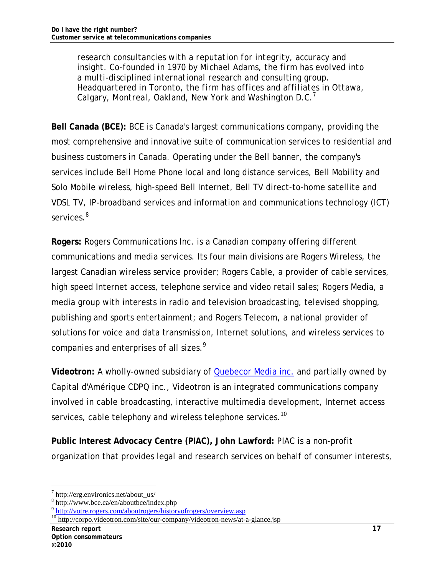*research consultancies with a reputation for integrity, accuracy and insight. Co-founded in 1970 by Michael Adams, the firm has evolved into a multi-disciplined international research and consulting group. Headquartered in Toronto, the firm has offices and affiliates in Ottawa, Calgary, Montreal, Oakland, New York and Washington D.C.<sup>7</sup>*

**Bell Canada (BCE):** BCE is Canada's largest communications company, providing the most comprehensive and innovative suite of communication services to residential and business customers in Canada. Operating under the Bell banner, the company's services include Bell Home Phone local and long distance services, Bell Mobility and Solo Mobile wireless, high-speed Bell Internet, Bell TV direct-to-home satellite and VDSL TV, IP-broadband services and information and communications technology (ICT) services.<sup>8</sup>

**Rogers:** Rogers Communications Inc. is a Canadian company offering different communications and media services. Its four main divisions are Rogers Wireless, the largest Canadian wireless service provider; Rogers Cable, a provider of cable services, high speed Internet access, telephone service and video retail sales; Rogers Media, a media group with interests in radio and television broadcasting, televised shopping, publishing and sports entertainment; and Rogers Telecom, a national provider of solutions for voice and data transmission, Internet solutions, and wireless services to companies and enterprises of all sizes.<sup>9</sup>

**Videotron:** A wholly-owned subsidiary of Quebecor Media inc. and partially owned by Capital d'Amérique CDPQ inc., Videotron is an integrated communications company involved in cable broadcasting, interactive multimedia development, Internet access services, cable telephony and wireless telephone services.<sup>10</sup>

**Public Interest Advocacy Centre (PIAC), John Lawford:** PIAC is a non-profit organization that provides legal and research services on behalf of consumer interests,

<sup>-</sup>7 http://erg.environics.net/about\_us/

<sup>8</sup> http://www.bce.ca/en/aboutbce/index.php

<sup>&</sup>lt;sup>9</sup> http://votre.rogers.com/aboutrogers/historyofrogers/overview.asp<br><sup>10</sup> http://corpo.videotron.com/site/our-company/videotron-news/at-a-glance.jsp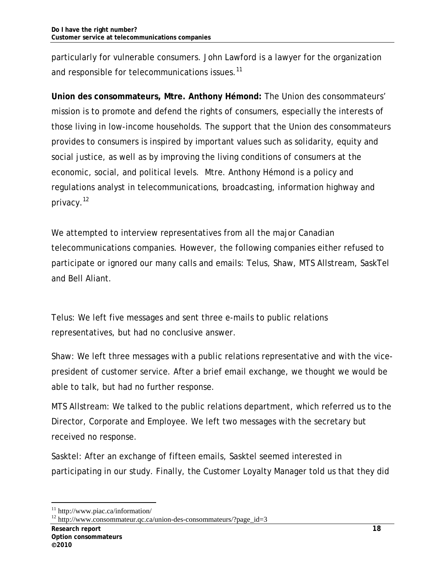particularly for vulnerable consumers. John Lawford is a lawyer for the organization and responsible for telecommunications issues.<sup>11</sup>

**Union des consommateurs, Mtre. Anthony Hémond:** The Union des consommateurs' mission is to promote and defend the rights of consumers, especially the interests of those living in low-income households. The support that the Union des consommateurs provides to consumers is inspired by important values such as solidarity, equity and social justice, as well as by improving the living conditions of consumers at the economic, social, and political levels. Mtre. Anthony Hémond is a policy and regulations analyst in telecommunications, broadcasting, information highway and privacy.<sup>12</sup>

We attempted to interview representatives from all the major Canadian telecommunications companies. However, the following companies either refused to participate or ignored our many calls and emails: Telus, Shaw, MTS Allstream, SaskTel and Bell Aliant.

Telus: We left five messages and sent three e-mails to public relations representatives, but had no conclusive answer.

Shaw: We left three messages with a public relations representative and with the vicepresident of customer service. After a brief email exchange, we thought we would be able to talk, but had no further response.

MTS Allstream: We talked to the public relations department, which referred us to the Director, Corporate and Employee. We left two messages with the secretary but received no response.

Sasktel: After an exchange of fifteen emails, Sasktel seemed interested in participating in our study. Finally, the Customer Loyalty Manager told us that they did

<sup>11</sup> http://www.piac.ca/information/

<sup>&</sup>lt;sup>12</sup> http://www.consommateur.qc.ca/union-des-consommateurs/?page\_id=3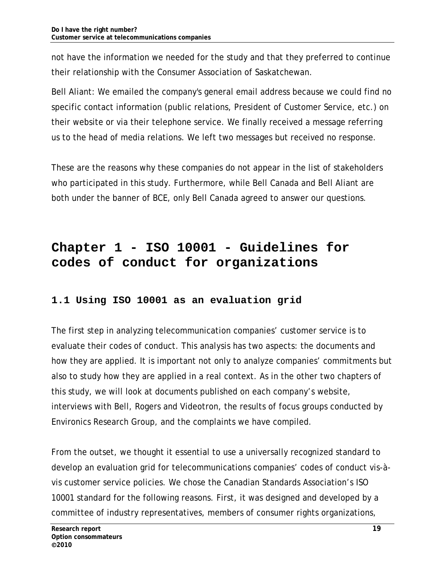not have the information we needed for the study and that they preferred to continue their relationship with the Consumer Association of Saskatchewan.

Bell Aliant: We emailed the company's general email address because we could find no specific contact information (public relations, President of Customer Service, etc.) on their website or via their telephone service. We finally received a message referring us to the head of media relations. We left two messages but received no response.

These are the reasons why these companies do not appear in the list of stakeholders who participated in this study. Furthermore, while Bell Canada and Bell Aliant are both under the banner of BCE, only Bell Canada agreed to answer our questions.

# **Chapter 1 - ISO 10001 - Guidelines for codes of conduct for organizations**

## **1.1 Using ISO 10001 as an evaluation grid**

The first step in analyzing telecommunication companies' customer service is to evaluate their codes of conduct. This analysis has two aspects: the documents and how they are applied. It is important not only to analyze companies' commitments but also to study how they are applied in a real context. As in the other two chapters of this study, we will look at documents published on each company's website, interviews with Bell, Rogers and Videotron, the results of focus groups conducted by Environics Research Group, and the complaints we have compiled.

From the outset, we thought it essential to use a universally recognized standard to develop an evaluation grid for telecommunications companies' codes of conduct vis-àvis customer service policies. We chose the Canadian Standards Association's ISO 10001 standard for the following reasons. First, it was designed and developed by a committee of industry representatives, members of consumer rights organizations,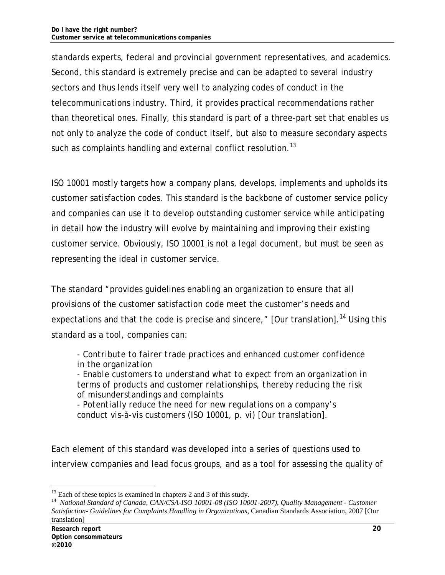standards experts, federal and provincial government representatives, and academics. Second, this standard is extremely precise and can be adapted to several industry sectors and thus lends itself very well to analyzing codes of conduct in the telecommunications industry. Third, it provides practical recommendations rather than theoretical ones. Finally, this standard is part of a three-part set that enables us not only to analyze the code of conduct itself, but also to measure secondary aspects such as complaints handling and external conflict resolution.<sup>13</sup>

ISO 10001 mostly targets how a company plans, develops, implements and upholds its customer satisfaction codes. This standard is the backbone of customer service policy and companies can use it to develop outstanding customer service while anticipating in detail how the industry will evolve by maintaining and improving their existing customer service. Obviously, ISO 10001 is not a legal document, but must be seen as representing the ideal in customer service.

The standard "provides guidelines enabling an organization to ensure that all provisions of the customer satisfaction code meet the customer's needs and expectations and that the code is precise and sincere,"  $\lceil$  Our translation].<sup>14</sup> Using this standard as a tool, companies can:

*- Contribute to fairer trade practices and enhanced customer confidence in the organization* 

*- Enable customers to understand what to expect from an organization in terms of products and customer relationships, thereby reducing the risk of misunderstandings and complaints* 

*- Potentially reduce the need for new regulations on a company's conduct vis-à-vis customers (ISO 10001, p. vi) [Our translation].* 

Each element of this standard was developed into a series of questions used to interview companies and lead focus groups, and as a tool for assessing the quality of

 $13$  Each of these topics is examined in chapters 2 and 3 of this study.

<sup>14</sup> *National Standard of Canada, CAN/CSA-ISO 10001-08 (ISO 10001-2007), Quality Management - Customer Satisfaction- Guidelines for Complaints Handling in Organizations*, Canadian Standards Association, 2007 [Our translation]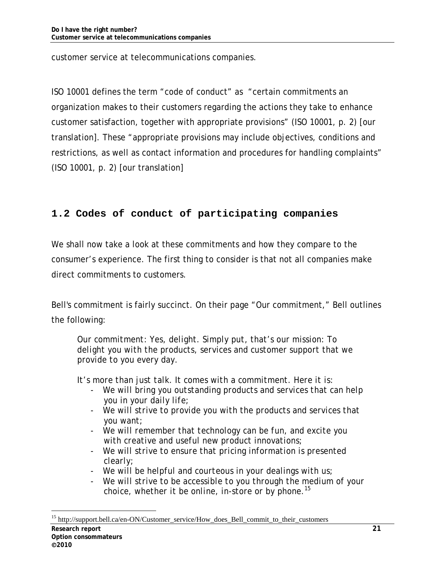customer service at telecommunications companies.

ISO 10001 defines the term "code of conduct" as "certain commitments an organization makes to their customers regarding the actions they take to enhance customer satisfaction, together with appropriate provisions" (ISO 10001, p. 2) [our translation]. These "appropriate provisions may include objectives, conditions and restrictions, as well as contact information and procedures for handling complaints" (ISO 10001, p. 2) [our translation]

## **1.2 Codes of conduct of participating companies**

We shall now take a look at these commitments and how they compare to the consumer's experience. The first thing to consider is that not all companies make direct commitments to customers.

Bell's commitment is fairly succinct. On their page "Our commitment," Bell outlines the following:

*Our commitment: Yes, delight. Simply put, that's our mission: To delight you with the products, services and customer support that we provide to you every day.* 

*It's more than just talk. It comes with a commitment. Here it is:* 

- We will bring you outstanding products and services that can help *you in your daily life;*
- *We will strive to provide you with the products and services that you want;*
- *We will remember that technology can be fun, and excite you with creative and useful new product innovations;*
- *We will strive to ensure that pricing information is presented clearly;*
- *We will be helpful and courteous in your dealings with us;*
- *We will strive to be accessible to you through the medium of your choice, whether it be online, in-store or by phone.15*

**Research report 21**  <sup>15</sup> http://support.bell.ca/en-ON/Customer\_service/How\_does\_Bell\_commit\_to\_their\_customers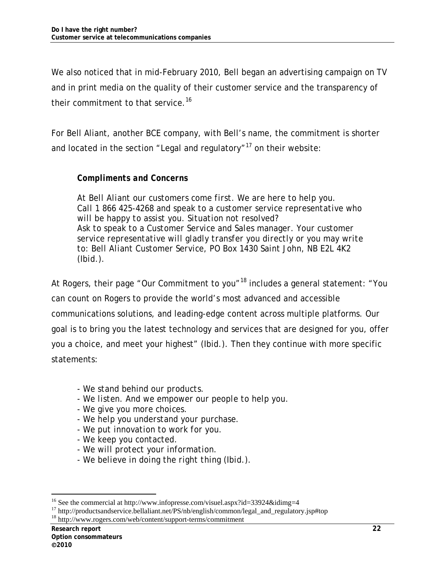We also noticed that in mid-February 2010, Bell began an advertising campaign on TV and in print media on the quality of their customer service and the transparency of their commitment to that service.<sup>16</sup>

For Bell Aliant, another BCE company, with Bell's name, the commitment is shorter and located in the section "Legal and regulatory"<sup>17</sup> on their website:

#### *Compliments and Concerns*

*At Bell Aliant our customers come first. We are here to help you. Call 1 866 425-4268 and speak to a customer service representative who will be happy to assist you. Situation not resolved? Ask to speak to a Customer Service and Sales manager. Your customer service representative will gladly transfer you directly or you may write to: Bell Aliant Customer Service, PO Box 1430 Saint John, NB E2L 4K2 (Ibid.).* 

At Rogers, their page "Our Commitment to you"<sup>18</sup> includes a general statement: "You can count on Rogers to provide the world's most advanced and accessible communications solutions, and leading-edge content across multiple platforms. Our goal is to bring you the latest technology and services that are designed for you, offer you a choice, and meet your highest" (Ibid.). Then they continue with more specific statements:

- *We stand behind our products.*
- *We listen. And we empower our people to help you.*
- *We give you more choices.*
- *We help you understand your purchase.*
- *We put innovation to work for you.*
- *We keep you contacted.*
- *We will protect your information.*
- *We believe in doing the right thing (Ibid.).*

<sup>&</sup>lt;sup>16</sup> See the commercial at http://www.infopresse.com/visuel.aspx?id=33924&idimg=4

<sup>&</sup>lt;sup>17</sup> http://productsandservice.bellaliant.net/PS/nb/english/common/legal\_and\_regulatory.jsp#top

<sup>18</sup> http://www.rogers.com/web/content/support-terms/commitment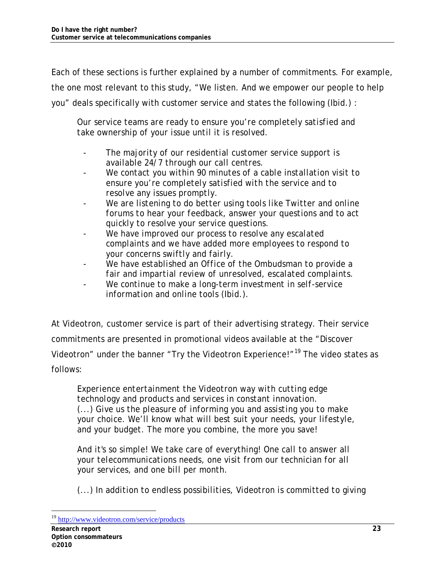Each of these sections is further explained by a number of commitments. For example, the one most relevant to this study, "We listen. And we empower our people to help you" deals specifically with customer service and states the following (Ibid.) :

*Our service teams are ready to ensure you're completely satisfied and take ownership of your issue until it is resolved.* 

- *The majority of our residential customer service support is available 24/7 through our call centres.*
- *We contact you within 90 minutes of a cable installation visit to ensure you're completely satisfied with the service and to resolve any issues promptly.*
- We are listening to do better using tools like Twitter and online *forums to hear your feedback, answer your questions and to act quickly to resolve your service questions.*
- *We have improved our process to resolve any escalated complaints and we have added more employees to respond to your concerns swiftly and fairly.*
- *We have established an Office of the Ombudsman to provide a fair and impartial review of unresolved, escalated complaints.*
- *We continue to make a long-term investment in self-service information and online tools (Ibid.).*

At Videotron, customer service is part of their advertising strategy. Their service commitments are presented in promotional videos available at the "Discover Videotron" under the banner "Try the Videotron Experience!"<sup>19</sup> The video states as follows:

*Experience entertainment the Videotron way with cutting edge technology and products and services in constant innovation. (...) Give us the pleasure of informing you and assisting you to make your choice. We'll know what will best suit your needs, your lifestyle, and your budget. The more you combine, the more you save!* 

*And it's so simple! We take care of everything! One call to answer all your telecommunications needs, one visit from our technician for all your services, and one bill per month.* 

*(...) In addition to endless possibilities, Videotron is committed to giving* 

<sup>19</sup> http://www.videotron.com/service/products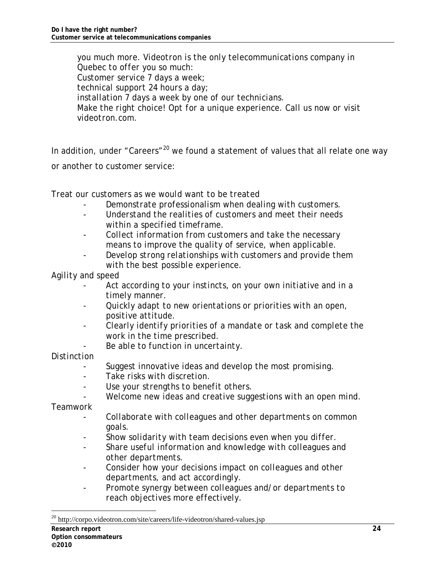*you much more. Videotron is the only telecommunications company in Quebec to offer you so much: Customer service 7 days a week; technical support 24 hours a day; installation 7 days a week by one of our technicians. Make the right choice! Opt for a unique experience. Call us now or visit videotron.com.* 

In addition, under "Careers"<sup>20</sup> we found a statement of values that all relate one way or another to customer service:

*Treat our customers as we would want to be treated* 

- *Demonstrate professionalism when dealing with customers.*
- *Understand the realities of customers and meet their needs within a specified timeframe.*
- *Collect information from customers and take the necessary means to improve the quality of service, when applicable.*
- *Develop strong relationships with customers and provide them with the best possible experience.*

*Agility and speed* 

- *Act according to your instincts, on your own initiative and in a timely manner.*
- *Quickly adapt to new orientations or priorities with an open, positive attitude.*
- *Clearly identify priorities of a mandate or task and complete the work in the time prescribed.* 
	- *Be able to function in uncertainty.*

#### *Distinction*

- *Suggest innovative ideas and develop the most promising.*
- *Take risks with discretion.*
- *Use your strengths to benefit others.*
- *Welcome new ideas and creative suggestions with an open mind.*

*Teamwork* 

- *Collaborate with colleagues and other departments on common goals.*
- *Show solidarity with team decisions even when you differ.*
- *Share useful information and knowledge with colleagues and other departments.*
- *Consider how your decisions impact on colleagues and other departments, and act accordingly.*
- *Promote synergy between colleagues and/or departments to reach objectives more effectively.*

<sup>&</sup>lt;sup>20</sup> http://corpo.videotron.com/site/careers/life-videotron/shared-values.jsp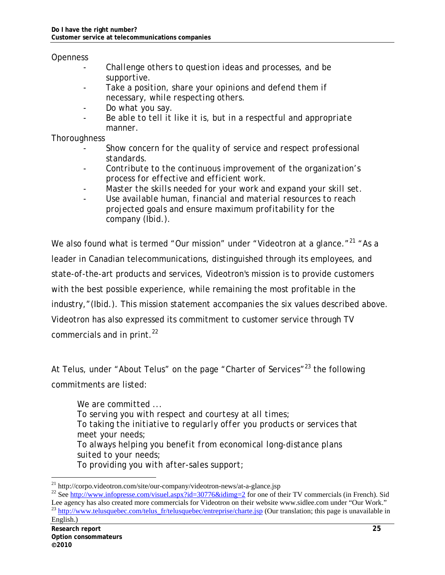#### *Openness*

- *Challenge others to question ideas and processes, and be supportive.*
- Take a position, share your opinions and defend them if *necessary, while respecting others.*
- *Do what you say.*
- *Be able to tell it like it is, but in a respectful and appropriate manner.*

#### *Thoroughness*

- *Show concern for the quality of service and respect professional standards.*
- *Contribute to the continuous improvement of the organization's process for effective and efficient work.*
- *Master the skills needed for your work and expand your skill set.*
- *Use available human, financial and material resources to reach projected goals and ensure maximum profitability for the company (Ibid.).*

We also found what is termed "Our mission" under "Videotron at a glance."<sup>21</sup> "As a leader in Canadian telecommunications, distinguished through its employees, and state-of-the-art products and services, Videotron's mission is to provide customers with the best possible experience, while remaining the most profitable in the industry,"(Ibid.). This mission statement accompanies the six values described above. Videotron has also expressed its commitment to customer service through TV commercials and in print. $^{22}$ 

At Telus, under "About Telus" on the page "Charter of Services"<sup>23</sup> the following commitments are listed:

*We are committed ... To serving you with respect and courtesy at all times; To taking the initiative to regularly offer you products or services that meet your needs; To always helping you benefit from economical long-distance plans suited to your needs; To providing you with after-sales support;* 

<sup>&</sup>lt;sup>21</sup> http://corpo.videotron.com/site/our-company/videotron-news/at-a-glance.jsp

<sup>&</sup>lt;sup>22</sup> See http://www.infopresse.com/visuel.aspx?id=30776&idimg=2 for one of their TV commercials (in French). Sid Lee agency has also created more commercials for Videotron on their website www.sidlee.com under "Our Work." <sup>23</sup> http://www.telusquebec.com/telus\_fr/telusquebec/entreprise/charte.jsp (Our translation; this page is unavailable in English.)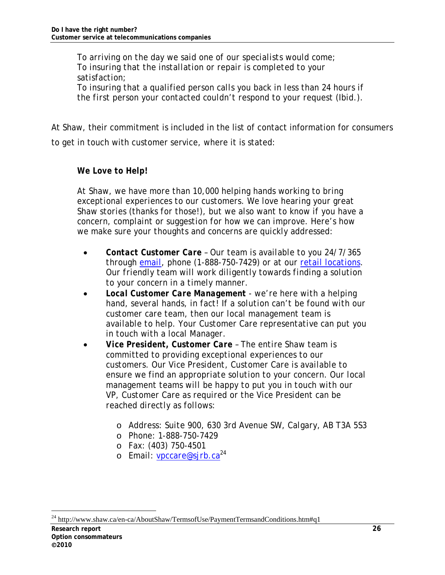*To arriving on the day we said one of our specialists would come; To insuring that the installation or repair is completed to your satisfaction; To insuring that a qualified person calls you back in less than 24 hours if the first person your contacted couldn't respond to your request (Ibid.).* 

At Shaw, their commitment is included in the list of contact information for consumers to get in touch with customer service, where it is stated:

#### *We Love to Help!*

*At Shaw, we have more than 10,000 helping hands working to bring exceptional experiences to our customers. We love hearing your great Shaw stories (thanks for those!), but we also want to know if you have a concern, complaint or suggestion for how we can improve. Here's how we make sure your thoughts and concerns are quickly addressed:* 

- *Contact Customer Care Our team is available to you 24/7/365 through email, phone (1-888-750-7429) or at our retail locations. Our friendly team will work diligently towards finding a solution to your concern in a timely manner.*
- *Local Customer Care Management we're here with a helping hand, several hands, in fact! If a solution can't be found with our customer care team, then our local management team is available to help. Your Customer Care representative can put you in touch with a local Manager.*
- *Vice President, Customer Care The entire Shaw team is committed to providing exceptional experiences to our customers. Our Vice President, Customer Care is available to ensure we find an appropriate solution to your concern. Our local management teams will be happy to put you in touch with our VP, Customer Care as required or the Vice President can be reached directly as follows:* 
	- o *Address: Suite 900, 630 3rd Avenue SW, Calgary, AB T3A 5S3*
	- o *Phone: 1-888-750-7429*
	- o *Fax: (403) 750-4501*
	- o *Email: vpccare@sjrb.ca24*

<sup>-</sup><sup>24</sup> http://www.shaw.ca/en-ca/AboutShaw/TermsofUse/PaymentTermsandConditions.htm#q1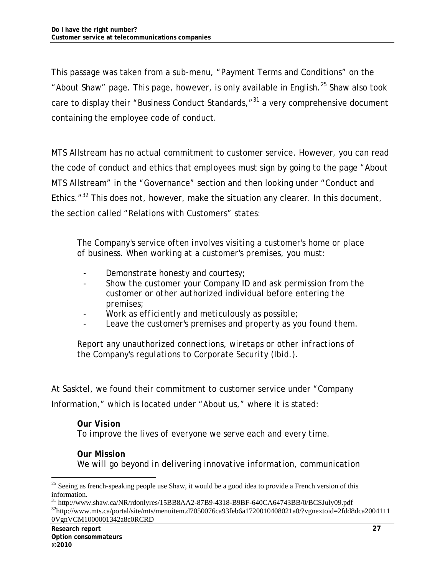This passage was taken from a sub-menu, "Payment Terms and Conditions" on the "About Shaw" page. This page, however, is only available in English. $^{25}$  Shaw also took care to display their "Business Conduct Standards, $^{31}$  a very comprehensive document containing the employee code of conduct.

MTS Allstream has no actual commitment to customer service. However, you can read the code of conduct and ethics that employees must sign by going to the page "About MTS Allstream" in the "Governance" section and then looking under "Conduct and Ethics."<sup>32</sup> This does not, however, make the situation any clearer. In this document, the section called "Relations with Customers" states:

*The Company's service often involves visiting a customer's home or place of business. When working at a customer's premises, you must:* 

- *Demonstrate honesty and courtesy;*
- *Show the customer your Company ID and ask permission from the customer or other authorized individual before entering the premises;*
- *Work as efficiently and meticulously as possible;*
- Leave the customer's premises and property as you found them.

*Report any unauthorized connections, wiretaps or other infractions of the Company's regulations to Corporate Security (Ibid.).* 

At Sasktel, we found their commitment to customer service under "Company Information," which is located under "About us," where it is stated:

#### *Our Vision*

*To improve the lives of everyone we serve each and every time.* 

### *Our Mission We will go beyond in delivering innovative information, communication*

 $25$  Seeing as french-speaking people use Shaw, it would be a good idea to provide a French version of this information.<br>
<sup>31</sup> http://www.shaw.ca/NR/rdonlyres/15BB8AA2-87B9-4318-B9BF-640CA64743BB/0/BCSJuly09.pdf

 $32$ http://www.mts.ca/portal/site/mts/menuitem.d7050076ca93feb6a1720010408021a0/?vgnextoid=2fdd8dca2004111 0VgnVCM1000001342a8c0RCRD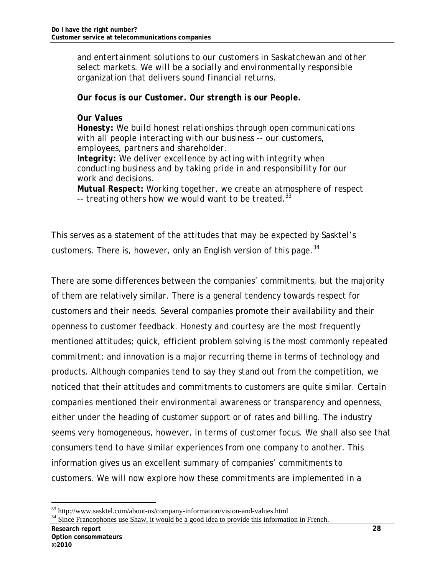*and entertainment solutions to our customers in Saskatchewan and other select markets. We will be a socially and environmentally responsible organization that delivers sound financial returns.* 

*Our focus is our Customer. Our strength is our People.* 

#### *Our Values*

*Honesty: We build honest relationships through open communications with all people interacting with our business -- our customers, employees, partners and shareholder. Integrity: We deliver excellence by acting with integrity when conducting business and by taking pride in and responsibility for our work and decisions. Mutual Respect: Working together, we create an atmosphere of respect* 

*-- treating others how we would want to be treated.<sup>33</sup>*

This serves as a statement of the attitudes that may be expected by Sasktel's customers. There is, however, only an English version of this page.<sup>34</sup>

There are some differences between the companies' commitments, but the majority of them are relatively similar. There is a general tendency towards respect for customers and their needs. Several companies promote their availability and their openness to customer feedback. Honesty and courtesy are the most frequently mentioned attitudes; quick, efficient problem solving is the most commonly repeated commitment; and innovation is a major recurring theme in terms of technology and products. Although companies tend to say they stand out from the competition, we noticed that their attitudes and commitments to customers are quite similar. Certain companies mentioned their environmental awareness or transparency and openness, either under the heading of customer support or of rates and billing. The industry seems very homogeneous, however, in terms of customer focus. We shall also see that consumers tend to have similar experiences from one company to another. This information gives us an excellent summary of companies' commitments to customers. We will now explore how these commitments are implemented in a

<sup>33</sup> http://www.sasktel.com/about-us/company-information/vision-and-values.html

<sup>&</sup>lt;sup>34</sup> Since Francophones use Shaw, it would be a good idea to provide this information in French.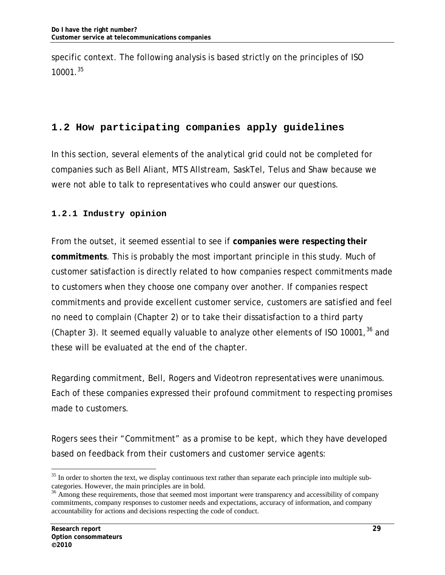specific context. The following analysis is based strictly on the principles of ISO 10001.35

## **1.2 How participating companies apply guidelines**

In this section, several elements of the analytical grid could not be completed for companies such as Bell Aliant, MTS Allstream, SaskTel, Telus and Shaw because we were not able to talk to representatives who could answer our questions.

### **1.2.1 Industry opinion**

From the outset, it seemed essential to see if **companies were respecting their commitments**. This is probably the most important principle in this study. Much of customer satisfaction is directly related to how companies respect commitments made to customers when they choose one company over another. If companies respect commitments and provide excellent customer service, customers are satisfied and feel no need to complain (Chapter 2) or to take their dissatisfaction to a third party (Chapter 3). It seemed equally valuable to analyze other elements of ISO 10001,  $36$  and these will be evaluated at the end of the chapter.

Regarding commitment, Bell, Rogers and Videotron representatives were unanimous. Each of these companies expressed their profound commitment to respecting promises made to customers.

Rogers sees their "Commitment" as a promise to be kept, which they have developed based on feedback from their customers and customer service agents:

<sup>&</sup>lt;sup>35</sup> In order to shorten the text, we display continuous text rather than separate each principle into multiple subcategories. However, the main principles are in bold.

<sup>&</sup>lt;sup>36</sup> Among these requirements, those that seemed most important were transparency and accessibility of company commitments, company responses to customer needs and expectations, accuracy of information, and company accountability for actions and decisions respecting the code of conduct.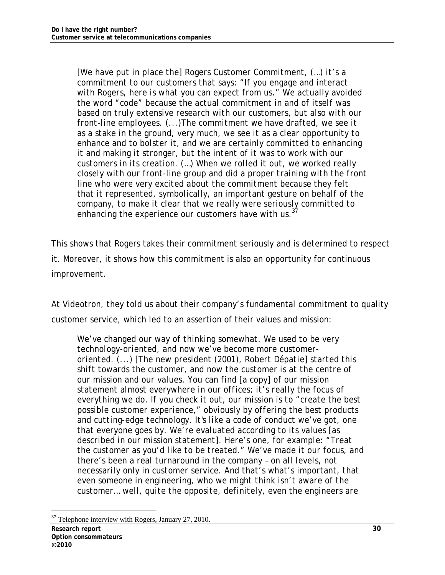*[We have put in place the] Rogers Customer Commitment, (…) it's a commitment to our customers that says: "If you engage and interact with Rogers, here is what you can expect from us." We actually avoided the word "code" because the actual commitment in and of itself was based on truly extensive research with our customers, but also with our front-line employees. (...)The commitment we have drafted, we see it as a stake in the ground, very much, we see it as a clear opportunity to enhance and to bolster it, and we are certainly committed to enhancing it and making it stronger, but the intent of it was to work with our customers in its creation. (…) When we rolled it out, we worked really closely with our front-line group and did a proper training with the front line who were very excited about the commitment because they felt that it represented, symbolically, an important gesture on behalf of the company, to make it clear that we really were seriously committed to enhancing the experience our customers have with us.<sup>37</sup>*

This shows that Rogers takes their commitment seriously and is determined to respect it. Moreover, it shows how this commitment is also an opportunity for continuous improvement.

At Videotron, they told us about their company's fundamental commitment to quality customer service, which led to an assertion of their values and mission:

*We've changed our way of thinking somewhat. We used to be very technology-oriented, and now we've become more customeroriented. (...) [The new president (2001), Robert Dépatie] started this shift towards the customer, and now the customer is at the centre of our mission and our values. You can find [a copy] of our mission statement almost everywhere in our offices; it's really the focus of everything we do. If you check it out, our mission is to "create the best possible customer experience," obviously by offering the best products and cutting-edge technology. It's like a code of conduct we've got, one that everyone goes by. We're evaluated according to its values [as described in our mission statement]. Here's one, for example: "Treat the customer as you'd like to be treated." We've made it our focus, and there's been a real turnaround in the company – on all levels, not necessarily only in customer service. And that's what's important, that even someone in engineering, who we might think isn't aware of the customer… well, quite the opposite, definitely, even the engineers are* 

<sup>-</sup><sup>37</sup> Telephone interview with Rogers, January 27, 2010.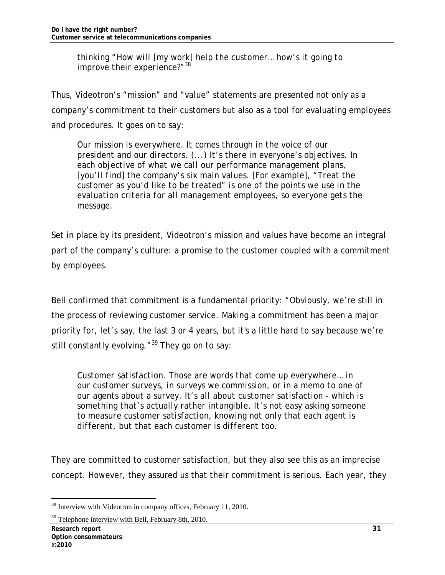*thinking "How will [my work] help the customer… how's it going to improve their experience?"<sup>38</sup>*

Thus, Videotron's "mission" and "value" statements are presented not only as a company's commitment to their customers but also as a tool for evaluating employees and procedures. It goes on to say:

*Our mission is everywhere. It comes through in the voice of our president and our directors. (...) It's there in everyone's objectives. In each objective of what we call our performance management plans, [you'll find] the company's six main values. [For example], "Treat the customer as you'd like to be treated" is one of the points we use in the evaluation criteria for all management employees, so everyone gets the message.* 

Set in place by its president, Videotron's mission and values have become an integral part of the company's culture: a promise to the customer coupled with a commitment by employees.

Bell confirmed that commitment is a fundamental priority: "Obviously, we're still in the process of reviewing customer service. Making a commitment has been a major priority for, let's say, the last 3 or 4 years, but it's a little hard to say because we're still constantly evolving.  $^{\prime\prime}$ <sup>39</sup> They go on to say:

*Customer satisfaction. Those are words that come up everywhere… in our customer surveys, in surveys we commission, or in a memo to one of our agents about a survey. It's all about customer satisfaction - which is something that's actually rather intangible. It's not easy asking someone to measure customer satisfaction, knowing not only that each agent is different, but that each customer is different too.* 

They are committed to customer satisfaction, but they also see this as an imprecise concept. However, they assured us that their commitment is serious. Each year, they

<sup>-</sup><sup>38</sup> Interview with Videotron in company offices, February 11, 2010.

<sup>&</sup>lt;sup>39</sup> Telephone interview with Bell, February 8th, 2010.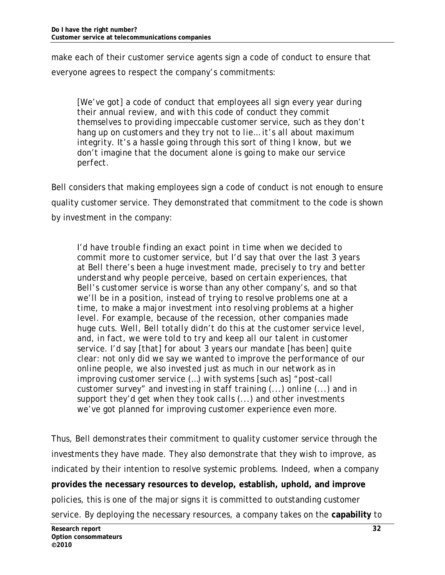make each of their customer service agents sign a code of conduct to ensure that everyone agrees to respect the company's commitments:

*[We've got] a code of conduct that employees all sign every year during their annual review, and with this code of conduct they commit themselves to providing impeccable customer service, such as they don't hang up on customers and they try not to lie… it's all about maximum integrity. It's a hassle going through this sort of thing I know, but we don't imagine that the document alone is going to make our service perfect.* 

Bell considers that making employees sign a code of conduct is not enough to ensure quality customer service. They demonstrated that commitment to the code is shown by investment in the company:

*I'd have trouble finding an exact point in time when we decided to commit more to customer service, but I'd say that over the last 3 years at Bell there's been a huge investment made, precisely to try and better understand why people perceive, based on certain experiences, that Bell's customer service is worse than any other company's, and so that we'll be in a position, instead of trying to resolve problems one at a time, to make a major investment into resolving problems at a higher level. For example, because of the recession, other companies made huge cuts. Well, Bell totally didn't do this at the customer service level, and, in fact, we were told to try and keep all our talent in customer service. I'd say [that] for about 3 years our mandate [has been] quite clear: not only did we say we wanted to improve the performance of our online people, we also invested just as much in our network as in improving customer service (…) with systems [such as] "post-call customer survey" and investing in staff training (...) online (...) and in support they'd get when they took calls (...) and other investments we've got planned for improving customer experience even more.* 

Thus, Bell demonstrates their commitment to quality customer service through the investments they have made. They also demonstrate that they wish to improve, as indicated by their intention to resolve systemic problems. Indeed, when a company **provides the necessary resources to develop, establish, uphold, and improve** policies, this is one of the major signs it is committed to outstanding customer service. By deploying the necessary resources, a company takes on the **capability** to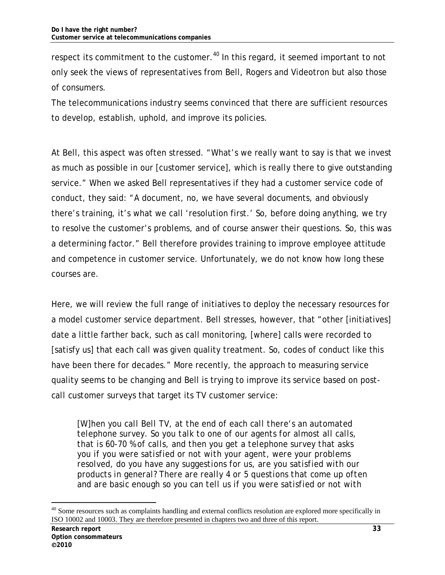respect its commitment to the customer.<sup>40</sup> In this regard, it seemed important to not only seek the views of representatives from Bell, Rogers and Videotron but also those of consumers.

The telecommunications industry seems convinced that there are sufficient resources to develop, establish, uphold, and improve its policies.

At Bell, this aspect was often stressed. "What's we really want to say is that we invest as much as possible in our [customer service], which is really there to give outstanding service." When we asked Bell representatives if they had a customer service code of conduct, they said: "A document, no, we have several documents, and obviously there's training, it's what we call 'resolution first.' So, before doing anything, we try to resolve the customer's problems, and of course answer their questions. So, this was a determining factor." Bell therefore provides training to improve employee attitude and competence in customer service. Unfortunately, we do not know how long these courses are.

Here, we will review the full range of initiatives to deploy the necessary resources for a model customer service department. Bell stresses, however, that "other [initiatives] date a little farther back, such as call monitoring, [where] calls were recorded to [satisfy us] that each call was given quality treatment. So, codes of conduct like this have been there for decades." More recently, the approach to measuring service quality seems to be changing and Bell is trying to improve its service based on *postcall customer surveys* that target its TV customer service:

*[W]hen you call Bell TV, at the end of each call there's an automated telephone survey. So you talk to one of our agents for almost all calls, that is 60-70 % of calls, and then you get a telephone survey that asks you if you were satisfied or not with your agent, were your problems resolved, do you have any suggestions for us, are you satisfied with our products in general? There are really 4 or 5 questions that come up often and are basic enough so you can tell us if you were satisfied or not with* 

<sup>&</sup>lt;sup>40</sup> Some resources such as complaints handling and external conflicts resolution are explored more specifically in ISO 10002 and 10003. They are therefore presented in chapters two and three of this report.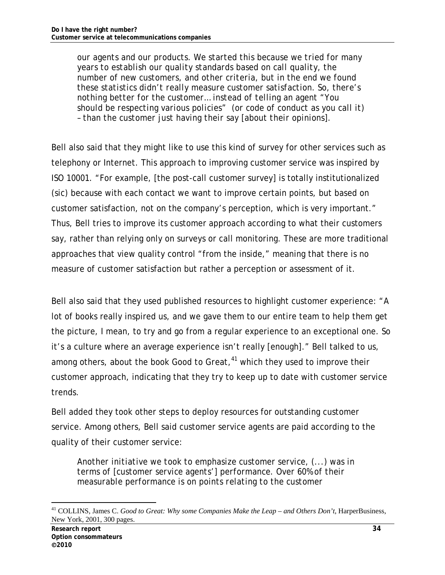*our agents and our products. We started this because we tried for many years to establish our quality standards based on call quality, the number of new customers, and other criteria, but in the end we found these statistics didn't really measure customer satisfaction. So, there's nothing better for the customer… instead of telling an agent "You should be respecting various policies" (or code of conduct as you call it) – than the customer just having their say [about their opinions].* 

Bell also said that they might like to use this kind of survey for other services such as telephony or Internet. This approach to improving customer service was inspired by ISO 10001. "For example, [the post-call customer survey] is totally institutionalized (sic) because with each contact we want to improve certain points, but based on customer satisfaction, not on the company's perception, which is very important." Thus, Bell tries to improve its customer approach according to what their customers say, rather than relying only on surveys or call monitoring. These are more traditional approaches that view quality control "from the inside," meaning that there is no measure of customer satisfaction but rather a perception or assessment of it.

Bell also said that they used published resources to highlight customer experience: "A lot of books really inspired us, and we gave them to our entire team to help them get the picture, I mean, to try and go from a regular experience to an exceptional one. So it's a culture where an average experience isn't really [enough]." Bell talked to us, among others, about the book *Good to Great,<sup>41</sup>* which they used to improve their customer approach, indicating that they try to keep up to date with customer service trends.

Bell added they took other steps to deploy resources for outstanding customer service. Among others, Bell said customer service agents are paid according to the quality of their customer service:

*Another initiative we took to emphasize customer service, (...) was in terms of [customer service agents'] performance. Over 60% of their measurable performance is on points relating to the customer* 

<sup>41</sup> COLLINS, James C. *Good to Great: Why some Companies Make the Leap – and Others Don't*, HarperBusiness, New York, 2001, 300 pages.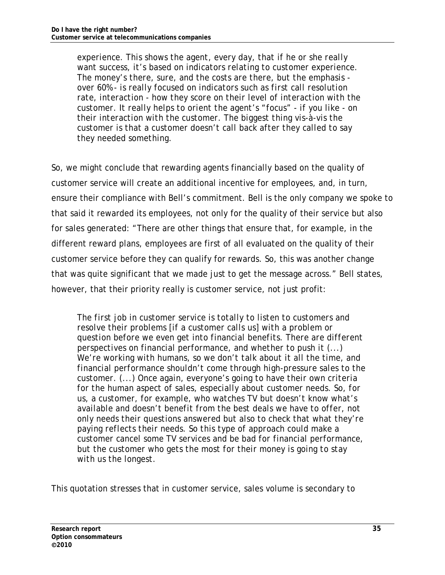*experience. This shows the agent, every day, that if he or she really want success, it's based on indicators relating to customer experience. The money's there, sure, and the costs are there, but the emphasis over 60% - is really focused on indicators such as first call resolution rate, interaction - how they score on their level of interaction with the customer. It really helps to orient the agent's "focus" - if you like - on their interaction with the customer. The biggest thing vis-à-vis the customer is that a customer doesn't call back after they called to say they needed something.* 

So, we might conclude that rewarding agents financially based on the quality of customer service will create an additional incentive for employees, and, in turn, ensure their compliance with Bell's commitment. Bell is the only company we spoke to that said it rewarded its employees, not only for the quality of their service but also for sales generated: "There are other things that ensure that, for example, in the different reward plans, employees are first of all evaluated on the quality of their customer service before they can qualify for rewards. So, this was another change that was quite significant that we made just to get the message across." Bell states, however, that their priority really is customer service, not just profit:

*The first job in customer service is totally to listen to customers and resolve their problems [if a customer calls us] with a problem or question before we even get into financial benefits. There are different perspectives on financial performance, and whether to push it (...) We're working with humans, so we don't talk about it all the time, and financial performance shouldn't come through high-pressure sales to the customer. (...) Once again, everyone's going to have their own criteria for the human aspect of sales, especially about customer needs. So, for us, a customer, for example, who watches TV but doesn't know what's available and doesn't benefit from the best deals we have to offer, not only needs their questions answered but also to check that what they're paying reflects their needs. So this type of approach could make a customer cancel some TV services and be bad for financial performance, but the customer who gets the most for their money is going to stay with us the longest.* 

This quotation stresses that in customer service, sales volume is secondary to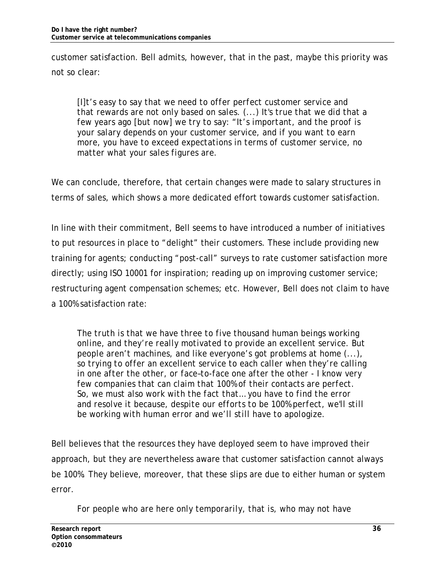customer satisfaction. Bell admits, however, that in the past, maybe this priority was not so clear:

*[I]t's easy to say that we need to offer perfect customer service and that rewards are not only based on sales. (...) It's true that we did that a few years ago [but now] we try to say: "It's important, and the proof is your salary depends on your customer service, and if you want to earn more, you have to exceed expectations in terms of customer service, no matter what your sales figures are.* 

We can conclude, therefore, that certain changes were made to salary structures in terms of sales, which shows a more dedicated effort towards customer satisfaction.

In line with their commitment, Bell seems to have introduced a number of initiatives to put resources in place to "delight" their customers. These include providing new training for agents; conducting "post-call" surveys to rate customer satisfaction more directly; using ISO 10001 for inspiration; reading up on improving customer service; restructuring agent compensation schemes; etc. However, Bell does not claim to have a 100% satisfaction rate:

*The truth is that we have three to five thousand human beings working online, and they're really motivated to provide an excellent service. But people aren't machines, and like everyone's got problems at home (...), so trying to offer an excellent service to each caller when they're calling in one after the other, or face–to-face one after the other - I know very few companies that can claim that 100% of their contacts are perfect. So, we must also work with the fact that… you have to find the error and resolve it because, despite our efforts to be 100% perfect, we'll still be working with human error and we'll still have to apologize.* 

Bell believes that the resources they have deployed seem to have improved their approach, but they are nevertheless aware that customer satisfaction cannot always be 100%. They believe, moreover, that these slips are due to either human or system error.

*For people who are here only temporarily, that is, who may not have*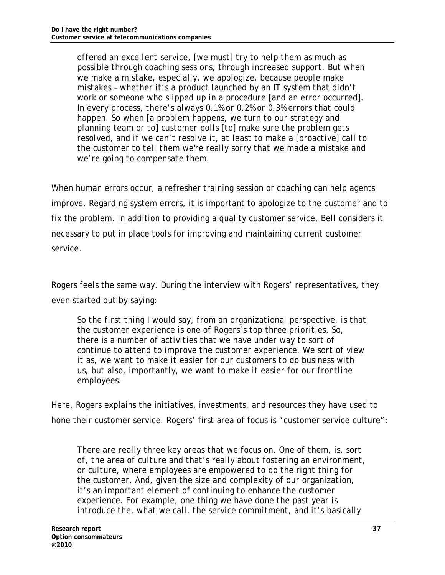*offered an excellent service, [we must] try to help them as much as possible through coaching sessions, through increased support. But when we make a mistake, especially, we apologize, because people make mistakes – whether it's a product launched by an IT system that didn't work or someone who slipped up in a procedure [and an error occurred]. In every process, there's always 0.1% or 0.2% or 0.3% errors that could happen. So when [a problem happens, we turn to our strategy and planning team or to] customer polls [to] make sure the problem gets resolved, and if we can't resolve it, at least to make a [proactive] call to the customer to tell them we're really sorry that we made a mistake and we're going to compensate them.* 

When human errors occur, a refresher training session or coaching can help agents improve. Regarding system errors, it is important to apologize to the customer and to fix the problem. In addition to providing a quality customer service, Bell considers it necessary to put in place tools for improving and maintaining current customer service.

Rogers feels the same way. During the interview with Rogers' representatives, they even started out by saying:

*So the first thing I would say, from an organizational perspective, is that the customer experience is one of Rogers's top three priorities. So, there is a number of activities that we have under way to sort of continue to attend to improve the customer experience. We sort of view it as, we want to make it easier for our customers to do business with us, but also, importantly, we want to make it easier for our frontline employees.* 

Here, Rogers explains the initiatives, investments, and resources they have used to hone their customer service. Rogers' first area of focus is "customer service culture":

*There are really three key areas that we focus on. One of them, is, sort of, the area of culture and that's really about fostering an environment, or culture, where employees are empowered to do the right thing for the customer. And, given the size and complexity of our organization, it's an important element of continuing to enhance the customer experience. For example, one thing we have done the past year is introduce the, what we call, the service commitment, and it's basically*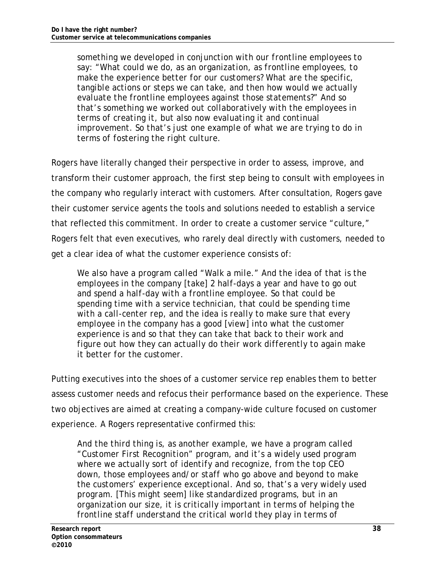*something we developed in conjunction with our frontline employees to say: "What could we do, as an organization, as frontline employees, to make the experience better for our customers? What are the specific, tangible actions or steps we can take, and then how would we actually evaluate the frontline employees against those statements?" And so that's something we worked out collaboratively with the employees in terms of creating it, but also now evaluating it and continual improvement. So that's just one example of what we are trying to do in terms of fostering the right culture.* 

Rogers have literally changed their perspective in order to assess, improve, and transform their customer approach, the first step being to consult with employees in the company who regularly interact with customers. After consultation, Rogers gave their customer service agents the tools and solutions needed to establish a service that reflected this commitment. In order to create a customer service "culture," Rogers felt that even executives, who rarely deal directly with customers, needed to get a clear idea of what the customer experience consists of:

*We also have a program called "Walk a mile." And the idea of that is the employees in the company [take] 2 half-days a year and have to go out and spend a half-day with a frontline employee. So that could be spending time with a service technician, that could be spending time with a call-center rep, and the idea is really to make sure that every employee in the company has a good [view] into what the customer experience is and so that they can take that back to their work and figure out how they can actually do their work differently to again make it better for the customer.* 

Putting executives into the shoes of a customer service rep enables them to better assess customer needs and refocus their performance based on the experience. These two objectives are aimed at creating a company-wide culture focused on customer experience. A Rogers representative confirmed this:

*And the third thing is, as another example, we have a program called "Customer First Recognition" program, and it's a widely used program where we actually sort of identify and recognize, from the top CEO down, those employees and/or staff who go above and beyond to make the customers' experience exceptional. And so, that's a very widely used program. [This might seem] like standardized programs, but in an organization our size, it is critically important in terms of helping the frontline staff understand the critical world they play in terms of*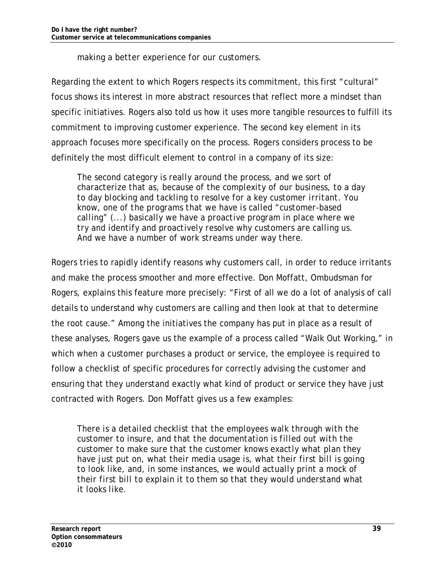*making a better experience for our customers.* 

Regarding the extent to which Rogers respects its commitment, this first "cultural" focus shows its interest in more abstract resources that reflect more a mindset than specific initiatives. Rogers also told us how it uses more tangible resources to fulfill its commitment to improving customer experience. The second key element in its approach focuses more specifically on the process. Rogers considers process to be definitely the most difficult element to control in a company of its size:

*The second category is really around the process, and we sort of characterize that as, because of the complexity of our business, to a day to day blocking and tackling to resolve for a key customer irritant. You know, one of the programs that we have is called "customer-based calling" (...) basically we have a proactive program in place where we try and identify and proactively resolve why customers are calling us. And we have a number of work streams under way there.* 

Rogers tries to rapidly identify reasons why customers call, in order to reduce irritants and make the process smoother and more effective. Don Moffatt, Ombudsman for Rogers, explains this feature more precisely: "First of all we do a lot of analysis of call details to understand why customers are calling and then look at that to determine the root cause." Among the initiatives the company has put in place as a result of these analyses, Rogers gave us the example of a process called "Walk Out Working," in which when a customer purchases a product or service, the employee is required to follow a checklist of specific procedures for correctly advising the customer and ensuring that they understand exactly what kind of product or service they have just contracted with Rogers. Don Moffatt gives us a few examples:

*There is a detailed checklist that the employees walk through with the customer to insure, and that the documentation is filled out with the customer to make sure that the customer knows exactly what plan they have just put on, what their media usage is, what their first bill is going to look like, and, in some instances, we would actually print a mock of their first bill to explain it to them so that they would understand what it looks like.*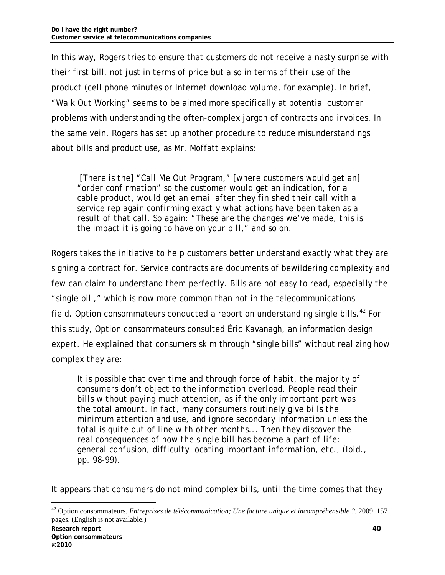In this way, Rogers tries to ensure that customers do not receive a nasty surprise with their first bill, not just in terms of price but also in terms of their use of the product (cell phone minutes or Internet download volume, for example). In brief, "Walk Out Working" seems to be aimed more specifically at potential customer problems with understanding the often-complex jargon of contracts and invoices. In the same vein, Rogers has set up another procedure to reduce misunderstandings about bills and product use, as Mr. Moffatt explains:

 *[There is the] "Call Me Out Program," [where customers would get an] "order confirmation" so the customer would get an indication, for a cable product, would get an email after they finished their call with a service rep again confirming exactly what actions have been taken as a result of that call. So again: "These are the changes we've made, this is the impact it is going to have on your bill," and so on.* 

Rogers takes the initiative to help customers better understand exactly what they are signing a contract for. Service contracts are documents of bewildering complexity and few can claim to understand them perfectly. Bills are not easy to read, especially the "single bill," which is now more common than not in the telecommunications field. Option consommateurs conducted a report on understanding single bills.<sup>42</sup> For this study, Option consommateurs consulted Éric Kavanagh, an information design expert. He explained that consumers skim through "single bills" without realizing how complex they are:

*It is possible that over time and through force of habit, the majority of consumers don't object to the information overload. People read their bills without paying much attention, as if the only important part was the total amount. In fact, many consumers routinely give bills the minimum attention and use, and ignore secondary information unless the total is quite out of line with other months... Then they discover the real consequences of how the single bill has become a part of life: general confusion, difficulty locating important information, etc., (Ibid., pp. 98-99).* 

It appears that consumers do not mind complex bills, until the time comes that they

<sup>42</sup> Option consommateurs. *Entreprises de télécommunication; Une facture unique et incompréhensible ?*, 2009, 157 pages. (English is not available.)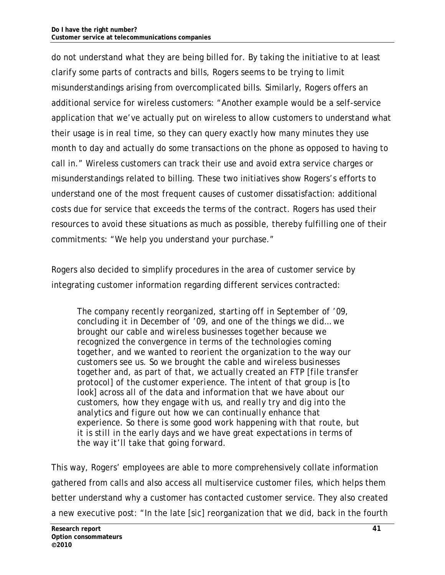do not understand what they are being billed for. By taking the initiative to at least clarify some parts of contracts and bills, Rogers seems to be trying to limit misunderstandings arising from overcomplicated bills. Similarly, Rogers offers an additional service for wireless customers: "Another example would be a self-service application that we've actually put on wireless to allow customers to understand what their usage is in real time, so they can query exactly how many minutes they use month to day and actually do some transactions on the phone as opposed to having to call in." Wireless customers can track their use and avoid extra service charges or misunderstandings related to billing. These two initiatives show Rogers's efforts to understand one of the most frequent causes of customer dissatisfaction: additional costs due for service that exceeds the terms of the contract. Rogers has used their resources to avoid these situations as much as possible, thereby fulfilling one of their commitments: "We help you understand your purchase."

Rogers also decided to simplify procedures in the area of customer service by integrating customer information regarding different services contracted:

*The company recently reorganized, starting off in September of '09, concluding it in December of '09, and one of the things we did… we brought our cable and wireless businesses together because we recognized the convergence in terms of the technologies coming together, and we wanted to reorient the organization to the way our customers see us. So we brought the cable and wireless businesses together and, as part of that, we actually created an FTP [file transfer protocol] of the customer experience. The intent of that group is [to*  look] across all of the data and information that we have about our *customers, how they engage with us, and really try and dig into the analytics and figure out how we can continually enhance that experience. So there is some good work happening with that route, but it is still in the early days and we have great expectations in terms of the way it'll take that going forward.* 

This way, Rogers' employees are able to more comprehensively collate information gathered from calls and also access all multiservice customer files, which helps them better understand why a customer has contacted customer service. They also created a new executive post: "In the late [sic] reorganization that we did, back in the fourth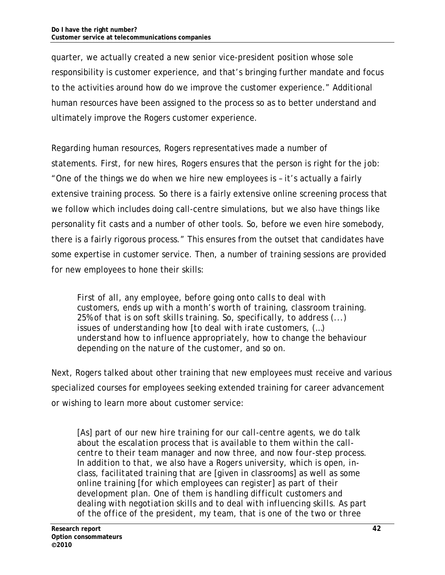quarter, we actually created a new senior vice-president position whose sole responsibility is customer experience, and that's bringing further mandate and focus to the activities around how do we improve the customer experience." Additional human resources have been assigned to the process so as to better understand and ultimately improve the Rogers customer experience.

Regarding human resources, Rogers representatives made a number of statements. First, for new hires, Rogers ensures that the person is right for the job: "One of the things we do when we hire new employees is – it's actually a fairly extensive training process. So there is a fairly extensive online screening process that we follow which includes doing call-centre simulations, but we also have things like personality fit casts and a number of other tools. So, before we even hire somebody, there is a fairly rigorous process." This ensures from the outset that candidates have some expertise in customer service. Then, a number of training sessions are provided for new employees to hone their skills:

*First of all, any employee, before going onto calls to deal with customers, ends up with a month's worth of training, classroom training. 25% of that is on soft skills training. So, specifically, to address (...) issues of understanding how [to deal with irate customers, (…) understand how to influence appropriately, how to change the behaviour depending on the nature of the customer, and so on.* 

Next, Rogers talked about other training that new employees must receive and various specialized courses for employees seeking extended training for career advancement or wishing to learn more about customer service:

*[As] part of our new hire training for our call-centre agents, we do talk about the escalation process that is available to them within the callcentre to their team manager and now three, and now four-step process. In addition to that, we also have a Rogers university, which is open, inclass, facilitated training that are [given in classrooms] as well as some online training [for which employees can register] as part of their development plan. One of them is handling difficult customers and dealing with negotiation skills and to deal with influencing skills. As part of the office of the president, my team, that is one of the two or three*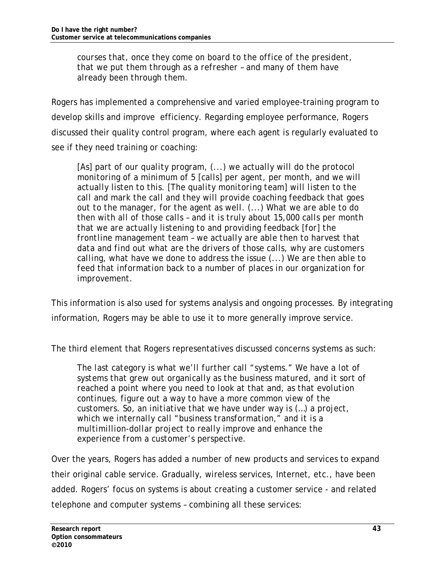*courses that, once they come on board to the office of the president, that we put them through as a refresher – and many of them have already been through them.* 

Rogers has implemented a comprehensive and varied employee-training program to develop skills and improve efficiency. Regarding employee performance, Rogers discussed their quality control program, where each agent is regularly evaluated to see if they need training or coaching:

*[As] part of our quality program, (...) we actually will do the protocol monitoring of a minimum of 5 [calls] per agent, per month, and we will actually listen to this. [The quality monitoring team] will listen to the call and mark the call and they will provide coaching feedback that goes out to the manager, for the agent as well. (...) What we are able to do then with all of those calls – and it is truly about 15,000 calls per month that we are actually listening to and providing feedback [for] the frontline management team – we actually are able then to harvest that data and find out what are the drivers of those calls, why are customers calling, what have we done to address the issue (...) We are then able to feed that information back to a number of places in our organization for improvement.* 

This information is also used for systems analysis and ongoing processes. By integrating information, Rogers may be able to use it to more generally improve service.

The third element that Rogers representatives discussed concerns systems as such:

*The last category is what we'll further call "systems." We have a lot of systems that grew out organically as the business matured, and it sort of reached a point where you need to look at that and, as that evolution continues, figure out a way to have a more common view of the customers. So, an initiative that we have under way is (…) a project, which we internally call "business transformation," and it is a multimillion-dollar project to really improve and enhance the experience from a customer's perspective.* 

Over the years, Rogers has added a number of new products and services to expand their original cable service. Gradually, wireless services, Internet, etc., have been added. Rogers' focus on systems is about creating a customer service - and related telephone and computer systems – combining all these services: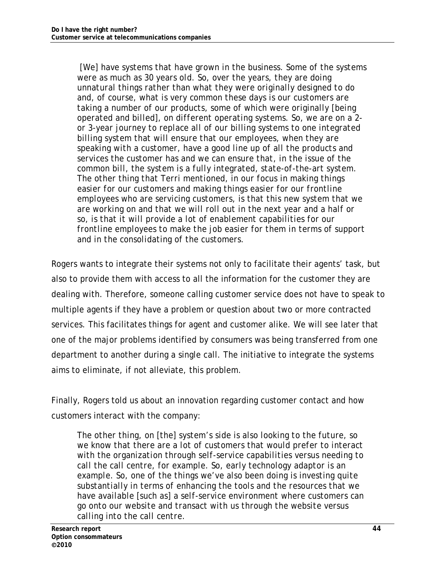*[We] have systems that have grown in the business. Some of the systems were as much as 30 years old. So, over the years, they are doing unnatural things rather than what they were originally designed to do and, of course, what is very common these days is our customers are taking a number of our products, some of which were originally [being operated and billed], on different operating systems. So, we are on a 2 or 3-year journey to replace all of our billing systems to one integrated billing system that will ensure that our employees, when they are speaking with a customer, have a good line up of all the products and services the customer has and we can ensure that, in the issue of the common bill, the system is a fully integrated, state-of-the-art system. The other thing that Terri mentioned, in our focus in making things easier for our customers and making things easier for our frontline employees who are servicing customers, is that this new system that we are working on and that we will roll out in the next year and a half or so, is that it will provide a lot of enablement capabilities for our frontline employees to make the job easier for them in terms of support and in the consolidating of the customers.* 

Rogers wants to integrate their systems not only to facilitate their agents' task, but also to provide them with access to all the information for the customer they are dealing with. Therefore, someone calling customer service does not have to speak to multiple agents if they have a problem or question about two or more contracted services. This facilitates things for agent and customer alike. We will see later that one of the major problems identified by consumers was being transferred from one department to another during a single call. The initiative to integrate the systems aims to eliminate, if not alleviate, this problem.

Finally, Rogers told us about an innovation regarding customer contact and how customers interact with the company:

*The other thing, on [the] system's side is also looking to the future, so we know that there are a lot of customers that would prefer to interact with the organization through self-service capabilities versus needing to call the call centre, for example. So, early technology adaptor is an example. So, one of the things we've also been doing is investing quite substantially in terms of enhancing the tools and the resources that we have available [such as] a self-service environment where customers can go onto our website and transact with us through the website versus calling into the call centre.*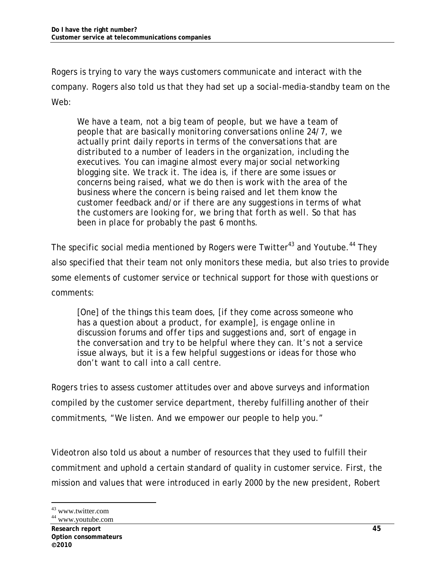Rogers is trying to vary the ways customers communicate and interact with the company. Rogers also told us that they had set up a social-media-standby team on the Web:

*We have a team, not a big team of people, but we have a team of people that are basically monitoring conversations online 24/7, we actually print daily reports in terms of the conversations that are distributed to a number of leaders in the organization, including the executives. You can imagine almost every major social networking blogging site. We track it. The idea is, if there are some issues or concerns being raised, what we do then is work with the area of the business where the concern is being raised and let them know the customer feedback and/or if there are any suggestions in terms of what the customers are looking for, we bring that forth as well. So that has been in place for probably the past 6 months.* 

The specific social media mentioned by Rogers were Twitter<sup>43</sup> and Youtube.<sup>44</sup> They also specified that their team not only monitors these media, but also tries to provide some elements of customer service or technical support for those with questions or comments:

*[One] of the things this team does, [if they come across someone who has a question about a product, for example], is engage online in discussion forums and offer tips and suggestions and, sort of engage in the conversation and try to be helpful where they can. It's not a service issue always, but it is a few helpful suggestions or ideas for those who don't want to call into a call centre.* 

Rogers tries to assess customer attitudes over and above surveys and information compiled by the customer service department, thereby fulfilling another of their commitments, "We listen. And we empower our people to help you."

Videotron also told us about a number of resources that they used to fulfill their commitment and uphold a certain standard of quality in customer service. First, the mission and values that were introduced in early 2000 by the new president, Robert

<sup>43</sup> www.twitter.com

<sup>44</sup> www.youtube.com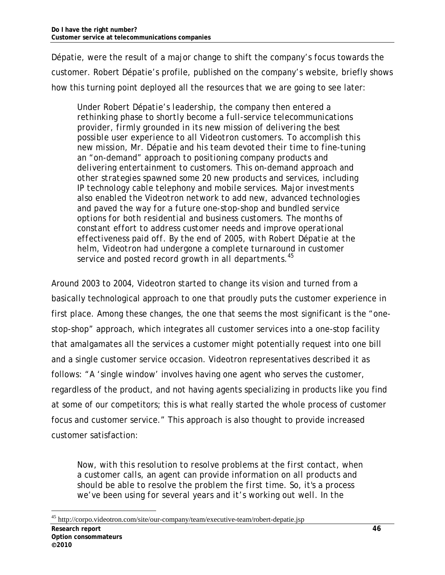Dépatie, were the result of a major change to shift the company's focus towards the customer. Robert Dépatie's profile, published on the company's website, briefly shows how this turning point deployed all the resources that we are going to see later:

*Under Robert Dépatie's leadership, the company then entered a rethinking phase to shortly become a full-service telecommunications provider, firmly grounded in its new mission of delivering the best possible user experience to all Videotron customers. To accomplish this new mission, Mr. Dépatie and his team devoted their time to fine-tuning an "on-demand" approach to positioning company products and delivering entertainment to customers. This on-demand approach and other strategies spawned some 20 new products and services, including IP technology cable telephony and mobile services. Major investments also enabled the Videotron network to add new, advanced technologies and paved the way for a future one-stop-shop and bundled service options for both residential and business customers. The months of constant effort to address customer needs and improve operational effectiveness paid off. By the end of 2005, with Robert Dépatie at the helm, Videotron had undergone a complete turnaround in customer service and posted record growth in all departments.<sup>45</sup>*

Around 2003 to 2004, Videotron started to change its vision and turned from a basically technological approach to one that proudly puts the customer experience in first place. Among these changes, the one that seems the most significant is the "onestop-shop" approach, which integrates all customer services into a one-stop facility that amalgamates all the services a customer might potentially request into one bill and a single customer service occasion. Videotron representatives described it as follows: "A 'single window' involves having one agent who serves the customer, regardless of the product, and not having agents specializing in products like you find at some of our competitors; this is what really started the whole process of customer focus and customer service." This approach is also thought to provide increased customer satisfaction:

*Now, with this resolution to resolve problems at the first contact, when a customer calls, an agent can provide information on all products and should be able to resolve the problem the first time. So, it's a process we've been using for several years and it's working out well. In the* 

<sup>-</sup>45 http://corpo.videotron.com/site/our-company/team/executive-team/robert-depatie.jsp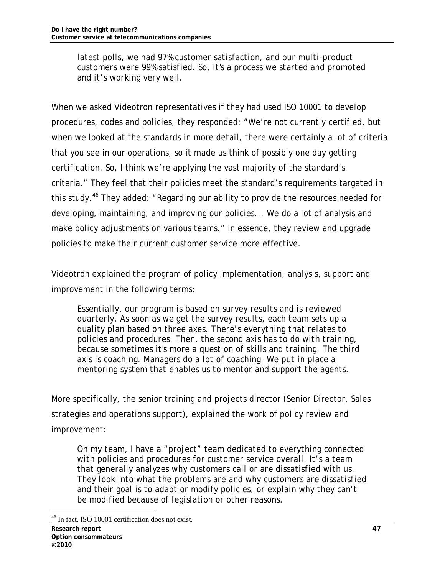*latest polls, we had 97% customer satisfaction, and our multi-product customers were 99% satisfied. So, it's a process we started and promoted and it's working very well.* 

When we asked Videotron representatives if they had used ISO 10001 to develop procedures, codes and policies, they responded: "We're not currently certified, but when we looked at the standards in more detail, there were certainly a lot of criteria that you see in our operations, so it made us think of possibly one day getting certification. So, I think we're applying the vast majority of the standard's criteria." They feel that their policies meet the standard's requirements targeted in this study.<sup>46</sup> They added: "Regarding our ability to provide the resources needed for developing, maintaining, and improving our policies... We do a lot of analysis and make policy adjustments on various teams." In essence, they review and upgrade policies to make their current customer service more effective.

Videotron explained the program of policy implementation, analysis, support and improvement in the following terms:

*Essentially, our program is based on survey results and is reviewed quarterly. As soon as we get the survey results, each team sets up a quality plan based on three axes. There's everything that relates to policies and procedures. Then, the second axis has to do with training, because sometimes it's more a question of skills and training. The third axis is coaching. Managers do a lot of coaching. We put in place a mentoring system that enables us to mentor and support the agents.* 

More specifically, the senior training and projects director (Senior Director, Sales strategies and operations support), explained the work of policy review and improvement:

*On my team, I have a "project" team dedicated to everything connected with policies and procedures for customer service overall. It's a team that generally analyzes why customers call or are dissatisfied with us. They look into what the problems are and why customers are dissatisfied and their goal is to adapt or modify policies, or explain why they can't be modified because of legislation or other reasons.* 

<sup>-</sup>46 In fact, ISO 10001 certification does not exist.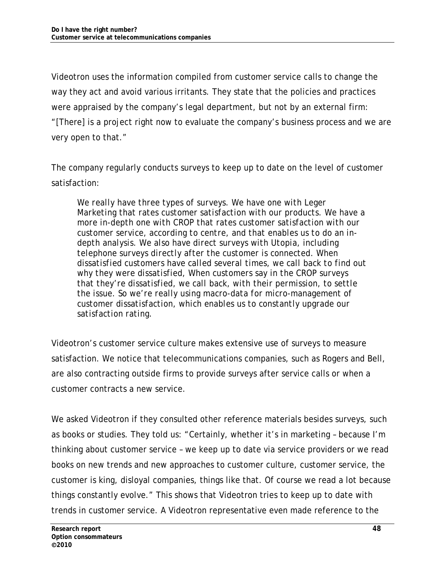Videotron uses the information compiled from customer service calls to change the way they act and avoid various irritants. They state that the policies and practices were appraised by the company's legal department, but not by an external firm: "[There] is a project right now to evaluate the company's business process and we are very open to that."

The company regularly conducts surveys to keep up to date on the level of customer satisfaction:

*We really have three types of surveys. We have one with Leger Marketing that rates customer satisfaction with our products. We have a more in-depth one with CROP that rates customer satisfaction with our customer service, according to centre, and that enables us to do an indepth analysis. We also have direct surveys with Utopia, including telephone surveys directly after the customer is connected. When dissatisfied customers have called several times, we call back to find out why they were dissatisfied, When customers say in the CROP surveys that they're dissatisfied, we call back, with their permission, to settle the issue. So we're really using macro-data for micro-management of customer dissatisfaction, which enables us to constantly upgrade our satisfaction rating.* 

Videotron's customer service culture makes extensive use of surveys to measure satisfaction. We notice that telecommunications companies, such as Rogers and Bell, are also contracting outside firms to provide surveys after service calls or when a customer contracts a new service.

We asked Videotron if they consulted other reference materials besides surveys, such as books or studies. They told us: "Certainly, whether it's in marketing – because I'm thinking about customer service – we keep up to date via service providers or we read books on new trends and new approaches to customer culture, customer service, the customer is king, disloyal companies, things like that. Of course we read a lot because things constantly evolve." This shows that Videotron tries to keep up to date with trends in customer service. A Videotron representative even made reference to the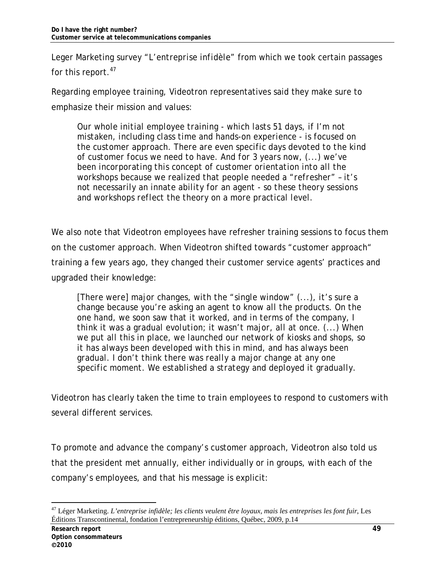Leger Marketing survey "*L'entreprise infidèle"* from which we took certain passages for this report.<sup>47</sup>

Regarding employee training, Videotron representatives said they make sure to emphasize their mission and values:

*Our whole initial employee training - which lasts 51 days, if I'm not mistaken, including class time and hands-on experience - is focused on the customer approach. There are even specific days devoted to the kind of customer focus we need to have. And for 3 years now, (...) we've been incorporating this concept of customer orientation into all the workshops because we realized that people needed a "refresher" – it's not necessarily an innate ability for an agent - so these theory sessions and workshops reflect the theory on a more practical level.* 

We also note that Videotron employees have refresher training sessions to focus them on the customer approach. When Videotron shifted towards "customer approach" training a few years ago, they changed their customer service agents' practices and upgraded their knowledge:

*[There were] major changes, with the "single window" (...), it's sure a change because you're asking an agent to know all the products. On the one hand, we soon saw that it worked, and in terms of the company, I think it was a gradual evolution; it wasn't major, all at once. (...) When we put all this in place, we launched our network of kiosks and shops, so it has always been developed with this in mind, and has always been gradual. I don't think there was really a major change at any one specific moment. We established a strategy and deployed it gradually.* 

Videotron has clearly taken the time to train employees to respond to customers with several different services.

To promote and advance the company's customer approach, Videotron also told us that the president met annually, either individually or in groups, with each of the company's employees, and that his message is explicit:

<sup>47</sup> Léger Marketing. *L'entreprise infidèle; les clients veulent être loyaux, mais les entreprises les font fuir*, Les Éditions Transcontinental, fondation l'entrepreneurship éditions, Québec, 2009, p.14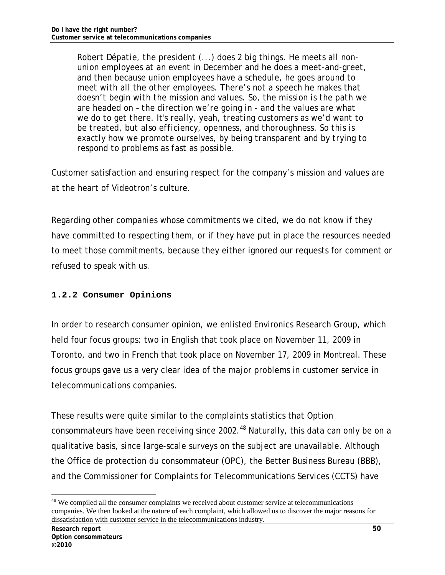*Robert Dépatie, the president (...) does 2 big things. He meets all nonunion employees at an event in December and he does a meet-and-greet, and then because union employees have a schedule, he goes around to meet with all the other employees. There's not a speech he makes that doesn't begin with the mission and values. So, the mission is the path we are headed on – the direction we're going in - and the values are what we do to get there. It's really, yeah, treating customers as we'd want to be treated, but also efficiency, openness, and thoroughness. So this is exactly how we promote ourselves, by being transparent and by trying to respond to problems as fast as possible.* 

Customer satisfaction and ensuring respect for the company's mission and values are at the heart of Videotron's culture.

Regarding other companies whose commitments we cited, we do not know if they have committed to respecting them, or if they have put in place the resources needed to meet those commitments, because they either ignored our requests for comment or refused to speak with us.

#### **1.2.2 Consumer Opinions**

In order to research consumer opinion, we enlisted Environics Research Group, which held four focus groups: two in English that took place on November 11, 2009 in Toronto, and two in French that took place on November 17, 2009 in Montreal. These focus groups gave us a very clear idea of the major problems in customer service in telecommunications companies.

These results were quite similar to the complaints statistics that Option consommateurs have been receiving since 2002.<sup>48</sup> Naturally, this data can only be on a qualitative basis, since large-scale surveys on the subject are unavailable. Although the Office de protection du consommateur (OPC), the Better Business Bureau (BBB), and the Commissioner for Complaints for Telecommunications Services (CCTS) have

<sup>&</sup>lt;sup>48</sup> We compiled all the consumer complaints we received about customer service at telecommunications companies. We then looked at the nature of each complaint, which allowed us to discover the major reasons for dissatisfaction with customer service in the telecommunications industry.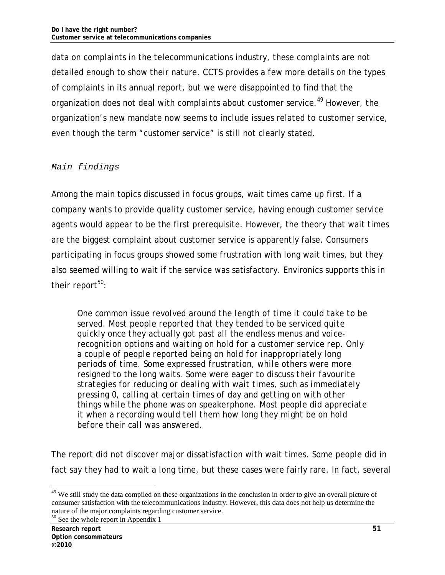data on complaints in the telecommunications industry, these complaints are not detailed enough to show their nature. CCTS provides a few more details on the types of complaints in its annual report, but we were disappointed to find that the organization does not deal with complaints about customer service.<sup>49</sup> However, the organization's new mandate now seems to include issues related to customer service, even though the term "customer service" is still not clearly stated.

#### *Main findings*

Among the main topics discussed in focus groups, wait times came up first. If a company wants to provide quality customer service, having enough customer service agents would appear to be the first prerequisite. However, the theory that wait times are the biggest complaint about customer service is apparently false. Consumers participating in focus groups showed some frustration with long wait times, but they also seemed willing to wait if the service was satisfactory. Environics supports this in their report $50$ :

*One common issue revolved around the length of time it could take to be served. Most people reported that they tended to be serviced quite quickly once they actually got past all the endless menus and voicerecognition options and waiting on hold for a customer service rep. Only a couple of people reported being on hold for inappropriately long periods of time. Some expressed frustration, while others were more resigned to the long waits. Some were eager to discuss their favourite strategies for reducing or dealing with wait times, such as immediately pressing 0, calling at certain times of day and getting on with other things while the phone was on speakerphone. Most people did appreciate it when a recording would tell them how long they might be on hold before their call was answered.* 

The report did not discover major dissatisfaction with wait times. Some people did in fact say they had to wait a long time, but these cases were fairly rare. In fact, several

<sup>&</sup>lt;sup>49</sup> We still study the data compiled on these organizations in the conclusion in order to give an overall picture of consumer satisfaction with the telecommunications industry. However, this data does not help us determine the nature of the major complaints regarding customer service.

<sup>50</sup> See the whole report in Appendix 1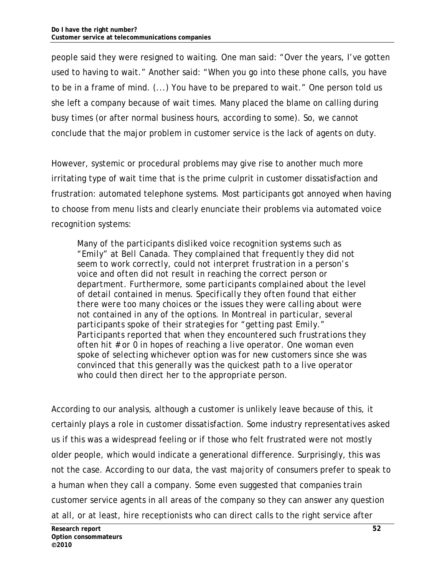people said they were resigned to waiting. One man said: "Over the years, I've gotten used to having to wait." Another said: "When you go into these phone calls, you have to be in a frame of mind. (...) You have to be prepared to wait." One person told us she left a company because of wait times. Many placed the blame on calling during busy times (or after normal business hours, according to some). So, we cannot conclude that the major problem in customer service is the lack of agents on duty.

However, systemic or procedural problems may give rise to another much more irritating type of wait time that is the prime culprit in customer dissatisfaction and frustration: automated telephone systems. Most participants got annoyed when having to choose from menu lists and clearly enunciate their problems via automated voice recognition systems:

*Many of the participants disliked voice recognition systems such as "Emily" at Bell Canada. They complained that frequently they did not seem to work correctly, could not interpret frustration in a person's voice and often did not result in reaching the correct person or department. Furthermore, some participants complained about the level of detail contained in menus. Specifically they often found that either there were too many choices or the issues they were calling about were not contained in any of the options. In Montreal in particular, several participants spoke of their strategies for "getting past Emily." Participants reported that when they encountered such frustrations they often hit # or 0 in hopes of reaching a live operator. One woman even spoke of selecting whichever option was for new customers since she was convinced that this generally was the quickest path to a live operator who could then direct her to the appropriate person.* 

According to our analysis, although a customer is unlikely leave because of this, it certainly plays a role in customer dissatisfaction. Some industry representatives asked us if this was a widespread feeling or if those who felt frustrated were not mostly older people, which would indicate a generational difference. Surprisingly, this was not the case. According to our data, the vast majority of consumers prefer to speak to a human when they call a company. Some even suggested that companies train customer service agents in all areas of the company so they can answer any question at all, or at least, hire receptionists who can direct calls to the right service after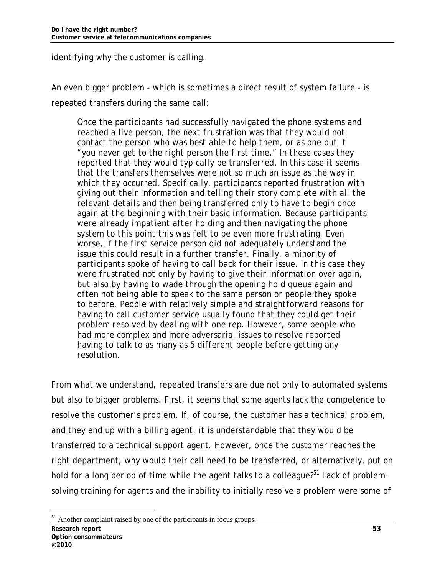identifying why the customer is calling.

An even bigger problem - which is sometimes a direct result of system failure - is repeated transfers during the same call:

*Once the participants had successfully navigated the phone systems and reached a live person, the next frustration was that they would not contact the person who was best able to help them, or as one put it "you never get to the right person the first time." In these cases they reported that they would typically be transferred. In this case it seems that the transfers themselves were not so much an issue as the way in which they occurred. Specifically, participants reported frustration with giving out their information and telling their story complete with all the relevant details and then being transferred only to have to begin once again at the beginning with their basic information. Because participants were already impatient after holding and then navigating the phone system to this point this was felt to be even more frustrating. Even worse, if the first service person did not adequately understand the issue this could result in a further transfer. Finally, a minority of participants spoke of having to call back for their issue. In this case they were frustrated not only by having to give their information over again, but also by having to wade through the opening hold queue again and often not being able to speak to the same person or people they spoke to before. People with relatively simple and straightforward reasons for having to call customer service usually found that they could get their problem resolved by dealing with one rep. However, some people who had more complex and more adversarial issues to resolve reported having to talk to as many as 5 different people before getting any resolution.* 

From what we understand, repeated transfers are due not only to automated systems but also to bigger problems. First, it seems that some agents lack the competence to resolve the customer's problem. If, of course, the customer has a technical problem, and they end up with a billing agent, it is understandable that they would be transferred to a technical support agent. However, once the customer reaches the right department, why would their call need to be transferred, or alternatively, put on hold for a long period of time while the agent talks to a colleague?<sup>51</sup> Lack of problemsolving training for agents and the inability to initially resolve a problem were some of

<sup>-</sup><sup>51</sup> Another complaint raised by one of the participants in focus groups.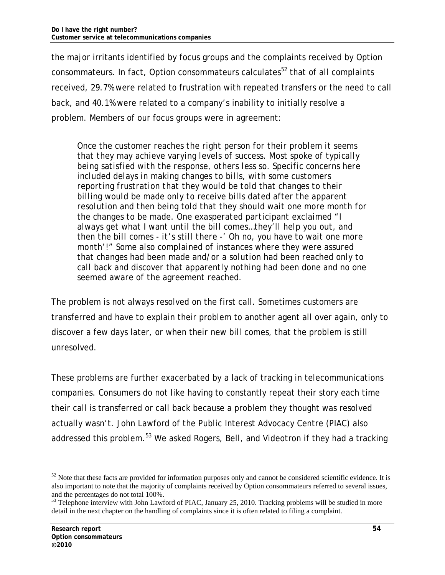the major irritants identified by focus groups and the complaints received by Option consommateurs. In fact, Option consommateurs calculates<sup>52</sup> that of all complaints received, 29.7% were related to frustration with repeated transfers or the need to call back, and 40.1% were related to a company's inability to initially resolve a problem. Members of our focus groups were in agreement:

*Once the customer reaches the right person for their problem it seems that they may achieve varying levels of success. Most spoke of typically being satisfied with the response, others less so. Specific concerns here included delays in making changes to bills, with some customers reporting frustration that they would be told that changes to their billing would be made only to receive bills dated after the apparent resolution and then being told that they should wait one more month for the changes to be made. One exasperated participant exclaimed "I always get what I want until the bill comes…they'll help you out, and then the bill comes - it's still there -' Oh no, you have to wait one more month'!" Some also complained of instances where they were assured that changes had been made and/or a solution had been reached only to call back and discover that apparently nothing had been done and no one seemed aware of the agreement reached.* 

The problem is not always resolved on the first call. Sometimes customers are transferred and have to explain their problem to another agent all over again, only to discover a few days later, or when their new bill comes, that the problem is still unresolved.

These problems are further exacerbated by a lack of tracking in telecommunications companies. Consumers do not like having to constantly repeat their story each time their call is transferred or call back because a problem they thought was resolved actually wasn't. John Lawford of the Public Interest Advocacy Centre (PIAC) also addressed this problem.<sup>53</sup> We asked Rogers, Bell, and Videotron if they had a tracking

 $52$  Note that these facts are provided for information purposes only and cannot be considered scientific evidence. It is also important to note that the majority of complaints received by Option consommateurs referred to several issues, and the percentages do not total 100%.

<sup>&</sup>lt;sup>53</sup> Telephone interview with John Lawford of PIAC, January 25, 2010. Tracking problems will be studied in more detail in the next chapter on the handling of complaints since it is often related to filing a complaint.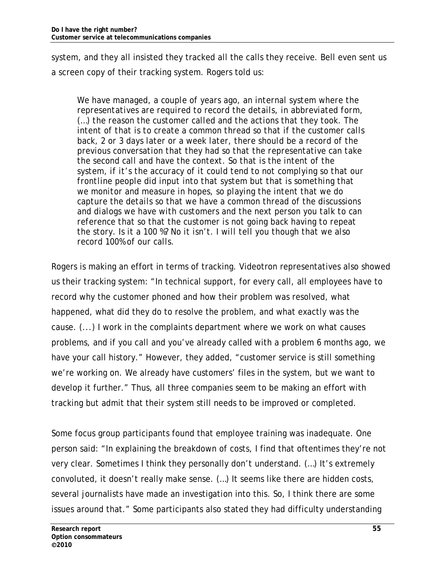system, and they all insisted they tracked all the calls they receive. Bell even sent us a screen copy of their tracking system. Rogers told us:

*We have managed, a couple of years ago, an internal system where the representatives are required to record the details, in abbreviated form, (…) the reason the customer called and the actions that they took. The intent of that is to create a common thread so that if the customer calls back, 2 or 3 days later or a week later, there should be a record of the previous conversation that they had so that the representative can take the second call and have the context. So that is the intent of the system, if it's the accuracy of it could tend to not complying so that our frontline people did input into that system but that is something that we monitor and measure in hopes, so playing the intent that we do capture the details so that we have a common thread of the discussions and dialogs we have with customers and the next person you talk to can reference that so that the customer is not going back having to repeat the story. Is it a 100 %? No it isn't. I will tell you though that we also record 100% of our calls.* 

Rogers is making an effort in terms of tracking. Videotron representatives also showed us their tracking system: "In technical support, for every call, all employees have to record why the customer phoned and how their problem was resolved, what happened, what did they do to resolve the problem, and what exactly was the cause. (...) I work in the complaints department where we work on what causes problems, and if you call and you've already called with a problem 6 months ago, we have your call history." However, they added, "customer service is still something we're working on. We already have customers' files in the system, but we want to develop it further." Thus, all three companies seem to be making an effort with tracking but admit that their system still needs to be improved or completed.

Some focus group participants found that employee training was inadequate. One person said: "In explaining the breakdown of costs, I find that oftentimes they're not very clear. Sometimes I think they personally don't understand. (…) It's extremely convoluted, it doesn't really make sense. (…) It seems like there are hidden costs, several journalists have made an investigation into this. So, I think there are some issues around that." Some participants also stated they had difficulty understanding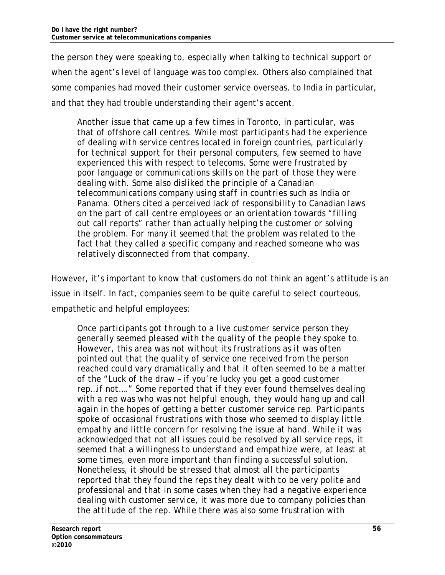the person they were speaking to, especially when talking to technical support or when the agent's level of language was too complex. Others also complained that some companies had moved their customer service overseas, to India in particular, and that they had trouble understanding their agent's accent.

*Another issue that came up a few times in Toronto, in particular, was that of offshore call centres. While most participants had the experience of dealing with service centres located in foreign countries, particularly for technical support for their personal computers, few seemed to have experienced this with respect to telecoms. Some were frustrated by poor language or communications skills on the part of those they were dealing with. Some also disliked the principle of a Canadian telecommunications company using staff in countries such as India or Panama. Others cited a perceived lack of responsibility to Canadian laws on the part of call centre employees or an orientation towards "filling out call reports" rather than actually helping the customer or solving the problem. For many it seemed that the problem was related to the fact that they called a specific company and reached someone who was relatively disconnected from that company.* 

However, it's important to know that customers do not think an agent's attitude is an issue in itself. In fact, companies seem to be quite careful to select courteous, empathetic and helpful employees:

*Once participants got through to a live customer service person they generally seemed pleased with the quality of the people they spoke to. However, this area was not without its frustrations as it was often pointed out that the quality of service one received from the person reached could vary dramatically and that it often seemed to be a matter of the "Luck of the draw – if you're lucky you get a good customer rep…if not…." Some reported that if they ever found themselves dealing with a rep was who was not helpful enough, they would hang up and call again in the hopes of getting a better customer service rep. Participants spoke of occasional frustrations with those who seemed to display little empathy and little concern for resolving the issue at hand. While it was acknowledged that not all issues could be resolved by all service reps, it seemed that a willingness to understand and empathize were, at least at some times, even more important than finding a successful solution. Nonetheless, it should be stressed that almost all the participants reported that they found the reps they dealt with to be very polite and professional and that in some cases when they had a negative experience dealing with customer service, it was more due to company policies than the attitude of the rep. While there was also some frustration with*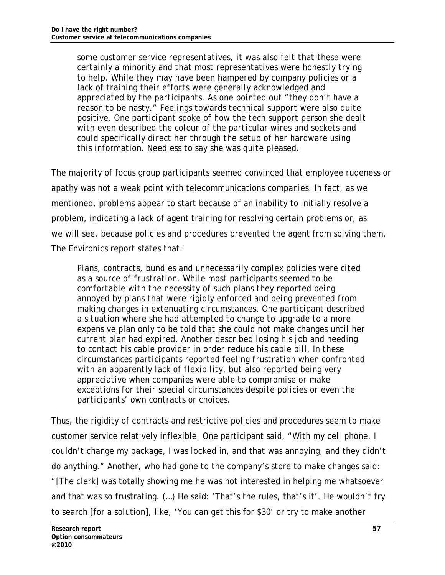*some customer service representatives, it was also felt that these were certainly a minority and that most representatives were honestly trying to help. While they may have been hampered by company policies or a lack of training their efforts were generally acknowledged and appreciated by the participants. As one pointed out "they don't have a reason to be nasty." Feelings towards technical support were also quite positive. One participant spoke of how the tech support person she dealt with even described the colour of the particular wires and sockets and could specifically direct her through the setup of her hardware using this information. Needless to say she was quite pleased.* 

The majority of focus group participants seemed convinced that employee rudeness or apathy was not a weak point with telecommunications companies. In fact, as we mentioned, problems appear to start because of an inability to initially resolve a problem, indicating a lack of agent training for resolving certain problems or, as we will see, because policies and procedures prevented the agent from solving them. The Environics report states that:

*Plans, contracts, bundles and unnecessarily complex policies were cited as a source of frustration. While most participants seemed to be comfortable with the necessity of such plans they reported being annoyed by plans that were rigidly enforced and being prevented from making changes in extenuating circumstances. One participant described a situation where she had attempted to change to upgrade to a more expensive plan only to be told that she could not make changes until her current plan had expired. Another described losing his job and needing to contact his cable provider in order reduce his cable bill. In these circumstances participants reported feeling frustration when confronted with an apparently lack of flexibility, but also reported being very appreciative when companies were able to compromise or make exceptions for their special circumstances despite policies or even the participants' own contracts or choices.* 

Thus, the rigidity of contracts and restrictive policies and procedures seem to make customer service relatively inflexible. One participant said, "With my cell phone, I couldn't change my package, I was locked in, and that was annoying, and they didn't do anything." Another, who had gone to the company's store to make changes said: "[The clerk] was totally showing me he was not interested in helping me whatsoever and that was so frustrating. (…) He said: 'That's the rules, that's it'. He wouldn't try to search [for a solution], like, 'You can get this for \$30' or try to make another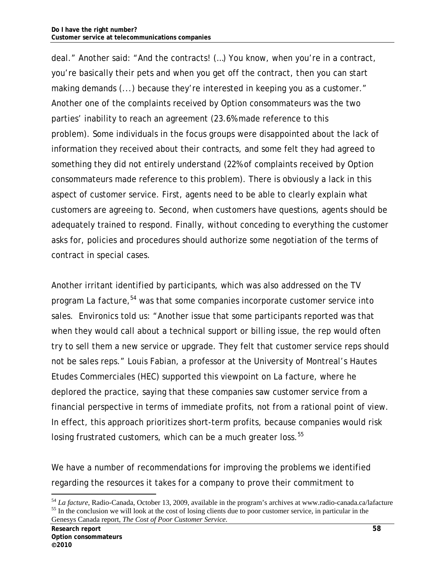deal." Another said: "And the contracts! (…) You know, when you're in a contract, you're basically their pets and when you get off the contract, *then* you can start making demands (...) because they're interested in keeping you as a customer." Another one of the complaints received by Option consommateurs was the two parties' inability to reach an agreement (23.6% made reference to this problem). Some individuals in the focus groups were disappointed about the lack of information they received about their contracts, and some felt they had agreed to something they did not entirely understand (22% of complaints received by Option consommateurs made reference to this problem). There is obviously a lack in this aspect of customer service. First, agents need to be able to clearly explain what customers are agreeing to. Second, when customers have questions, agents should be adequately trained to respond. Finally, without conceding to everything the customer asks for, policies and procedures should authorize some negotiation of the terms of contract in special cases.

Another irritant identified by participants, which was also addressed on the TV program *La facture,<sup>54</sup>* was that some companies incorporate customer service into sales. Environics told us: "Another issue that some participants reported was that when they would call about a technical support or billing issue, the rep would often try to sell them a new service or upgrade. They felt that customer service reps should not be sales reps." Louis Fabian, a professor at the University of Montreal's Hautes Etudes Commerciales (HEC) supported this viewpoint on *La facture,* where he deplored the practice, saying that these companies saw customer service from a financial perspective in terms of immediate profits, not from a rational point of view. In effect, this approach prioritizes short-term profits, because companies would risk losing frustrated customers, which can be a much greater loss.<sup>55</sup>

We have a number of recommendations for improving the problems we identified regarding the resources it takes for a company to prove their commitment to

 $^{54}$  *La facture*, Radio-Canada, October 13, 2009, available in the program's archives at www.radio-canada.ca/lafacture  $^{55}$  In the conclusion we will look at the cost of losing clients due to poor customer service, i Genesys Canada report, *The Cost of Poor Customer Service*.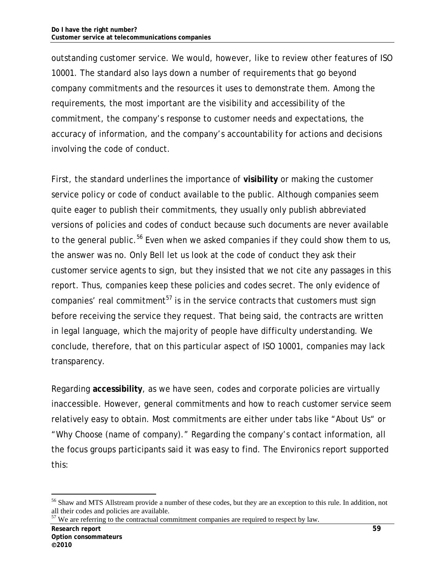outstanding customer service. We would, however, like to review other features of ISO 10001. The standard also lays down a number of requirements that go beyond company commitments and the resources it uses to demonstrate them. Among the requirements, the most important are the visibility and accessibility of the commitment, the company's response to customer needs and expectations, the accuracy of information, and the company's accountability for actions and decisions involving the code of conduct.

First, the standard underlines the importance of **visibility** or making the customer service policy or code of conduct available to the public. Although companies seem quite eager to publish their commitments, they usually only publish abbreviated versions of policies and codes of conduct because such documents are never available to the general public.<sup>56</sup> Even when we asked companies if they could show them to us, the answer was no. Only Bell let us look at the code of conduct they ask their customer service agents to sign, but they insisted that we not cite any passages in this report. Thus, companies keep these policies and codes secret. The only evidence of companies' real commitment<sup>57</sup> is in the service contracts that customers must sign before receiving the service they request. That being said, the contracts are written in legal language, which the majority of people have difficulty understanding. We conclude, therefore, that on this particular aspect of ISO 10001, companies may lack transparency.

Regarding **accessibility**, as we have seen, codes and corporate policies are virtually inaccessible. However, general commitments and how to reach customer service seem relatively easy to obtain. Most commitments are either under tabs like "About Us" or "Why Choose (name of company)." Regarding the company's contact information, all the focus groups participants said it was easy to find. The Environics report supported this:

<sup>&</sup>lt;sup>56</sup> Shaw and MTS Allstream provide a number of these codes, but they are an exception to this rule. In addition, not all their codes and policies are available.

 $57$  We are referring to the contractual commitment companies are required to respect by law.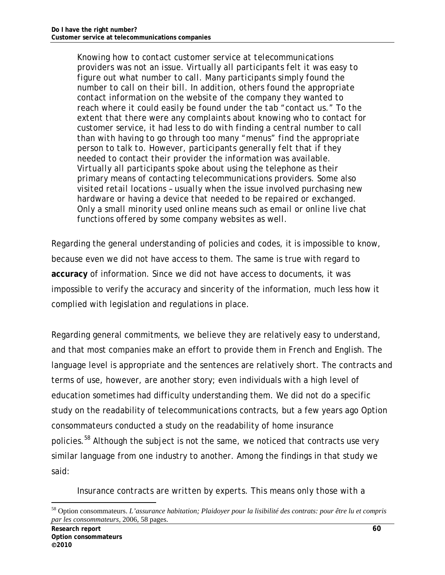*Knowing how to contact customer service at telecommunications providers was not an issue. Virtually all participants felt it was easy to figure out what number to call. Many participants simply found the number to call on their bill. In addition, others found the appropriate contact information on the website of the company they wanted to reach where it could easily be found under the tab "contact us." To the extent that there were any complaints about knowing who to contact for customer service, it had less to do with finding a central number to call than with having to go through too many "menus" find the appropriate person to talk to. However, participants generally felt that if they needed to contact their provider the information was available. Virtually all participants spoke about using the telephone as their primary means of contacting telecommunications providers. Some also visited retail locations – usually when the issue involved purchasing new hardware or having a device that needed to be repaired or exchanged. Only a small minority used online means such as email or online live chat functions offered by some company websites as well.* 

Regarding the general understanding of policies and codes, it is impossible to know, because even we did not have access to them. The same is true with regard to **accuracy** of information. Since we did not have access to documents, it was impossible to verify the accuracy and sincerity of the information, much less how it complied with legislation and regulations in place.

Regarding general commitments, we believe they are relatively easy to understand, and that most companies make an effort to provide them in French and English. The language level is appropriate and the sentences are relatively short. The contracts and terms of use, however, are another story; even individuals with a high level of education sometimes had difficulty understanding them. We did not do a specific study on the readability of telecommunications contracts, but a few years ago Option consommateurs conducted a study on the readability of home insurance policies.<sup>58</sup> Although the subject is not the same, we noticed that contracts use very similar language from one industry to another. Among the findings in that study we said:

*Insurance contracts are written by experts. This means only those with a* 

<sup>58</sup> Option consommateurs. *L'assurance habitation; Plaidoyer pour la lisibilité des contrats: pour être lu et compris par les consommateurs*, 2006, 58 pages.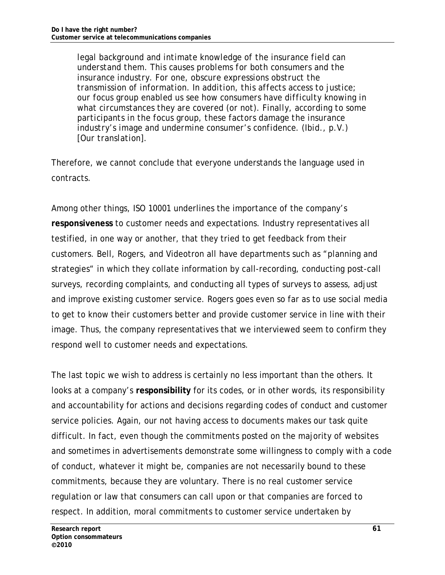*legal background and intimate knowledge of the insurance field can understand them. This causes problems for both consumers and the insurance industry. For one, obscure expressions obstruct the transmission of information. In addition, this affects access to justice; our focus group enabled us see how consumers have difficulty knowing in what circumstances they are covered (or not). Finally, according to some participants in the focus group, these factors damage the insurance industry's image and undermine consumer's confidence. (Ibid., p.V.) [Our translation].* 

Therefore, we cannot conclude that everyone understands the language used in contracts.

Among other things, ISO 10001 underlines the importance of the company's **responsiveness** to customer needs and expectations. Industry representatives all testified, in one way or another, that they tried to get feedback from their customers. Bell, Rogers, and Videotron all have departments such as "planning and strategies" in which they collate information by call-recording, conducting post-call surveys, recording complaints, and conducting all types of surveys to assess, adjust and improve existing customer service. Rogers goes even so far as to use social media to get to know their customers better and provide customer service in line with their image. Thus, the company representatives that we interviewed seem to confirm they respond well to customer needs and expectations.

The last topic we wish to address is certainly no less important than the others. It looks at a company's **responsibility** for its codes, or in other words, its responsibility and accountability for actions and decisions regarding codes of conduct and customer service policies. Again, our not having access to documents makes our task quite difficult. In fact, even though the commitments posted on the majority of websites and sometimes in advertisements demonstrate some willingness to comply with a code of conduct, whatever it might be, companies are not necessarily bound to these commitments, because they are voluntary. There is no real customer service regulation or law that consumers can call upon or that companies are forced to respect. In addition, moral commitments to customer service undertaken by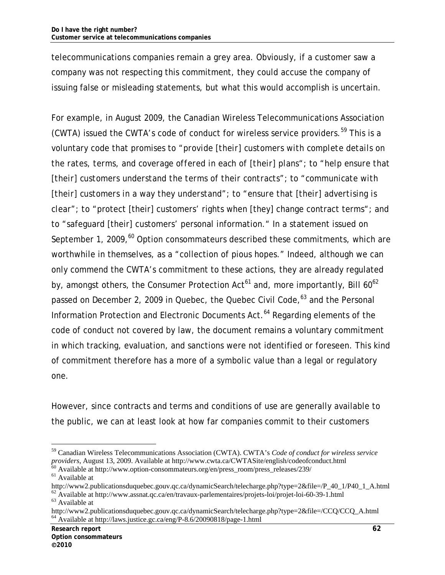telecommunications companies remain a grey area. Obviously, if a customer saw a company was not respecting this commitment, they could accuse the company of issuing false or misleading statements, but what this would accomplish is uncertain.

For example, in August 2009, the Canadian Wireless Telecommunications Association (CWTA) issued the CWTA's code of conduct for wireless service providers.<sup>59</sup> This is a voluntary code that promises to "*provide [their] customers with complete details on the rates, terms, and coverage offered in each of [their] plans";* to "h*elp ensure that [their] customers understand the terms of their contracts";* to "*communicate with [their] customers in a way they understand";* to *"ensure that [their] advertising is clear"; to "*protect [their] customers' rights when [they] change contract terms"; and to "safeguard [their] customers' personal information." In a statement issued on September 1, 2009, $^{60}$  Option consommateurs described these commitments, which are worthwhile in themselves, as a "collection of pious hopes." Indeed, although we can only commend the CWTA's commitment to these actions, they are already regulated by, amongst others, the Consumer Protection  $Act^{61}$  and, more importantly, Bill  $60^{62}$ passed on December 2, 2009 in Quebec, the Quebec Civil Code,<sup>63</sup> and the Personal Information Protection and Electronic Documents Act.<sup>64</sup> Regarding elements of the code of conduct not covered by law, the document remains a voluntary commitment in which tracking, evaluation, and sanctions were not identified or foreseen. This kind of commitment therefore has a more of a symbolic value than a legal or regulatory one.

However, since contracts and terms and conditions of use are generally available to the public, we can at least look at how far companies commit to their customers

<sup>59</sup> Canadian Wireless Telecommunications Association (CWTA). CWTA's *Code of conduct for wireless service* 

*providers*, August 13, 2009. Available at http://www.cwta.ca/CWTASite/english/codeofconduct.html<br>
<sup>60</sup> Available at http://www.option-consommateurs.org/en/press\_room/press\_releases/239/<br>
<sup>61</sup> Available at http://www2.publ

 $h^{62}$  Available at http://www.assnat.qc.ca/en/travaux-parlementaires/projets-loi/projet-loi-60-39-1.html  $h^{63}$  Available at

http://www2.publicationsduquebec.gouv.qc.ca/dynamicSearch/telecharge.php?type=2&file=/CCQ/CCQ\_A.html 64 Available at http://laws.justice.gc.ca/eng/P-8.6/20090818/page-1.html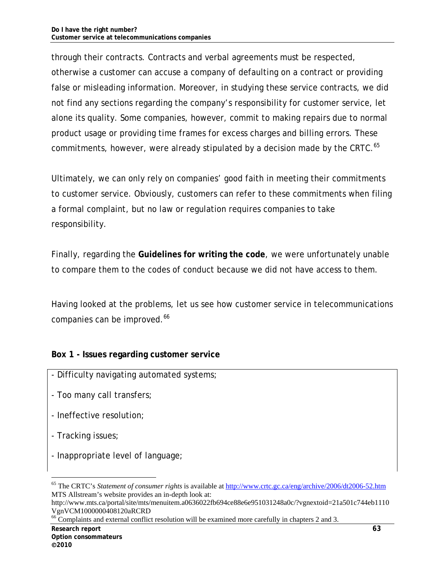through their contracts. Contracts and verbal agreements must be respected, otherwise a customer can accuse a company of defaulting on a contract or providing false or misleading information. Moreover, in studying these service contracts, we did not find any sections regarding the company's responsibility for customer service, let alone its quality. Some companies, however, commit to making repairs due to normal product usage or providing time frames for excess charges and billing errors. These commitments, however, were already stipulated by a decision made by the CRTC.<sup>65</sup>

Ultimately, we can only rely on companies' good faith in meeting their commitments to customer service. Obviously, customers can refer to these commitments when filing a formal complaint, but no law or regulation requires companies to take responsibility.

Finally, regarding the **Guidelines for writing the code**, we were unfortunately unable to compare them to the codes of conduct because we did not have access to them.

Having looked at the problems, let us see how customer service in telecommunications companies can be improved.<sup>66</sup>

#### **Box 1 - Issues regarding customer service**

- Difficulty navigating automated systems;
- Too many call transfers;
- Ineffective resolution;
- Tracking issues;

-

- Inappropriate level of language;

<sup>65</sup> The CRTC's *Statement of consumer rights* is available at http://www.crtc.gc.ca/eng/archive/2006/dt2006-52.htm MTS Allstream's website provides an in-depth look at:

http://www.mts.ca/portal/site/mts/menuitem.a0636022fb694ce88e6e951031248a0c/?vgnextoid=21a501c744eb1110 VgnVCM1000000408120aRCRD

 $^{66}$  Complaints and external conflict resolution will be examined more carefully in chapters 2 and 3.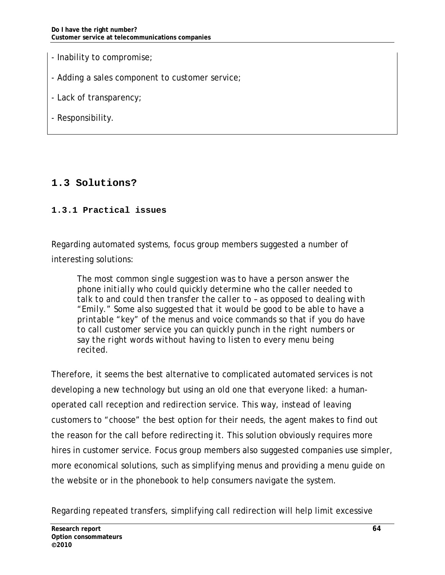- Inability to compromise;
- Adding a sales component to customer service;
- Lack of transparency;
- Responsibility.

## **1.3 Solutions?**

#### **1.3.1 Practical issues**

Regarding automated systems, focus group members suggested a number of interesting solutions:

*The most common single suggestion was to have a person answer the phone initially who could quickly determine who the caller needed to talk to and could then transfer the caller to – as opposed to dealing with "Emily." Some also suggested that it would be good to be able to have a printable "key" of the menus and voice commands so that if you do have to call customer service you can quickly punch in the right numbers or say the right words without having to listen to every menu being recited.* 

Therefore, it seems the best alternative to complicated automated services is not developing a new technology but using an old one that everyone liked: a humanoperated call reception and redirection service. This way, instead of leaving customers to "choose" the best option for their needs, the agent makes to find out the reason for the call before redirecting it. This solution obviously requires more hires in customer service. Focus group members also suggested companies use simpler, more economical solutions, such as simplifying menus and providing a menu guide on the website or in the phonebook to help consumers navigate the system.

Regarding repeated transfers, simplifying call redirection will help limit excessive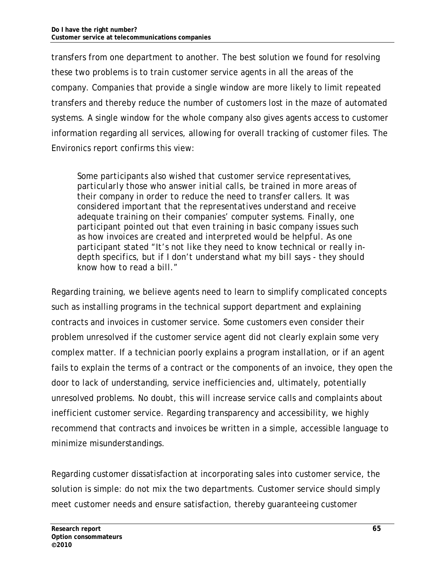transfers from one department to another. The best solution we found for resolving these two problems is to train customer service agents in all the areas of the company. Companies that provide a single window are more likely to limit repeated transfers and thereby reduce the number of customers lost in the maze of automated systems. A single window for the whole company also gives agents access to customer information regarding all services, allowing for overall tracking of customer files. The Environics report confirms this view:

*Some participants also wished that customer service representatives, particularly those who answer initial calls, be trained in more areas of their company in order to reduce the need to transfer callers. It was considered important that the representatives understand and receive adequate training on their companies' computer systems. Finally, one participant pointed out that even training in basic company issues such as how invoices are created and interpreted would be helpful. As one participant stated "It's not like they need to know technical or really indepth specifics, but if I don't understand what my bill says - they should know how to read a bill."* 

Regarding training, we believe agents need to learn to simplify complicated concepts such as installing programs in the technical support department and explaining contracts and invoices in customer service. Some customers even consider their problem unresolved if the customer service agent did not clearly explain some very complex matter. If a technician poorly explains a program installation, or if an agent fails to explain the terms of a contract or the components of an invoice, they open the door to lack of understanding, service inefficiencies and, ultimately, potentially unresolved problems. No doubt, this will increase service calls and complaints about inefficient customer service. Regarding transparency and accessibility, we highly recommend that contracts and invoices be written in a simple, accessible language to minimize misunderstandings.

Regarding customer dissatisfaction at incorporating sales into customer service, the solution is simple: do not mix the two departments. Customer service should simply meet customer needs and ensure satisfaction, thereby guaranteeing customer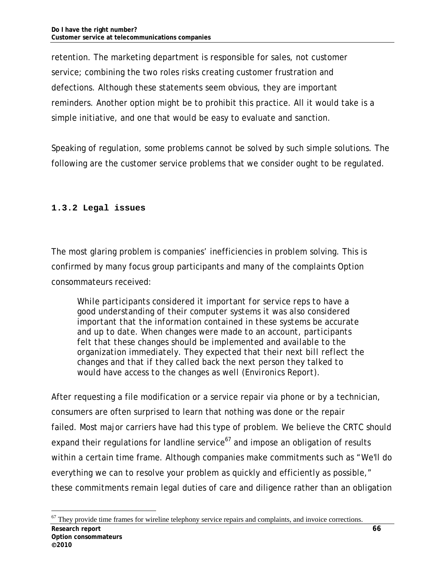retention. The marketing department is responsible for sales, not customer service; combining the two roles risks creating customer frustration and defections. Although these statements seem obvious, they are important reminders. Another option might be to prohibit this practice. All it would take is a simple initiative, and one that would be easy to evaluate and sanction.

Speaking of regulation, some problems cannot be solved by such simple solutions. The following are the customer service problems that we consider ought to be regulated.

## **1.3.2 Legal issues**

The most glaring problem is companies' inefficiencies in problem solving. This is confirmed by many focus group participants and many of the complaints Option consommateurs received:

*While participants considered it important for service reps to have a good understanding of their computer systems it was also considered important that the information contained in these systems be accurate and up to date. When changes were made to an account, participants felt that these changes should be implemented and available to the organization immediately. They expected that their next bill reflect the changes and that if they called back the next person they talked to would have access to the changes as well (Environics Report).* 

After requesting a file modification or a service repair via phone or by a technician, consumers are often surprised to learn that nothing was done or the repair failed. Most major carriers have had this type of problem. We believe the CRTC should expand their regulations for landline service<sup> $67$ </sup> and impose an obligation of results within a certain time frame. Although companies make commitments such as "We'll do everything we can to resolve your problem as quickly and efficiently as possible," these commitments remain legal duties of care and diligence rather than an obligation

**Research report 66 Option consommateurs 2010** - $67$  They provide time frames for wireline telephony service repairs and complaints, and invoice corrections.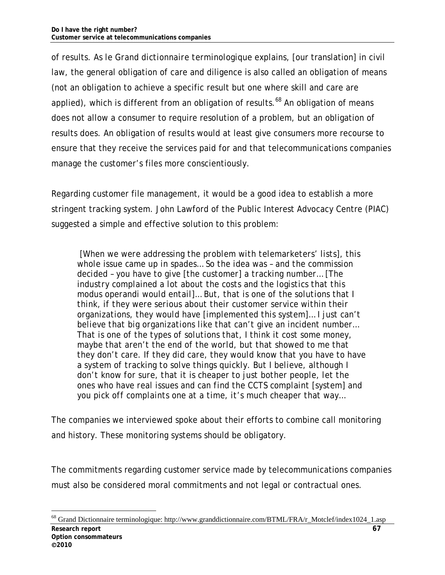of results. As *le Grand dictionnaire terminologique* explains, [our translation] in civil law, the general obligation of care and diligence is also called an obligation of means (not an obligation to achieve a specific result but one where skill and care are applied), which is different from an obligation of results. $68$  An obligation of means does not allow a consumer to require resolution of a problem, but an obligation of results does. An obligation of results would at least give consumers more recourse to ensure that they receive the services paid for and that telecommunications companies manage the customer's files more conscientiously.

Regarding customer file management, it would be a good idea to establish a more stringent tracking system. John Lawford of the Public Interest Advocacy Centre (PIAC) suggested a simple and effective solution to this problem:

 *[When we were addressing the problem with telemarketers' lists], this whole issue came up in spades… So the idea was – and the commission decided – you have to give [the customer] a tracking number… [The industry complained a lot about the costs and the logistics that this modus operandi would entail]… But, that is one of the solutions that I think, if they were serious about their customer service within their organizations, they would have [implemented this system]… I just can't believe that big organizations like that can't give an incident number… That is one of the types of solutions that, I think it cost some money, maybe that aren't the end of the world, but that showed to me that they don't care. If they did care, they would know that you have to have a system of tracking to solve things quickly. But I believe, although I don't know for sure, that it is cheaper to just bother people, let the ones who have real issues and can find the CCTS complaint [system] and you pick off complaints one at a time, it's much cheaper that way…* 

The companies we interviewed spoke about their efforts to combine call monitoring and history. These monitoring systems should be obligatory.

The commitments regarding customer service made by telecommunications companies must also be considered moral commitments and not legal or contractual ones.

**Research report** 67 **Option consommateurs 2010** -68 Grand Dictionnaire terminologique: http://www.granddictionnaire.com/BTML/FRA/r\_Motclef/index1024\_1.asp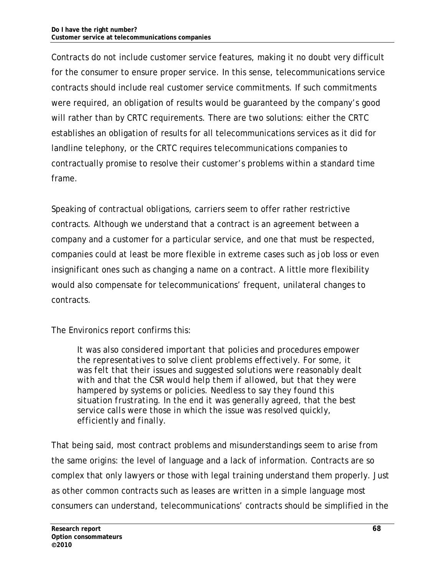Contracts do not include customer service features, making it no doubt very difficult for the consumer to ensure proper service. In this sense, telecommunications service contracts should include real customer service commitments. If such commitments were required, an obligation of results would be guaranteed by the company's good will rather than by CRTC requirements. There are two solutions: either the CRTC establishes an obligation of results for all telecommunications services as it did for landline telephony, or the CRTC requires telecommunications companies to contractually promise to resolve their customer's problems within a standard time frame.

Speaking of contractual obligations, carriers seem to offer rather restrictive contracts. Although we understand that a contract is an agreement between a company and a customer for a particular service, and one that must be respected, companies could at least be more flexible in extreme cases such as job loss or even insignificant ones such as changing a name on a contract. A little more flexibility would also compensate for telecommunications' frequent, unilateral changes to contracts.

The Environics report confirms this:

*It was also considered important that policies and procedures empower the representatives to solve client problems effectively. For some, it was felt that their issues and suggested solutions were reasonably dealt with and that the CSR would help them if allowed, but that they were hampered by systems or policies. Needless to say they found this situation frustrating. In the end it was generally agreed, that the best service calls were those in which the issue was resolved quickly, efficiently and finally.* 

That being said, most contract problems and misunderstandings seem to arise from the same origins: the level of language and a lack of information. Contracts are so complex that only lawyers or those with legal training understand them properly. Just as other common contracts such as leases are written in a simple language most consumers can understand, telecommunications' contracts should be simplified in the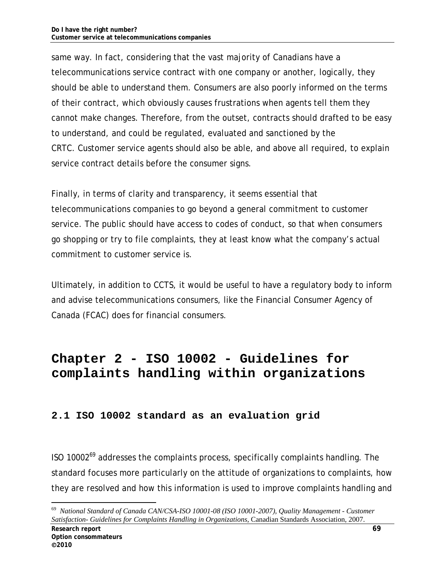same way. In fact, considering that the vast majority of Canadians have a telecommunications service contract with one company or another, logically, they should be able to understand them. Consumers are also poorly informed on the terms of their contract, which obviously causes frustrations when agents tell them they cannot make changes. Therefore, from the outset, contracts should drafted to be easy to understand, and could be regulated, evaluated and sanctioned by the CRTC. Customer service agents should also be able, and above all required, to explain service contract details before the consumer signs.

Finally, in terms of clarity and transparency, it seems essential that telecommunications companies to go beyond a general commitment to customer service. The public should have access to codes of conduct, so that when consumers go shopping or try to file complaints, they at least know what the company's actual commitment to customer service is.

Ultimately, in addition to CCTS, it would be useful to have a regulatory body to inform and advise telecommunications consumers, like the Financial Consumer Agency of Canada (FCAC) does for financial consumers.

# **Chapter 2 - ISO 10002 - Guidelines for complaints handling within organizations**

### **2.1 ISO 10002 standard as an evaluation grid**

ISO 10002 $^{69}$  addresses the complaints process, specifically complaints handling. The standard focuses more particularly on the attitude of organizations to complaints, how they are resolved and how this information is used to improve complaints handling and

<sup>69</sup> *National Standard of Canada CAN/CSA-ISO 10001-08 (ISO 10001-2007), Quality Management - Customer Satisfaction- Guidelines for Complaints Handling in Organizations*, Canadian Standards Association, 2007.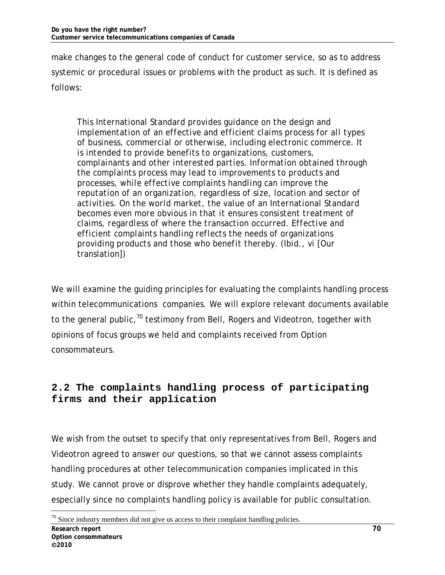make changes to the general code of conduct for customer service, so as to address systemic or procedural issues or problems with the product as such. It is defined as follows:

*This International Standard provides guidance on the design and implementation of an effective and efficient claims process for all types of business, commercial or otherwise, including electronic commerce. It is intended to provide benefits to organizations, customers, complainants and other interested parties. Information obtained through the complaints process may lead to improvements to products and processes, while effective complaints handling can improve the reputation of an organization, regardless of size, location and sector of activities. On the world market, the value of an International Standard becomes even more obvious in that it ensures consistent treatment of claims, regardless of where the transaction occurred. Effective and efficient complaints handling reflects the needs of organizations providing products and those who benefit thereby. (Ibid., vi* [Our translation])

We will examine the guiding principles for evaluating the complaints handling process within telecommunications companies. We will explore relevant documents available to the general public,  $70$  testimony from Bell, Rogers and Videotron, together with opinions of focus groups we held and complaints received from Option consommateurs.

## **2.2 The complaints handling process of participating firms and their application**

We wish from the outset to specify that only representatives from Bell, Rogers and Videotron agreed to answer our questions, so that we cannot assess complaints handling procedures at other telecommunication companies implicated in this study. We cannot prove or disprove whether they handle complaints adequately, especially since no complaints handling policy is available for public consultation.

<sup>-</sup> $70$  Since industry members did not give us access to their complaint handling policies.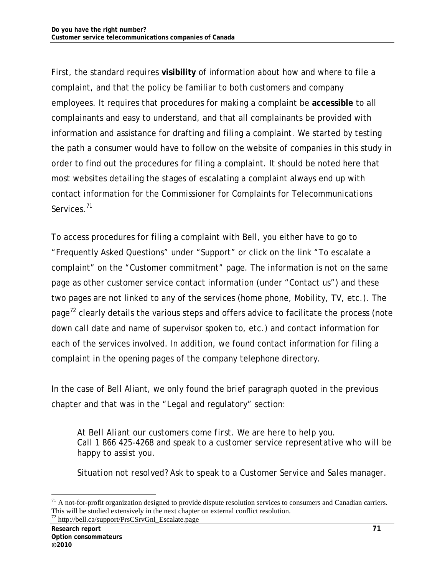First, the standard requires **visibility** of information about how and where to file a complaint, and that the policy be familiar to both customers and company employees. It requires that procedures for making a complaint be **accessible** to all complainants and easy to understand, and that all complainants be provided with information and assistance for drafting and filing a complaint. We started by testing the path a consumer would have to follow on the website of companies in this study in order to find out the procedures for filing a complaint. It should be noted here that most websites detailing the stages of escalating a complaint always end up with contact information for the Commissioner for Complaints for Telecommunications Services.<sup>71</sup>

To access procedures for filing a complaint with Bell, you either have to go to "Frequently Asked Questions" under "Support" or click on the link "To escalate a complaint" on the "Customer commitment" page. The information is not on the same page as other customer service contact information (under "Contact us") and these two pages are not linked to any of the services (home phone, Mobility, TV, etc.). The page<sup> $2$ </sup> clearly details the various steps and offers advice to facilitate the process (note down call date and name of supervisor spoken to, etc.) and contact information for each of the services involved. In addition, we found contact information for filing a complaint in the opening pages of the company telephone directory.

In the case of Bell Aliant, we only found the brief paragraph quoted in the previous chapter and that was in the "Legal and regulatory" section:

*At Bell Aliant our customers come first. We are here to help you. Call 1 866 425-4268 and speak to a customer service representative who will be happy to assist you.* 

*Situation not resolved? Ask to speak to a Customer Service and Sales manager.* 

 $71$  A not-for-profit organization designed to provide dispute resolution services to consumers and Canadian carriers. This will be studied extensively in the next chapter on external conflict resolution. 72 http://bell.ca/support/PrsCSrvGnl\_Escalate.page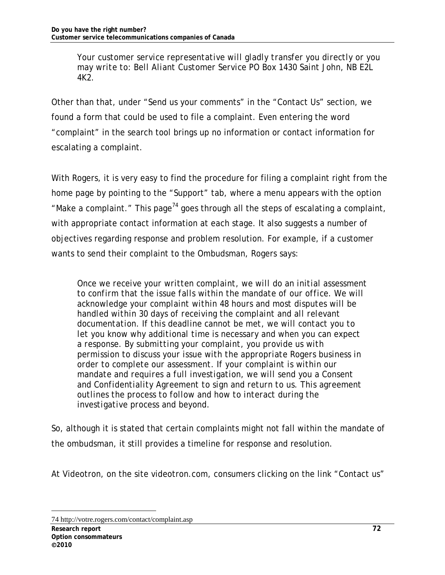*Your customer service representative will gladly transfer you directly or you may write to: Bell Aliant Customer Service PO Box 1430 Saint John, NB E2L 4K2.*

Other than that, under "Send us your comments" in the "Contact Us" section, we found a form that could be used to file a complaint. Even entering the word "complaint" in the search tool brings up no information or contact information for escalating a complaint.

With Rogers, it is very easy to find the procedure for filing a complaint right from the home page by pointing to the "Support" tab, where a menu appears with the option "Make a complaint." This page<sup>74</sup> goes through all the steps of escalating a complaint, with appropriate contact information at each stage. It also suggests a number of objectives regarding response and problem resolution. For example, if a customer wants to send their complaint to the Ombudsman, Rogers says:

*Once we receive your written complaint, we will do an initial assessment to confirm that the issue falls within the mandate of our office. We will acknowledge your complaint within 48 hours and most disputes will be handled within 30 days of receiving the complaint and all relevant documentation. If this deadline cannot be met, we will contact you to let you know why additional time is necessary and when you can expect a response. By submitting your complaint, you provide us with permission to discuss your issue with the appropriate Rogers business in order to complete our assessment. If your complaint is within our mandate and requires a full investigation, we will send you a Consent and Confidentiality Agreement to sign and return to us. This agreement outlines the process to follow and how to interact during the investigative process and beyond.* 

So, although it is stated that certain complaints might not fall within the mandate of the ombudsman, it still provides a timeline for response and resolution.

At Videotron, on the site videotron.com, consumers clicking on the link "Contact us"

<sup>74</sup> http://votre.rogers.com/contact/complaint.asp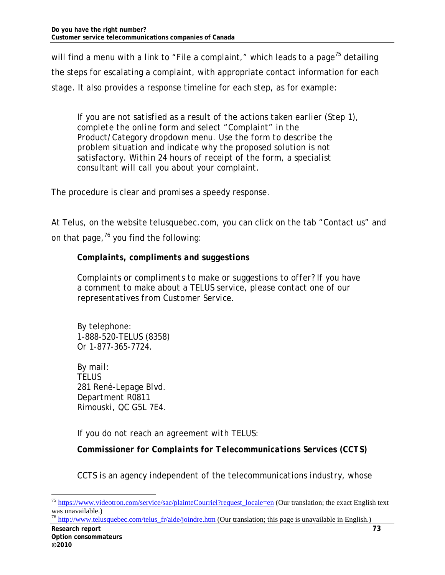will find a menu with a link to "File a complaint," which leads to a page<sup>75</sup> detailing the steps for escalating a complaint, with appropriate contact information for each stage. It also provides a response timeline for each step, as for example:

*If you are not satisfied as a result of the actions taken earlier (Step 1), complete the online form and select "Complaint" in the Product/Category dropdown menu. Use the form to describe the problem situation and indicate why the proposed solution is not satisfactory. Within 24 hours of receipt of the form, a specialist consultant will call you about your complaint.* 

The procedure is clear and promises a speedy response.

At Telus, on the website telusquebec.com, you can click on the tab "Contact us" and on that page,  $76$  you find the following:

### *Complaints, compliments and suggestions*

*Complaints or compliments to make or suggestions to offer? If you have a comment to make about a TELUS service, please contact one of our representatives from Customer Service.*

*By telephone: 1-888-520-TELUS (8358) Or 1-877-365-7724.* 

*By mail: TELUS 281 René-Lepage Blvd. Department R0811 Rimouski, QC G5L 7E4.* 

*If you do not reach an agreement with TELUS*:

*Commissioner for Complaints for Telecommunications Services (CCTS)* 

*CCTS is an agency independent of the telecommunications industry, whose* 

<sup>76</sup> http://www.telusquebec.com/telus\_fr/aide/joindre.htm (Our translation; this page is unavailable in English.)

<sup>&</sup>lt;sup>75</sup> https://www.videotron.com/service/sac/plainteCourriel?request\_locale=en (Our translation; the exact English text was unavailable.)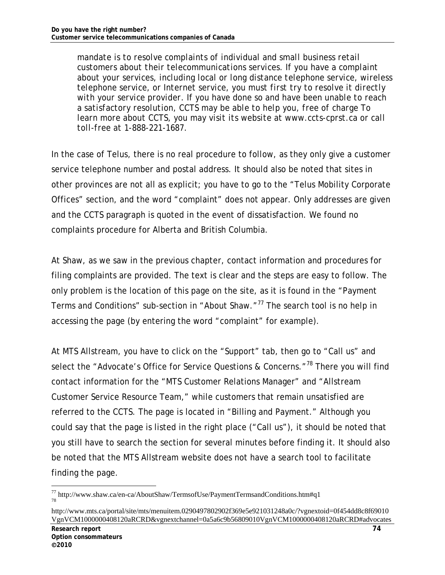*mandate is to resolve complaints of individual and small business retail customers about their telecommunications services. If you have a complaint about your services, including local or long distance telephone service, wireless telephone service, or Internet service, you must first try to resolve it directly with your service provider. If you have done so and have been unable to reach a satisfactory resolution, CCTS may be able to help you, free of charge To learn more about CCTS, you may visit its website at www.ccts-cprst.ca or call toll-free at 1-888-221-1687.* 

In the case of Telus, there is no real procedure to follow, as they only give a customer service telephone number and postal address. It should also be noted that sites in other provinces are not all as explicit; you have to go to the "Telus Mobility Corporate Offices" section, and the word "complaint" does not appear. Only addresses are given and the CCTS paragraph is quoted in the event of dissatisfaction. We found no complaints procedure for Alberta and British Columbia.

At Shaw, as we saw in the previous chapter, contact information and procedures for filing complaints are provided. The text is clear and the steps are easy to follow. The only problem is the location of this page on the site, as it is found in the "Payment Terms and Conditions" sub-section in "About Shaw. $177$  The search tool is no help in accessing the page (by entering the word "complaint" for example).

At MTS Allstream, you have to click on the "Support" tab, then go to "Call us" and select the "Advocate's Office for Service Questions & Concerns."<sup>78</sup> There you will find contact information for the "MTS Customer Relations Manager" and "Allstream Customer Service Resource Team," while customers that remain unsatisfied are referred to the CCTS. The page is located in "Billing and Payment." Although you could say that the page is listed in the right place ("Call us"), it should be noted that you still have to search the section for several minutes before finding it. It should also be noted that the MTS Allstream website does not have a search tool to facilitate finding the page.

<sup>77</sup> http://www.shaw.ca/en-ca/AboutShaw/TermsofUse/PaymentTermsandConditions.htm#q1 78

http://www.mts.ca/portal/site/mts/menuitem.0290497802902f369e5e921031248a0c/?vgnextoid=0f454dd8c8f69010 VgnVCM1000000408120aRCRD&vgnextchannel=0a5a6c9b56809010VgnVCM1000000408120aRCRD#advocates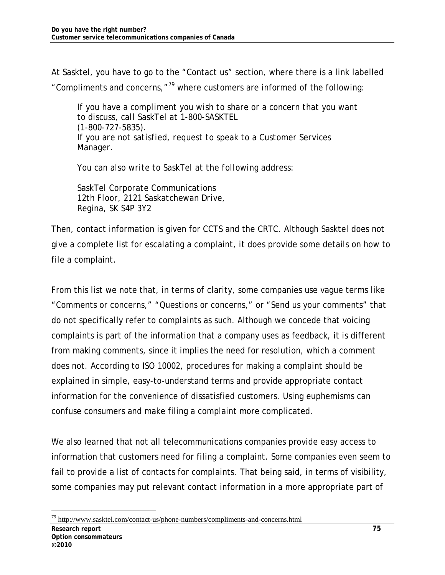At Sasktel, you have to go to the "Contact us" section, where there is a link labelled "Compliments and concerns," $^{79}$  where customers are informed of the following:

*If you have a compliment you wish to share or a concern that you want to discuss, call SaskTel at 1-800-SASKTEL (1-800-727-5835). If you are not satisfied, request to speak to a Customer Services Manager.* 

*You can also write to SaskTel at the following address:* 

*SaskTel Corporate Communications 12th Floor, 2121 Saskatchewan Drive, Regina, SK S4P 3Y2* 

Then, contact information is given for CCTS and the CRTC. Although Sasktel does not give a complete list for escalating a complaint, it does provide some details on how to file a complaint.

From this list we note that, in terms of clarity, some companies use vague terms like "Comments or concerns," "Questions or concerns," or "Send us your comments" that do not specifically refer to complaints as such. Although we concede that voicing complaints is part of the information that a company uses as feedback, it is different from making comments, since it implies the need for resolution, which a comment does not. According to ISO 10002, procedures for making a complaint should be explained in simple, easy-to-understand terms and provide appropriate contact information for the convenience of dissatisfied customers. Using euphemisms can confuse consumers and make filing a complaint more complicated.

We also learned that not all telecommunications companies provide easy access to information that customers need for filing a complaint. Some companies even seem to fail to provide a list of contacts for complaints. That being said, in terms of visibility, some companies may put relevant contact information in a more appropriate part of

-79 http://www.sasktel.com/contact-us/phone-numbers/compliments-and-concerns.html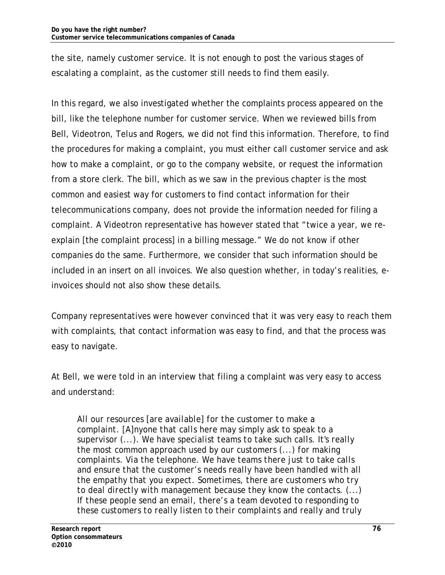the site, namely customer service. It is not enough to post the various stages of escalating a complaint, as the customer still needs to find them easily.

In this regard, we also investigated whether the complaints process appeared on the bill, like the telephone number for customer service. When we reviewed bills from Bell, Videotron, Telus and Rogers, we did not find this information. Therefore, to find the procedures for making a complaint, you must either call customer service and ask how to make a complaint, or go to the company website, or request the information from a store clerk. The bill, which as we saw in the previous chapter is the most common and easiest way for customers to find contact information for their telecommunications company, does not provide the information needed for filing a complaint. A Videotron representative has however stated that "twice a year, we reexplain [the complaint process] in a billing message." We do not know if other companies do the same. Furthermore, we consider that such information should be included in an insert on all invoices. We also question whether, in today's realities, einvoices should not also show these details.

Company representatives were however convinced that it was very easy to reach them with complaints, that contact information was easy to find, and that the process was easy to navigate.

At Bell, we were told in an interview that filing a complaint was very easy to access and understand:

*All our resources [are available] for the customer to make a complaint. [A]nyone that calls here may simply ask to speak to a supervisor (...). We have specialist teams to take such calls. It's really the most common approach used by our customers (...) for making complaints. Via the telephone. We have teams there just to take calls and ensure that the customer's needs really have been handled with all the empathy that you expect. Sometimes, there are customers who try to deal directly with management because they know the contacts. (...) If these people send an email, there's a team devoted to responding to these customers to really listen to their complaints and really and truly*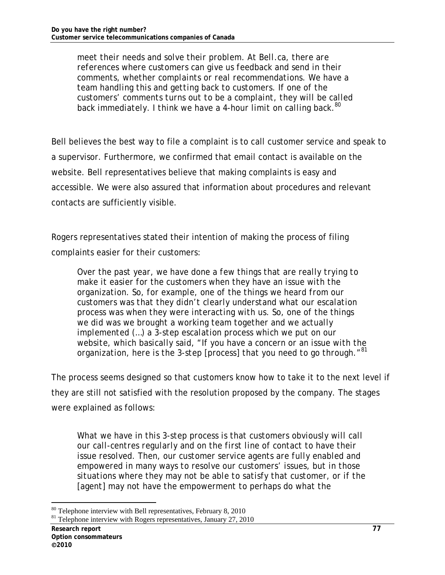*meet their needs and solve their problem. At Bell.ca, there are references where customers can give us feedback and send in their comments, whether complaints or real recommendations. We have a team handling this and getting back to customers. If one of the customers' comments turns out to be a complaint, they will be called back immediately. I think we have a 4-hour limit on calling back.80*

Bell believes the best way to file a complaint is to call customer service and speak to a supervisor. Furthermore, we confirmed that email contact is available on the website. Bell representatives believe that making complaints is easy and accessible. We were also assured that information about procedures and relevant contacts are sufficiently visible.

Rogers representatives stated their intention of making the process of filing complaints easier for their customers:

*Over the past year, we have done a few things that are really trying to make it easier for the customers when they have an issue with the organization. So, for example, one of the things we heard from our customers was that they didn't clearly understand what our escalation process was when they were interacting with us. So, one of the things we did was we brought a working team together and we actually implemented (...) a 3-step escalation process which we put on our website, which basically said, "If you have a concern or an issue with the organization, here is the 3-step [process] that you need to go through."81* 

The process seems designed so that customers know how to take it to the next level if they are still not satisfied with the resolution proposed by the company. The stages were explained as follows:

*What we have in this 3-step process is that customers obviously will call our call-centres regularly and on the first line of contact to have their issue resolved. Then, our customer service agents are fully enabled and empowered in many ways to resolve our customers' issues, but in those situations where they may not be able to satisfy that customer, or if the [agent] may not have the empowerment to perhaps do what the* 

<sup>-</sup><sup>80</sup> Telephone interview with Bell representatives, February 8, 2010

<sup>&</sup>lt;sup>81</sup> Telephone interview with Rogers representatives, January 27, 2010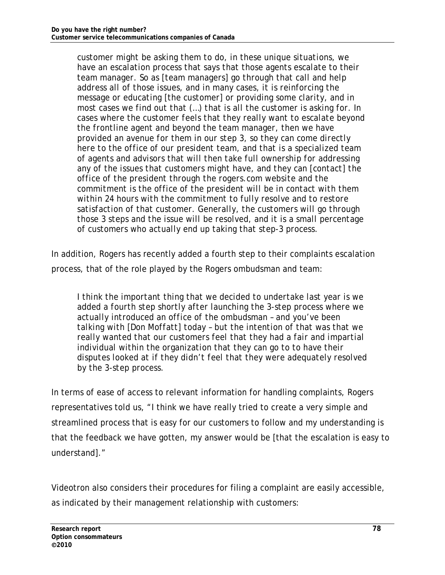*customer might be asking them to do, in these unique situations, we have an escalation process that says that those agents escalate to their team manager. So as [team managers] go through that call and help address all of those issues, and in many cases, it is reinforcing the message or educating [the customer] or providing some clarity, and in most cases we find out that (…) that is all the customer is asking for. In cases where the customer feels that they really want to escalate beyond the frontline agent and beyond the team manager, then we have provided an avenue for them in our step 3, so they can come directly here to the office of our president team, and that is a specialized team of agents and advisors that will then take full ownership for addressing any of the issues that customers might have, and they can [contact] the office of the president through the rogers.com website and the commitment is the office of the president will be in contact with them within 24 hours with the commitment to fully resolve and to restore satisfaction of that customer. Generally, the customers will go through those 3 steps and the issue will be resolved, and it is a small percentage of customers who actually end up taking that step-3 process.* 

In addition, Rogers has recently added a fourth step to their complaints escalation process, that of the role played by the Rogers ombudsman and team:

*I think the important thing that we decided to undertake last year is we added a fourth step shortly after launching the 3-step process where we actually introduced an office of the ombudsman – and you've been talking with [Don Moffatt] today – but the intention of that was that we really wanted that our customers feel that they had a fair and impartial individual within the organization that they can go to to have their disputes looked at if they didn't feel that they were adequately resolved by the 3-step process.* 

In terms of ease of access to relevant information for handling complaints, Rogers representatives told us, "I think we have really tried to create a very simple and streamlined process that is easy for our customers to follow and my understanding is that the feedback we have gotten, my answer would be [that the escalation is easy to understand]."

Videotron also considers their procedures for filing a complaint are easily accessible, as indicated by their management relationship with customers: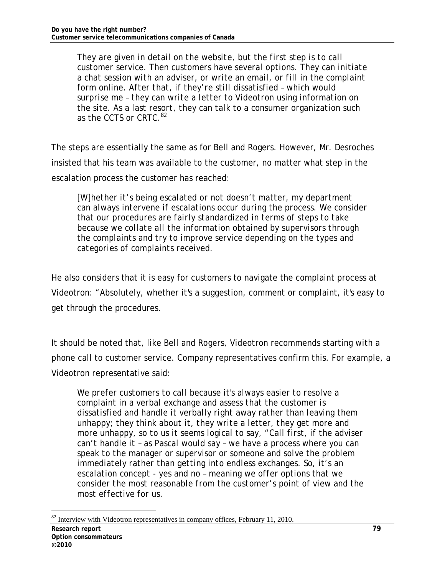*They are given in detail on the website, but the first step is to call customer service. Then customers have several options. They can initiate a chat session with an adviser, or write an email, or fill in the complaint form online. After that, if they're still dissatisfied – which would surprise me – they can write a letter to Videotron using information on the site. As a last resort, they can talk to a consumer organization such as the CCTS or CRTC.<sup>82</sup>*

The steps are essentially the same as for Bell and Rogers. However, Mr. Desroches insisted that his team was available to the customer, no matter what step in the escalation process the customer has reached:

*[W]hether it's being escalated or not doesn't matter, my department can always intervene if escalations occur during the process. We consider that our procedures are fairly standardized in terms of steps to take because we collate all the information obtained by supervisors through the complaints and try to improve service depending on the types and categories of complaints received.* 

He also considers that it is easy for customers to navigate the complaint process at Videotron: "Absolutely, whether it's a suggestion, comment or complaint, it's easy to get through the procedures.

It should be noted that, like Bell and Rogers, Videotron recommends starting with a phone call to customer service. Company representatives confirm this. For example, a Videotron representative said:

*We prefer customers to call because it's always easier to resolve a complaint in a verbal exchange and assess that the customer is dissatisfied and handle it verbally right away rather than leaving them unhappy; they think about it, they write a letter, they get more and more unhappy, so to us it seems logical to say, "Call first, if the adviser can't handle it – as Pascal would say – we have a process where you can speak to the manager or supervisor or someone and solve the problem immediately rather than getting into endless exchanges. So, it's an escalation concept - yes and no – meaning we offer options that we consider the most reasonable from the customer's point of view and the most effective for us.* 

<sup>-</sup> $82$  Interview with Videotron representatives in company offices, February 11, 2010.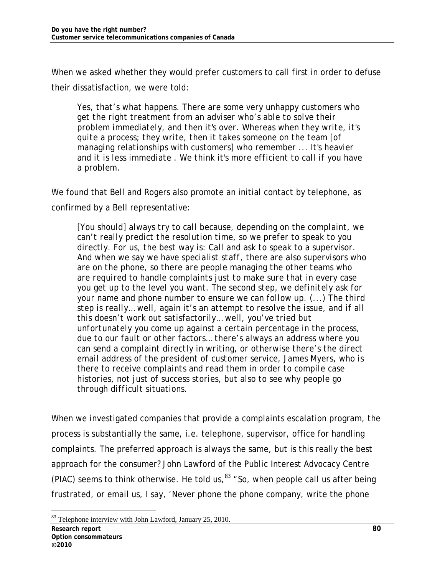When we asked whether they would prefer customers to call first in order to defuse their dissatisfaction, we were told:

*Yes, that's what happens. There are some very unhappy customers who get the right treatment from an adviser who's able to solve their problem immediately, and then it's over. Whereas when they write, it's quite a process; they write, then it takes someone on the team [of managing relationships with customers] who remember ... It's heavier and it is less immediate . We think it's more efficient to call if you have a problem.* 

We found that Bell and Rogers also promote an initial contact by telephone, as confirmed by a Bell representative:

*[You should] always try to call because, depending on the complaint, we can't really predict the resolution time, so we prefer to speak to you directly. For us, the best way is: Call and ask to speak to a supervisor. And when we say we have specialist staff, there are also supervisors who are on the phone, so there are people managing the other teams who are required to handle complaints just to make sure that in every case you get up to the level you want. The second step, we definitely ask for your name and phone number to ensure we can follow up. (...) The third step is really… well, again it's an attempt to resolve the issue, and if all this doesn't work out satisfactorily… well, you've tried but unfortunately you come up against a certain percentage in the process, due to our fault or other factors… there's always an address where you can send a complaint directly in writing, or otherwise there's the direct email address of the president of customer service, James Myers, who is there to receive complaints and read them in order to compile case histories, not just of success stories, but also to see why people go through difficult situations.* 

When we investigated companies that provide a complaints escalation program, the process is substantially the same, i.e. telephone, supervisor, office for handling complaints. The preferred approach is always the same, but is this really the best approach for the consumer? John Lawford of the Public Interest Advocacy Centre (PIAC) seems to think otherwise. He told us,  $83$  "So, when people call us after being frustrated, or email us, I say, 'Never phone the phone company, write the phone

<sup>-</sup><sup>83</sup> Telephone interview with John Lawford, January 25, 2010.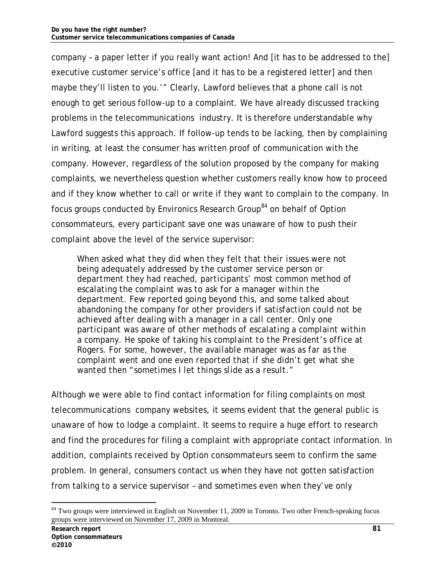company – a paper letter if you really want action! And [it has to be addressed to the] executive customer service's office [and it has to be a registered letter] and then maybe they'll listen to you.'" Clearly, Lawford believes that a phone call is not enough to get serious follow-up to a complaint. We have already discussed tracking problems in the telecommunications industry. It is therefore understandable why Lawford suggests this approach. If follow-up tends to be lacking, then by complaining in writing, at least the consumer has written proof of communication with the company. However, regardless of the solution proposed by the company for making complaints, we nevertheless question whether customers really know how to proceed and if they know whether to call or write if they want to complain to the company. In focus groups conducted by Environics Research Group<sup>84</sup> on behalf of Option consommateurs, every participant save one was unaware of how to push their complaint above the level of the service supervisor:

*When asked what they did when they felt that their issues were not being adequately addressed by the customer service person or department they had reached, participants' most common method of escalating the complaint was to ask for a manager within the department. Few reported going beyond this, and some talked about abandoning the company for other providers if satisfaction could not be achieved after dealing with a manager in a call center. Only one participant was aware of other methods of escalating a complaint within a company. He spoke of taking his complaint to the President's office at Rogers. For some, however, the available manager was as far as the complaint went and one even reported that if she didn't get what she wanted then "sometimes I let things slide as a result."* 

Although we were able to find contact information for filing complaints on most telecommunications company websites, it seems evident that the general public is unaware of how to lodge a complaint. It seems to require a huge effort to research and find the procedures for filing a complaint with appropriate contact information. In addition, complaints received by Option consommateurs seem to confirm the same problem. In general, consumers contact us when they have not gotten satisfaction from talking to a service supervisor – and sometimes even when they've only

<sup>&</sup>lt;sup>84</sup> Two groups were interviewed in English on November 11, 2009 in Toronto. Two other French-speaking focus groups were interviewed on November 17, 2009 in Montreal.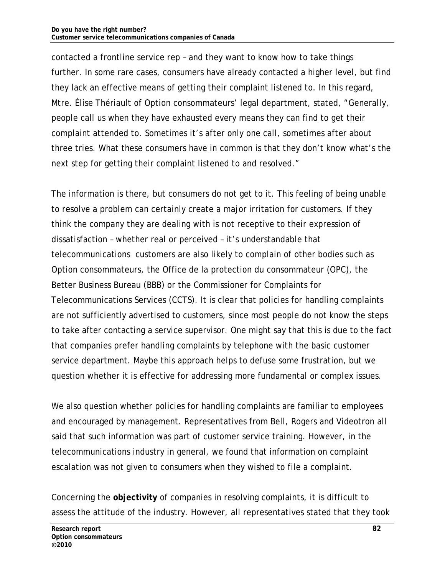contacted a frontline service rep – and they want to know how to take things further. In some rare cases, consumers have already contacted a higher level, but find they lack an effective means of getting their complaint listened to. In this regard, Mtre. Élise Thériault of Option consommateurs' legal department, stated, "Generally, people call us when they have exhausted every means they can find to get their complaint attended to. Sometimes it's after only one call, sometimes after about three tries. What these consumers have in common is that they don't know what's the next step for getting their complaint listened to and resolved."

The information is there, but consumers do not get to it. This feeling of being unable to resolve a problem can certainly create a major irritation for customers. If they think the company they are dealing with is not receptive to their expression of dissatisfaction – whether real or perceived – it's understandable that telecommunications customers are also likely to complain of other bodies such as Option consommateurs, the Office de la protection du consommateur (OPC), the Better Business Bureau (BBB) or the Commissioner for Complaints for Telecommunications Services (CCTS). It is clear that policies for handling complaints are not sufficiently advertised to customers, since most people do not know the steps to take after contacting a service supervisor. One might say that this is due to the fact that companies prefer handling complaints by telephone with the basic customer service department. Maybe this approach helps to defuse some frustration, but we question whether it is effective for addressing more fundamental or complex issues.

We also question whether policies for handling complaints are familiar to employees and encouraged by management. Representatives from Bell, Rogers and Videotron all said that such information was part of customer service training. However, in the telecommunications industry in general, we found that information on complaint escalation was not given to consumers when they wished to file a complaint.

Concerning the **objectivity** of companies in resolving complaints, it is difficult to assess the attitude of the industry. However, all representatives stated that they took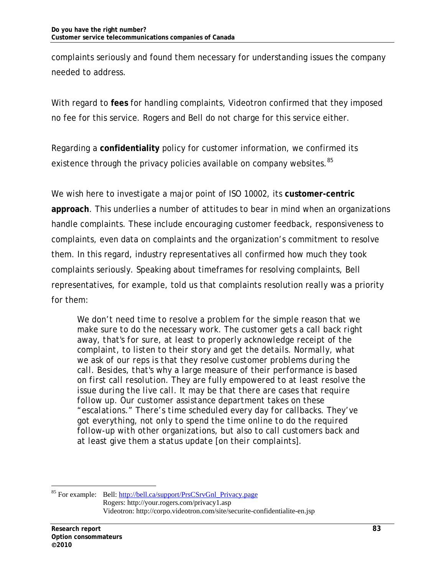complaints seriously and found them necessary for understanding issues the company needed to address.

With regard to **fees** for handling complaints, Videotron confirmed that they imposed no fee for this service. Rogers and Bell do not charge for this service either.

Regarding a **confidentiality** policy for customer information, we confirmed its existence through the privacy policies available on company websites.<sup>85</sup>

We wish here to investigate a major point of ISO 10002, its **customer-centric approach**. This underlies a number of attitudes to bear in mind when an organizations handle complaints. These include encouraging customer feedback, responsiveness to complaints, even data on complaints and the organization's commitment to resolve them. In this regard, industry representatives all confirmed how much they took complaints seriously. Speaking about timeframes for resolving complaints, Bell representatives, for example, told us that complaints resolution really was a priority for them:

*We don't need time to resolve a problem for the simple reason that we make sure to do the necessary work. The customer gets a call back right away, that's for sure, at least to properly acknowledge receipt of the complaint, to listen to their story and get the details. Normally, what we ask of our reps is that they resolve customer problems during the call. Besides, that's why a large measure of their performance is based on first call resolution. They are fully empowered to at least resolve the issue during the live call. It may be that there are cases that require follow up. Our customer assistance department takes on these "escalations." There's time scheduled every day for callbacks. They've got everything, not only to spend the time online to do the required follow-up with other organizations, but also to call customers back and at least give them a status update [on their complaints].* 

<sup>&</sup>lt;sup>85</sup> For example: Bell: http://bell.ca/support/PrsCSrvGnl\_Privacy.page Rogers: http://your.rogers.com/privacy1.asp Videotron: http://corpo.videotron.com/site/securite-confidentialite-en.jsp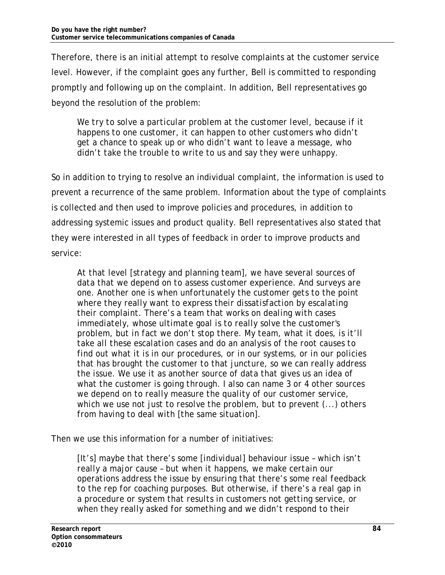Therefore, there is an initial attempt to resolve complaints at the customer service level. However, if the complaint goes any further, Bell is committed to responding promptly and following up on the complaint. In addition, Bell representatives go beyond the resolution of the problem:

We try to solve a particular problem at the customer level, because if it *happens to one customer, it can happen to other customers who didn't get a chance to speak up or who didn't want to leave a message, who didn't take the trouble to write to us and say they were unhappy.* 

So in addition to trying to resolve an individual complaint, the information is used to prevent a recurrence of the same problem. Information about the type of complaints is collected and then used to improve policies and procedures, in addition to addressing systemic issues and product quality. Bell representatives also stated that they were interested in all types of feedback in order to improve products and service:

*At that level [strategy and planning team], we have several sources of data that we depend on to assess customer experience. And surveys are one. Another one is when unfortunately the customer gets to the point where they really want to express their dissatisfaction by escalating their complaint. There's a team that works on dealing with cases immediately, whose ultimate goal is to really solve the customer's problem, but in fact we don't stop there. My team, what it does, is it'll take all these escalation cases and do an analysis of the root causes to find out what it is in our procedures, or in our systems, or in our policies that has brought the customer to that juncture, so we can really address the issue. We use it as another source of data that gives us an idea of what the customer is going through. I also can name 3 or 4 other sources we depend on to really measure the quality of our customer service, which we use not just to resolve the problem, but to prevent (...) others from having to deal with [the same situation].* 

Then we use this information for a number of initiatives:

*[It's] maybe that there's some [individual] behaviour issue – which isn't really a major cause – but when it happens, we make certain our operations address the issue by ensuring that there's some real feedback to the rep for coaching purposes. But otherwise, if there's a real gap in a procedure or system that results in customers not getting service, or when they really asked for something and we didn't respond to their*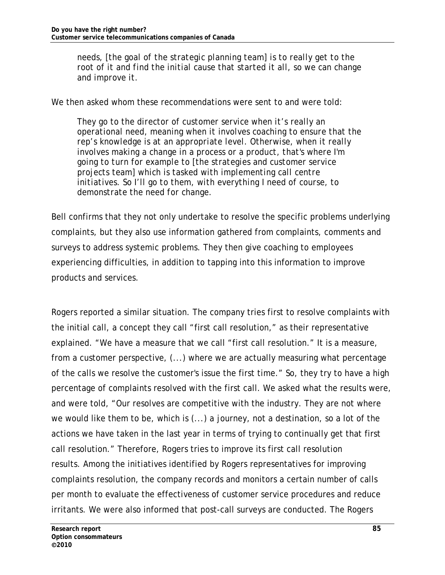*needs, [the goal of the strategic planning team] is to really get to the root of it and find the initial cause that started it all, so we can change and improve it.* 

We then asked whom these recommendations were sent to and were told:

*They go to the director of customer service when it's really an operational need, meaning when it involves coaching to ensure that the rep's knowledge is at an appropriate level. Otherwise, when it really involves making a change in a process or a product, that's where I'm going to turn for example to [the strategies and customer service projects team] which is tasked with implementing call centre initiatives. So I'll go to them, with everything I need of course, to demonstrate the need for change.* 

Bell confirms that they not only undertake to resolve the specific problems underlying complaints, but they also use information gathered from complaints, comments and surveys to address systemic problems. They then give coaching to employees experiencing difficulties, in addition to tapping into this information to improve products and services.

Rogers reported a similar situation. The company tries first to resolve complaints with the initial call, a concept they call "first call resolution," as their representative explained. "We have a measure that we call "first call resolution." It is a measure, from a customer perspective, (...) where we are actually measuring what percentage of the calls we resolve the customer's issue the first time." So, they try to have a high percentage of complaints resolved with the first call. We asked what the results were, and were told, "Our resolves are competitive with the industry. They are not where we would like them to be, which is (...) a journey, not a destination, so a lot of the actions we have taken in the last year in terms of trying to continually get that first call resolution." Therefore, Rogers tries to improve its first call resolution results. Among the initiatives identified by Rogers representatives for improving complaints resolution, the company records and monitors a certain number of calls per month to evaluate the effectiveness of customer service procedures and reduce irritants. We were also informed that post-call surveys are conducted. The Rogers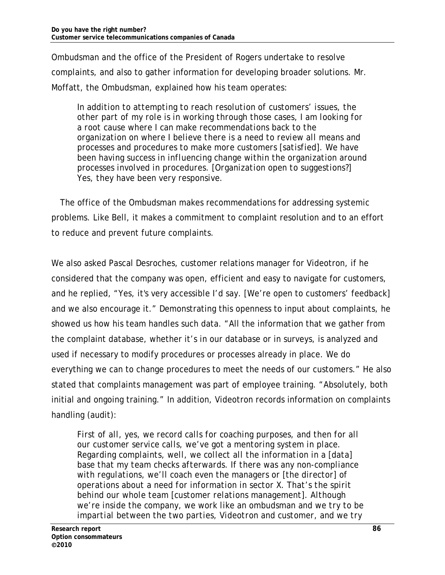Ombudsman and the office of the President of Rogers undertake to resolve complaints, and also to gather information for developing broader solutions. Mr. Moffatt, the Ombudsman, explained how his team operates:

*In addition to attempting to reach resolution of customers' issues, the other part of my role is in working through those cases, I am looking for a root cause where I can make recommendations back to the organization on where I believe there is a need to review all means and processes and procedures to make more customers [satisfied]. We have been having success in influencing change within the organization around processes involved in procedures. [Organization open to suggestions?] Yes, they have been very responsive.* 

The office of the Ombudsman makes recommendations for addressing systemic problems. Like Bell, it makes a commitment to complaint resolution and to an effort to reduce and prevent future complaints.

We also asked Pascal Desroches, customer relations manager for Videotron, if he considered that the company was open, efficient and easy to navigate for customers, and he replied, "Yes, it's very accessible I'd say. [We're open to customers' feedback] and we also encourage it." Demonstrating this openness to input about complaints, he showed us how his team handles such data. "All the information that we gather from the complaint database, whether it's in our database or in surveys, is analyzed and used if necessary to modify procedures or processes already in place. We do everything we can to change procedures to meet the needs of our customers." He also stated that complaints management was part of employee training. "Absolutely, both initial and ongoing training." In addition, Videotron records information on complaints handling (audit):

*First of all, yes, we record calls for coaching purposes, and then for all our customer service calls, we've got a mentoring system in place. Regarding complaints, well, we collect all the information in a [data] base that my team checks afterwards. If there was any non-compliance with regulations, we'll coach even the managers or [the director] of operations about a need for information in sector X. That's the spirit behind our whole team [customer relations management]. Although we're inside the company, we work like an ombudsman and we try to be impartial between the two parties, Videotron and customer, and we try*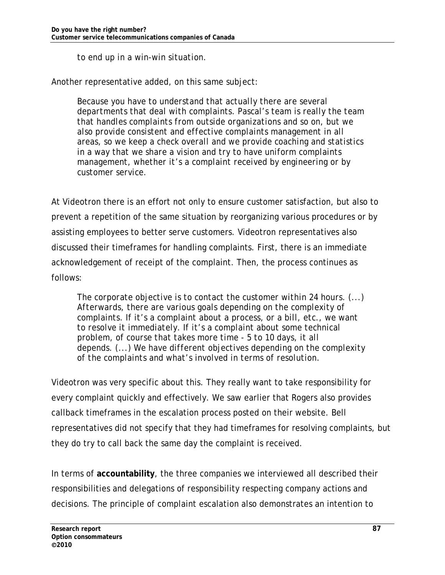*to end up in a win-win situation.* 

Another representative added, on this same subject:

*Because you have to understand that actually there are several departments that deal with complaints. Pascal's team is really the team that handles complaints from outside organizations and so on, but we also provide consistent and effective complaints management in all areas, so we keep a check overall and we provide coaching and statistics in a way that we share a vision and try to have uniform complaints management, whether it's a complaint received by engineering or by customer service.* 

At Videotron there is an effort not only to ensure customer satisfaction, but also to prevent a repetition of the same situation by reorganizing various procedures or by assisting employees to better serve customers. Videotron representatives also discussed their timeframes for handling complaints. First, there is an immediate acknowledgement of receipt of the complaint. Then, the process continues as follows:

*The corporate objective is to contact the customer within 24 hours. (...) Afterwards, there are various goals depending on the complexity of complaints. If it's a complaint about a process, or a bill, etc., we want to resolve it immediately. If it's a complaint about some technical problem, of course that takes more time - 5 to 10 days, it all depends. (...) We have different objectives depending on the complexity of the complaints and what's involved in terms of resolution.* 

Videotron was very specific about this. They really want to take responsibility for every complaint quickly and effectively. We saw earlier that Rogers also provides callback timeframes in the escalation process posted on their website. Bell representatives did not specify that they had timeframes for resolving complaints, but they do try to call back the same day the complaint is received.

In terms of **accountability**, the three companies we interviewed all described their responsibilities and delegations of responsibility respecting company actions and decisions. The principle of complaint escalation also demonstrates an intention to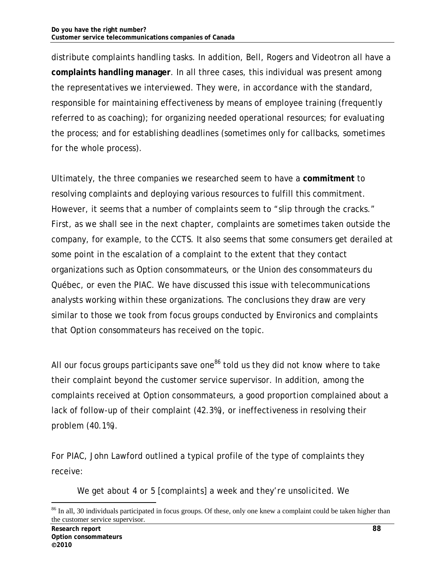distribute complaints handling tasks. In addition, Bell, Rogers and Videotron all have a **complaints handling manager**. In all three cases, this individual was present among the representatives we interviewed. They were, in accordance with the standard, responsible for maintaining effectiveness by means of employee training (frequently referred to as coaching); for organizing needed operational resources; for evaluating the process; and for establishing deadlines (sometimes only for callbacks, sometimes for the whole process).

Ultimately, the three companies we researched seem to have a **commitment** to resolving complaints and deploying various resources to fulfill this commitment. However, it seems that a number of complaints seem to "slip through the cracks." First, as we shall see in the next chapter, complaints are sometimes taken outside the company, for example, to the CCTS. It also seems that some consumers get derailed at some point in the escalation of a complaint to the extent that they contact organizations such as Option consommateurs, or the Union des consommateurs du Québec, or even the PIAC. We have discussed this issue with telecommunications analysts working within these organizations. The conclusions they draw are very similar to those we took from focus groups conducted by Environics and complaints that Option consommateurs has received on the topic.

All our focus groups participants save one $86$  told us they did not know where to take their complaint beyond the customer service supervisor. In addition, among the complaints received at Option consommateurs, a good proportion complained about a lack of follow-up of their complaint (42.3%), or ineffectiveness in resolving their problem (40.1%).

For PIAC, John Lawford outlined a typical profile of the type of complaints they receive:

*We get about 4 or 5 [complaints] a week and they're unsolicited. We* 

<sup>&</sup>lt;sup>86</sup> In all, 30 individuals participated in focus groups. Of these, only one knew a complaint could be taken higher than the customer service supervisor.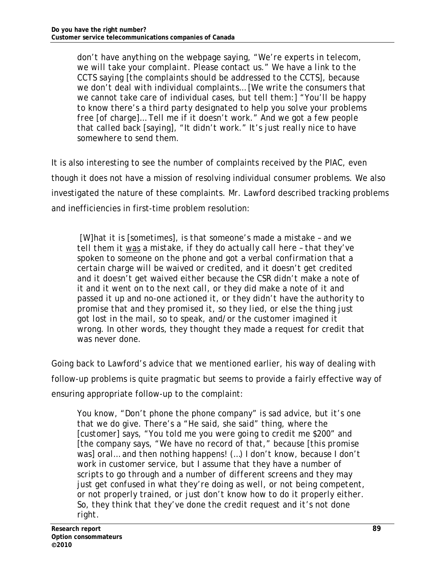*don't have anything on the webpage saying, "We're experts in telecom, we will take your complaint. Please contact us." We have a link to the CCTS saying [the complaints should be addressed to the CCTS], because we don't deal with individual complaints… [We write the consumers that we cannot take care of individual cases, but tell them:] "You'll be happy to know there's a third party designated to help you solve your problems free [of charge]… Tell me if it doesn't work." And we got a few people that called back [saying], "It didn't work." It's just really nice to have somewhere to send them.* 

It is also interesting to see the number of complaints received by the PIAC, even though it does not have a mission of resolving individual consumer problems. We also investigated the nature of these complaints. Mr. Lawford described tracking problems and inefficiencies in first-time problem resolution:

 *[W]hat it is [sometimes], is that someone's made a mistake – and we tell them it was a mistake, if they do actually call here – that they've spoken to someone on the phone and got a verbal confirmation that a certain charge will be waived or credited, and it doesn't get credited and it doesn't get waived either because the CSR didn't make a note of it and it went on to the next call, or they did make a note of it and passed it up and no-one actioned it, or they didn't have the authority to promise that and they promised it, so they lied, or else the thing just got lost in the mail, so to speak, and/or the customer imagined it wrong. In other words, they thought they made a request for credit that was never done.* 

Going back to Lawford's advice that we mentioned earlier, his way of dealing with follow-up problems is quite pragmatic but seems to provide a fairly effective way of ensuring appropriate follow-up to the complaint:

*You know, "Don't phone the phone company" is sad advice, but it's one that we do give. There's a "He said, she said" thing, where the [customer] says, "You told me you were going to credit me \$200" and [the company says, "We have no record of that," because [this promise was] oral… and then nothing happens! (…) I don't know, because I don't work in customer service, but I assume that they have a number of scripts to go through and a number of different screens and they may just get confused in what they're doing as well, or not being competent, or not properly trained, or just don't know how to do it properly either. So, they think that they've done the credit request and it's not done right.*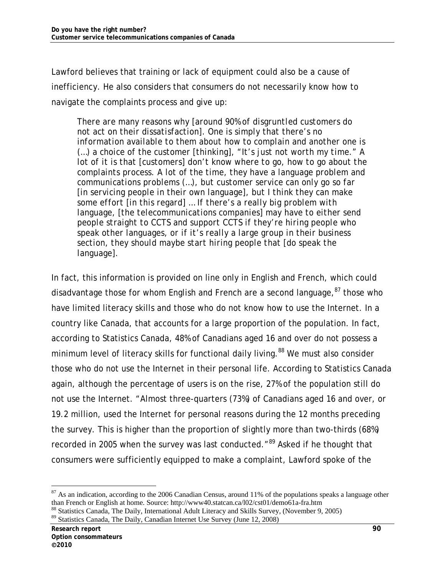Lawford believes that training or lack of equipment could also be a cause of inefficiency. He also considers that consumers do not necessarily know how to navigate the complaints process and give up:

*There are many reasons why [around 90% of disgruntled customers do not act on their dissatisfaction]. One is simply that there's no information available to them about how to complain and another one is (…) a choice of the customer [thinking], "It's just not worth my time." A lot of it is that [customers] don't know where to go, how to go about the complaints process. A lot of the time, they have a language problem and communications problems (…), but customer service can only go so far [in servicing people in their own language], but I think they can make some effort [in this regard] … If there's a really big problem with language, [the telecommunications companies] may have to either send people straight to CCTS and support CCTS if they're hiring people who speak other languages, or if it's really a large group in their business section, they should maybe start hiring people that [do speak the language].* 

In fact, this information is provided on line only in English and French, which could disadvantage those for whom English and French are a second language,  $87$  those who have limited literacy skills and those who do not know how to use the Internet. In a country like Canada, that accounts for a large proportion of the population. In fact, according to Statistics Canada, 48% of Canadians aged 16 and over do not possess a minimum level of literacy skills for functional daily living.<sup>88</sup> We must also consider those who do not use the Internet in their personal life. According to Statistics Canada again, although the percentage of users is on the rise, 27% of the population still do not use the Internet. "Almost three-quarters (73%) of Canadians aged 16 and over, or 19.2 million, used the Internet for personal reasons during the 12 months preceding the survey. This is higher than the proportion of slightly more than two-thirds (68%) recorded in 2005 when the survey was last conducted."<sup>89</sup> Asked if he thought that consumers were sufficiently equipped to make a complaint, Lawford spoke of the

 $87$  As an indication, according to the 2006 Canadian Census, around 11% of the populations speaks a language other than French or English at home. Source: http://www40.statcan.ca/l02/cst01/demo61a-fra.htm

<sup>88</sup> Statistics Canada, The Daily, International Adult Literacy and Skills Survey, (November 9, 2005)

<sup>89</sup> Statistics Canada, The Daily, Canadian Internet Use Survey (June 12, 2008)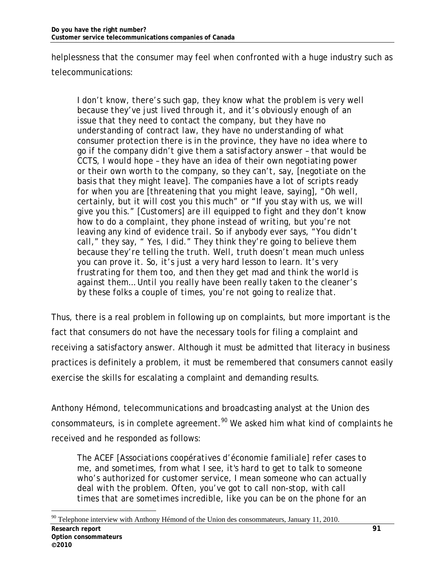helplessness that the consumer may feel when confronted with a huge industry such as telecommunications:

*I don't know, there's such gap, they know what the problem is very well because they've just lived through it, and it's obviously enough of an issue that they need to contact the company, but they have no understanding of contract law, they have no understanding of what consumer protection there is in the province, they have no idea where to go if the company didn't give them a satisfactory answer – that would be CCTS, I would hope – they have an idea of their own negotiating power or their own worth to the company, so they can't, say, [negotiate on the basis that they might leave]. The companies have a lot of scripts ready for when you are [threatening that you might leave, saying], "Oh well, certainly, but it will cost you this much" or "If you stay with us, we will give you this." [Customers] are ill equipped to fight and they don't know how to do a complaint, they phone instead of writing, but you're not leaving any kind of evidence trail. So if anybody ever says, "You didn't call," they say, " Yes, I did." They think they're going to believe them because they're telling the truth. Well, truth doesn't mean much unless you can prove it. So, it's just a very hard lesson to learn. It's very frustrating for them too, and then they get mad and think the world is against them… Until you really have been really taken to the cleaner's by these folks a couple of times, you're not going to realize that.* 

Thus, there is a real problem in following up on complaints, but more important is the fact that consumers do not have the necessary tools for filing a complaint and receiving a satisfactory answer. Although it must be admitted that literacy in business practices is definitely a problem, it must be remembered that consumers cannot easily exercise the skills for escalating a complaint and demanding results.

Anthony Hémond, telecommunications and broadcasting analyst at the Union des consommateurs, is in complete agreement.<sup>90</sup> We asked him what kind of complaints he received and he responded as follows:

*The ACEF [Associations coopératives d'économie familiale] refer cases to me, and sometimes, from what I see, it's hard to get to talk to someone who's authorized for customer service, I mean someone who can actually deal with the problem. Often, you've got to call non-stop, with call times that are sometimes incredible, like you can be on the phone for an* 

<sup>-</sup> $90$  Telephone interview with Anthony Hémond of the Union des consommateurs, January 11, 2010.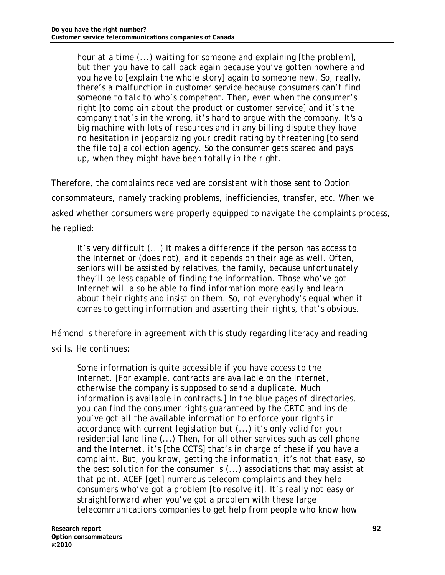*hour at a time (...) waiting for someone and explaining [the problem], but then you have to call back again because you've gotten nowhere and you have to [explain the whole story] again to someone new. So, really, there's a malfunction in customer service because consumers can't find someone to talk to who's competent. Then, even when the consumer's right [to complain about the product or customer service] and it's the company that's in the wrong, it's hard to argue with the company. It's a big machine with lots of resources and in any billing dispute they have no hesitation in jeopardizing your credit rating by threatening [to send the file to] a collection agency. So the consumer gets scared and pays up, when they might have been totally in the right.* 

Therefore, the complaints received are consistent with those sent to Option consommateurs, namely tracking problems, inefficiencies, transfer, etc. When we asked whether consumers were properly equipped to navigate the complaints process, he replied:

*It's very difficult (...) It makes a difference if the person has access to the Internet or (does not), and it depends on their age as well. Often, seniors will be assisted by relatives, the family, because unfortunately they'll be less capable of finding the information. Those who've got Internet will also be able to find information more easily and learn about their rights and insist on them. So, not everybody's equal when it comes to getting information and asserting their rights, that's obvious.* 

Hémond is therefore in agreement with this study regarding literacy and reading skills. He continues:

*Some information is quite accessible if you have access to the Internet. [For example, contracts are available on the Internet, otherwise the company is supposed to send a duplicate. Much information is available in contracts.] In the blue pages of directories, you can find the consumer rights guaranteed by the CRTC and inside you've got all the available information to enforce your rights in accordance with current legislation but (...) it's only valid for your residential land line (...) Then, for all other services such as cell phone and the Internet, it's [the CCTS] that's in charge of these if you have a complaint. But, you know, getting the information, it's not that easy, so the best solution for the consumer is (...) associations that may assist at that point. ACEF [get] numerous telecom complaints and they help consumers who've got a problem [to resolve it]. It's really not easy or straightforward when you've got a problem with these large telecommunications companies to get help from people who know how*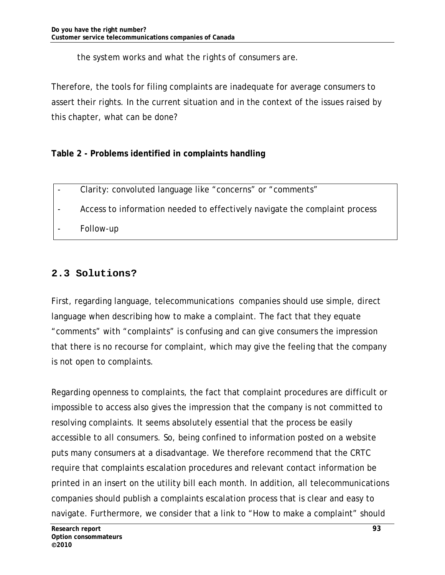### *the system works and what the rights of consumers are.*

Therefore, the tools for filing complaints are inadequate for average consumers to assert their rights. In the current situation and in the context of the issues raised by this chapter, what can be done?

## **Table 2 - Problems identified in complaints handling**

- Clarity: convoluted language like "concerns" or "comments"
- Access to information needed to effectively navigate the complaint process

Follow-up

# **2.3 Solutions?**

First, regarding language, telecommunications companies should use simple, direct language when describing how to make a complaint. The fact that they equate "comments" with "complaints" is confusing and can give consumers the impression that there is no recourse for complaint, which may give the feeling that the company is not open to complaints.

Regarding openness to complaints, the fact that complaint procedures are difficult or impossible to access also gives the impression that the company is not committed to resolving complaints. It seems absolutely essential that the process be easily accessible to all consumers. So, being confined to information posted on a website puts many consumers at a disadvantage. We therefore recommend that the CRTC require that complaints escalation procedures and relevant contact information be printed in an insert on the utility bill each month. In addition, all telecommunications companies should publish a complaints escalation process that is clear and easy to navigate. Furthermore, we consider that a link to "How to make a complaint" should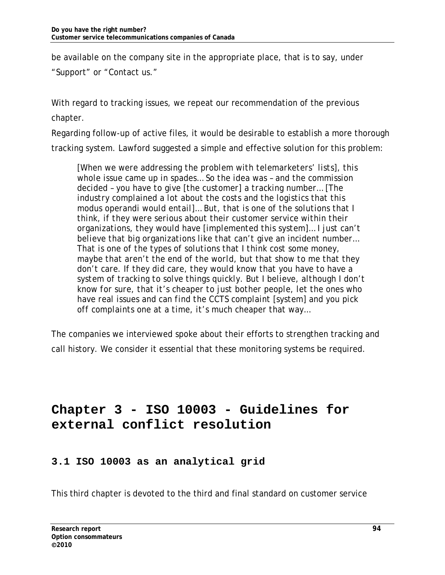be available on the company site in the appropriate place, that is to say, under

"Support" or "Contact us."

With regard to tracking issues, we repeat our recommendation of the previous chapter.

Regarding follow-up of active files, it would be desirable to establish a more thorough tracking system. Lawford suggested a simple and effective solution for this problem:

*[When we were addressing the problem with telemarketers' lists], this whole issue came up in spades… So the idea was – and the commission decided – you have to give [the customer] a tracking number… [The industry complained a lot about the costs and the logistics that this modus operandi would entail]… But, that is one of the solutions that I think, if they were serious about their customer service within their organizations, they would have [implemented this system]… I just can't believe that big organizations like that can't give an incident number… That is one of the types of solutions that I think cost some money, maybe that aren't the end of the world, but that show to me that they don't care. If they did care, they would know that you have to have a system of tracking to solve things quickly. But I believe, although I don't know for sure, that it's cheaper to just bother people, let the ones who have real issues and can find the CCTS complaint [system] and you pick off complaints one at a time, it's much cheaper that way…* 

The companies we interviewed spoke about their efforts to strengthen tracking and call history. We consider it essential that these monitoring systems be required.

# **Chapter 3 - ISO 10003 - Guidelines for external conflict resolution**

# **3.1 ISO 10003 as an analytical grid**

This third chapter is devoted to the third and final standard on customer service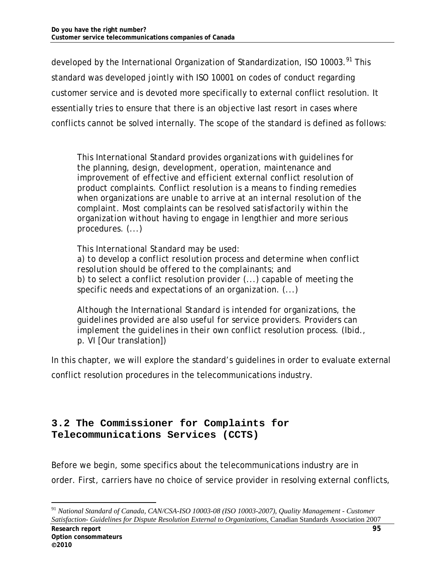developed by the International Organization of Standardization, ISO 10003.<sup>91</sup> This standard was developed jointly with ISO 10001 on codes of conduct regarding customer service and is devoted more specifically to external conflict resolution. It essentially tries to ensure that there is an objective last resort in cases where conflicts cannot be solved internally. The scope of the standard is defined as follows:

*This International Standard provides organizations with guidelines for the planning, design, development, operation, maintenance and improvement of effective and efficient external conflict resolution of product complaints. Conflict resolution is a means to finding remedies when organizations are unable to arrive at an internal resolution of the complaint. Most complaints can be resolved satisfactorily within the organization without having to engage in lengthier and more serious procedures. (...)*

*This International Standard may be used: a) to develop a conflict resolution process and determine when conflict resolution should be offered to the complainants; and b) to select a conflict resolution provider (...) capable of meeting the specific needs and expectations of an organization. (...)*

*Although the International Standard is intended for organizations, the guidelines provided are also useful for service providers. Providers can implement the guidelines in their own conflict resolution process. (Ibid., p. VI* [Our translation])

In this chapter, we will explore the standard's guidelines in order to evaluate external conflict resolution procedures in the telecommunications industry.

### **3.2 The Commissioner for Complaints for Telecommunications Services (CCTS)**

Before we begin, some specifics about the telecommunications industry are in order. First, carriers have no choice of service provider in resolving external conflicts,

<sup>91</sup> *National Standard of Canada, CAN/CSA-ISO 10003-08 (ISO 10003-2007), Quality Management - Customer Satisfaction- Guidelines for Dispute Resolution External to Organizations*, Canadian Standards Association 2007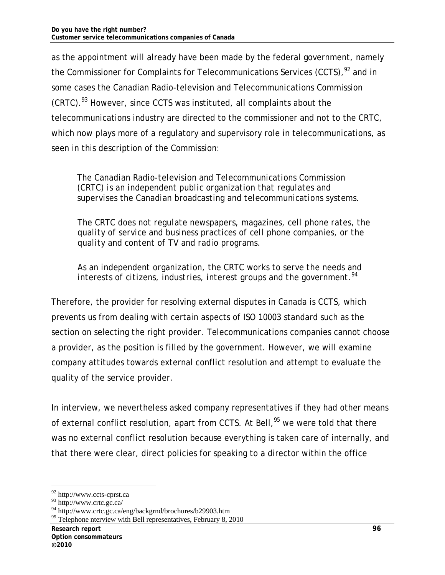as the appointment will already have been made by the federal government, namely the Commissioner for Complaints for Telecommunications Services (CCTS),  $92$  and in some cases the Canadian Radio-television and Telecommunications Commission (CRTC).<sup>93</sup> However, since CCTS was instituted, all complaints about the telecommunications industry are directed to the commissioner and not to the CRTC, which now plays more of a regulatory and supervisory role in telecommunications, as seen in this description of the Commission:

*The Canadian Radio-television and Telecommunications Commission (CRTC) is an independent public organization that regulates and supervises the Canadian broadcasting and telecommunications systems.* 

*The CRTC does not regulate newspapers, magazines, cell phone rates, the quality of service and business practices of cell phone companies, or the quality and content of TV and radio programs.* 

*As an independent organization, the CRTC works to serve the needs and interests of citizens, industries, interest groups and the government.<sup>94</sup>*

Therefore, the provider for resolving external disputes in Canada is CCTS, which prevents us from dealing with certain aspects of ISO 10003 standard such as the section on selecting the right provider. Telecommunications companies cannot choose a provider, as the position is filled by the government. However, we will examine company attitudes towards external conflict resolution and attempt to evaluate the quality of the service provider.

In interview, we nevertheless asked company representatives if they had other means of external conflict resolution, apart from CCTS. At Bell,<sup>95</sup> we were told that there was no external conflict resolution because everything is taken care of internally, and that there were clear, direct policies for speaking to a director within the office

<sup>92</sup> http://www.ccts-cprst.ca

<sup>93</sup> http://www.crtc.gc.ca/

<sup>94</sup> http://www.crtc.gc.ca/eng/backgrnd/brochures/b29903.htm

<sup>&</sup>lt;sup>95</sup> Telephone nterview with Bell representatives, February 8, 2010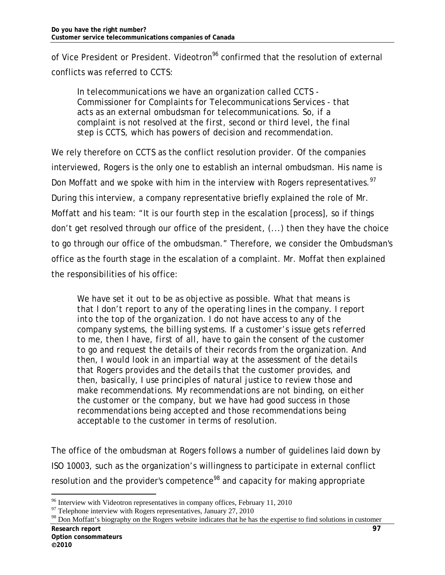of Vice President or President. Videotron<sup>96</sup> confirmed that the resolution of external conflicts was referred to CCTS:

*In telecommunications we have an organization called CCTS - Commissioner for Complaints for Telecommunications Services - that acts as an external ombudsman for telecommunications. So, if a complaint is not resolved at the first, second or third level, the final step is CCTS, which has powers of decision and recommendation.* 

We rely therefore on CCTS as the conflict resolution provider. Of the companies interviewed, Rogers is the only one to establish an internal ombudsman. His name is Don Moffatt and we spoke with him in the interview with Rogers representatives.<sup>97</sup> During this interview, a company representative briefly explained the role of Mr. Moffatt and his team: "It is our fourth step in the escalation [process], so if things don't get resolved through our office of the president, (...) then they have the choice to go through our office of the ombudsman." Therefore, we consider the Ombudsman's office as the fourth stage in the escalation of a complaint. Mr. Moffat then explained the responsibilities of his office:

*We have set it out to be as objective as possible. What that means is that I don't report to any of the operating lines in the company. I report into the top of the organization. I do not have access to any of the company systems, the billing systems. If a customer's issue gets referred to me, then I have, first of all, have to gain the consent of the customer to go and request the details of their records from the organization. And then, I would look in an impartial way at the assessment of the details that Rogers provides and the details that the customer provides, and then, basically, I use principles of natural justice to review those and make recommendations. My recommendations are not binding, on either the customer or the company, but we have had good success in those recommendations being accepted and those recommendations being acceptable to the customer in terms of resolution.* 

The office of the ombudsman at Rogers follows a number of guidelines laid down by ISO 10003, such as the organization's willingness to participate in external conflict resolution and the provider's competence<sup>98</sup> and capacity for making appropriate

 $96$  Interview with Videotron representatives in company offices, February 11, 2010

 $97$  Telephone interview with Rogers representatives, January 27, 2010

<sup>&</sup>lt;sup>98</sup> Don Moffatt's biography on the Rogers website indicates that he has the expertise to find solutions in customer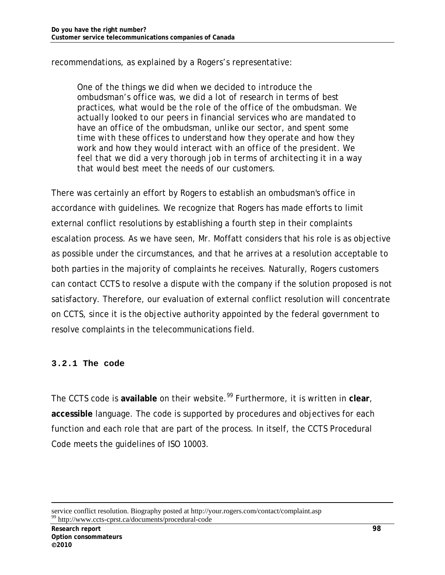recommendations, as explained by a Rogers's representative:

*One of the things we did when we decided to introduce the ombudsman's office was, we did a lot of research in terms of best practices, what would be the role of the office of the ombudsman. We actually looked to our peers in financial services who are mandated to have an office of the ombudsman, unlike our sector, and spent some time with these offices to understand how they operate and how they work and how they would interact with an office of the president. We feel that we did a very thorough job in terms of architecting it in a way that would best meet the needs of our customers.* 

There was certainly an effort by Rogers to establish an ombudsman's office in accordance with guidelines. We recognize that Rogers has made efforts to limit external conflict resolutions by establishing a fourth step in their complaints escalation process. As we have seen, Mr. Moffatt considers that his role is as objective as possible under the circumstances, and that he arrives at a resolution acceptable to both parties in the majority of complaints he receives. Naturally, Rogers customers can contact CCTS to resolve a dispute with the company if the solution proposed is not satisfactory. Therefore, our evaluation of external conflict resolution will concentrate on CCTS, since it is the objective authority appointed by the federal government to resolve complaints in the telecommunications field.

### **3.2.1 The code**

The CCTS code is available on their website.<sup>99</sup> Furthermore, it is written in clear, **accessible** language. The code is supported by procedures and objectives for each function and each role that are part of the process. In itself, the CCTS Procedural Code meets the guidelines of ISO 10003.

service conflict resolution. Biography posted at http://your.rogers.com/contact/complaint.asp <sup>99</sup> http://www.ccts-cprst.ca/documents/procedural-code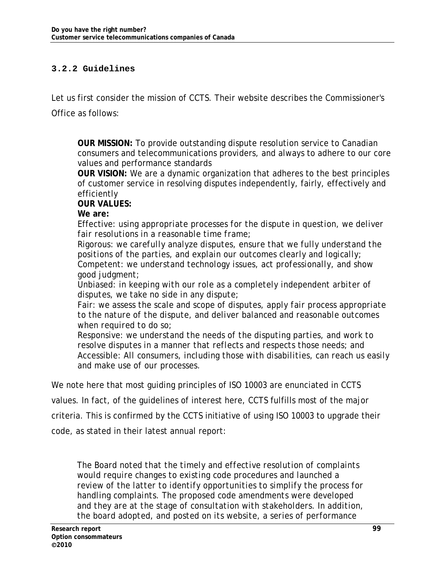#### **3.2.2 Guidelines**

Let us first consider the mission of CCTS. Their website describes the Commissioner's Office as follows:

**OUR MISSION:** To provide outstanding dispute resolution service to Canadian consumers and telecommunications providers, and always to adhere to our core values and performance standards

**OUR VISION:** We are a dynamic organization that adheres to the best principles of customer service in resolving disputes independently, fairly, effectively and efficiently

**OUR VALUES:**

**We are:** 

Effective*: using appropriate processes for the dispute in question, we deliver fair resolutions in a reasonable time frame;* 

Rigorous: *we carefully analyze disputes, ensure that we fully understand the positions of the parties, and explain our outcomes clearly and logically;* Competent: *we understand technology issues, act professionally, and show good judgment;*

Unbiased: *in keeping with our role as a completely independent arbiter of disputes, we take no side in any dispute;* 

Fair: *we assess the scale and scope of disputes, apply fair process appropriate to the nature of the dispute, and deliver balanced and reasonable outcomes when required to do so;* 

Responsive: *we understand the needs of the disputing parties, and work to resolve disputes in a manner that reflects and respects those needs; and*  Accessible: *All consumers, including those with disabilities, can reach us easily and make use of our processes.* 

We note here that most guiding principles of ISO 10003 are enunciated in CCTS values. In fact, of the guidelines of interest here, CCTS fulfills most of the major criteria. This is confirmed by the CCTS initiative of using ISO 10003 to upgrade their code, as stated in their latest annual report:

*The Board noted that the timely and effective resolution of complaints would require changes to existing code procedures and launched a review of the latter to identify opportunities to simplify the process for handling complaints. The proposed code amendments were developed and they are at the stage of consultation with stakeholders. In addition, the board adopted, and posted on its website, a series of performance*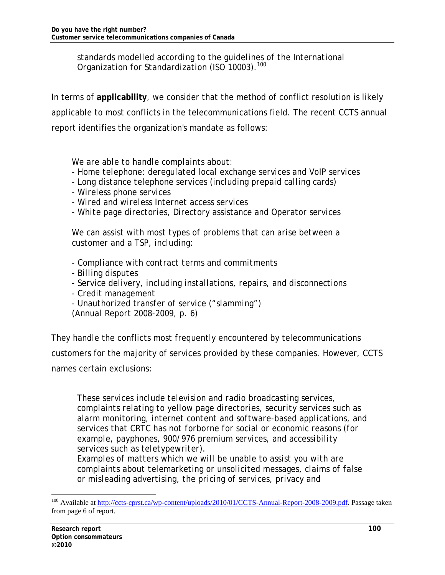*standards modelled according to the guidelines of the International Organization for Standardization (ISO 10003).<sup>100</sup>*

In terms of **applicability**, we consider that the method of conflict resolution is likely applicable to most conflicts in the telecommunications field. The recent CCTS annual report identifies the organization's mandate as follows:

 *We are able to handle complaints about:* 

- *Home telephone: deregulated local exchange services and VoIP services*
- *Long distance telephone services (including prepaid calling cards)*
- *Wireless phone services*
- *Wired and wireless Internet access services*
- *White page directories, Directory assistance and Operator services*

 *We can assist with most types of problems that can arise between a customer and a TSP, including:* 

- *Compliance with contract terms and commitments*
- *Billing disputes*
- *Service delivery, including installations, repairs, and disconnections*
- *Credit management*
- *Unauthorized transfer of service ("slamming")*

 *(Annual Report 2008-2009, p. 6)*

They handle the conflicts most frequently encountered by telecommunications customers for the majority of services provided by these companies. However, CCTS names certain exclusions:

*These services include television and radio broadcasting services, complaints relating to yellow page directories, security services such as alarm monitoring, internet content and software-based applications, and services that CRTC has not forborne for social or economic reasons (for example, payphones, 900/976 premium services, and accessibility services such as teletypewriter).* 

*Examples of matters which we will be unable to assist you with are complaints about telemarketing or unsolicited messages, claims of false or misleading advertising, the pricing of services, privacy and* 

<sup>&</sup>lt;sup>100</sup> Available at http://ccts-cprst.ca/wp-content/uploads/2010/01/CCTS-Annual-Report-2008-2009.pdf. Passage taken from page 6 of report.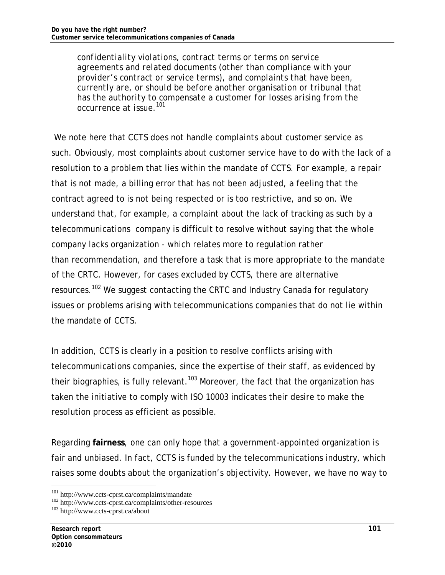*confidentiality violations, contract terms or terms on service agreements and related documents (other than compliance with your provider's contract or service terms), and complaints that have been, currently are, or should be before another organisation or tribunal that has the authority to compensate a customer for losses arising from the occurrence at issue.101*

 We note here that CCTS does not handle complaints about customer service as such. Obviously, most complaints about customer service have to do with the lack of a resolution to a problem that lies within the mandate of CCTS. For example, a repair that is not made, a billing error that has not been adjusted, a feeling that the contract agreed to is not being respected or is too restrictive, and so on. We understand that, for example, a complaint about the lack of tracking as such by a telecommunications company is difficult to resolve without saying that the whole company lacks organization - which relates more to regulation rather than recommendation, and therefore a task that is more appropriate to the mandate of the CRTC. However, for cases excluded by CCTS, there are alternative resources.<sup>102</sup> We suggest contacting the CRTC and Industry Canada for regulatory issues or problems arising with telecommunications companies that do not lie within the mandate of CCTS.

In addition, CCTS is clearly in a position to resolve conflicts arising with telecommunications companies, since the expertise of their staff, as evidenced by their biographies, is fully relevant.<sup>103</sup> Moreover, the fact that the organization has taken the initiative to comply with ISO 10003 indicates their desire to make the resolution process as efficient as possible.

Regarding **fairness**, one can only hope that a government-appointed organization is fair and unbiased. In fact, CCTS is funded by the telecommunications industry, which raises some doubts about the organization's objectivity. However, we have no way to

<sup>&</sup>lt;sup>101</sup> http://www.ccts-cprst.ca/complaints/mandate<br><sup>102</sup> http://www.ccts-cprst.ca/complaints/other-resources  $\frac{^{103} }{^{103} }$  http://www.ccts-cprst.ca/about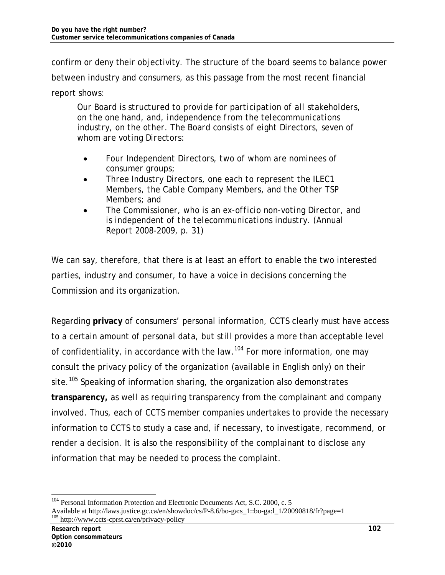confirm or deny their objectivity. The structure of the board seems to balance power between industry and consumers, as this passage from the most recent financial report shows:

*Our Board is structured to provide for participation of all stakeholders, on the one hand, and, independence from the telecommunications industry, on the other. The Board consists of eight Directors, seven of whom are voting Directors:* 

- *Four Independent Directors, two of whom are nominees of consumer groups;*
- *Three Industry Directors, one each to represent the ILEC1 Members, the Cable Company Members, and the Other TSP Members; and*
- *The Commissioner, who is an ex-officio non-voting Director, and is independent of the telecommunications industry. (Annual Report 2008-2009, p. 31)*

We can say, therefore, that there is at least an effort to enable the two interested parties, industry and consumer, to have a voice in decisions concerning the Commission and its organization.

Regarding **privacy** of consumers' personal information, CCTS clearly must have access to a certain amount of personal data, but still provides a more than acceptable level of confidentiality, in accordance with the law.<sup>104</sup> For more information, one may consult the privacy policy of the organization (available in English only) on their site.<sup>105</sup> Speaking of information sharing, the organization also demonstrates **transparency,** as well as requiring transparency from the complainant and company involved. Thus, each of CCTS member companies undertakes to provide the necessary information to CCTS to study a case and, if necessary, to investigate, recommend, or render a decision. It is also the responsibility of the complainant to disclose any information that may be needed to process the complaint.

<sup>&</sup>lt;sup>104</sup> Personal Information Protection and Electronic Documents Act, S.C. 2000, c. 5 Available at http://laws.justice.gc.ca/en/showdoc/cs/P-8.6/bo-ga:s\_1::bo-ga:l\_1/20090818/fr?page=1 http://www.ccts-cprst.ca/en/privacy-policy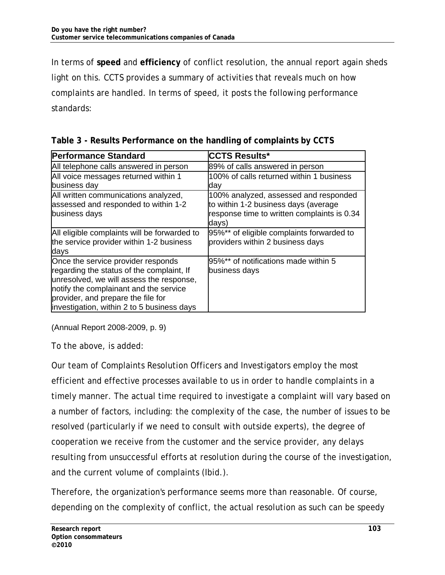In terms of **speed** and **efficiency** of conflict resolution, the annual report again sheds light on this. CCTS provides a summary of activities that reveals much on how complaints are handled. In terms of speed, it posts the following performance standards:

| <b>Performance Standard</b>                                                                                                                                                                                                                               | <b>CCTS Results*</b>                                                                                                                  |
|-----------------------------------------------------------------------------------------------------------------------------------------------------------------------------------------------------------------------------------------------------------|---------------------------------------------------------------------------------------------------------------------------------------|
| All telephone calls answered in person                                                                                                                                                                                                                    | 89% of calls answered in person                                                                                                       |
| All voice messages returned within 1<br>business day                                                                                                                                                                                                      | 100% of calls returned within 1 business<br>day                                                                                       |
| All written communications analyzed,<br>assessed and responded to within 1-2<br>business days                                                                                                                                                             | 100% analyzed, assessed and responded<br>to within 1-2 business days (average<br>response time to written complaints is 0.34<br>days) |
| All eligible complaints will be forwarded to<br>the service provider within 1-2 business<br>days                                                                                                                                                          | 95%** of eligible complaints forwarded to<br>providers within 2 business days                                                         |
| Once the service provider responds<br>regarding the status of the complaint, If<br>unresolved, we will assess the response,<br>notify the complainant and the service<br>provider, and prepare the file for<br>investigation, within 2 to 5 business days | 95%** of notifications made within 5<br>business days                                                                                 |

**Table 3 - Results Performance on the handling of complaints by CCTS**

(Annual Report 2008-2009, p. 9)

To the above, is added:

Our team of Complaints Resolution Officers and Investigators employ the most efficient and effective processes available to us in order to handle complaints in a timely manner. The actual time required to investigate a complaint will vary based on a number of factors, including: the complexity of the case, the number of issues to be resolved (particularly if we need to consult with outside experts), the degree of cooperation we receive from the customer and the service provider, any delays resulting from unsuccessful efforts at resolution during the course of the investigation, and the current volume of complaints (Ibid.).

Therefore, the organization's performance seems more than reasonable. Of course, depending on the complexity of conflict, the actual resolution as such can be speedy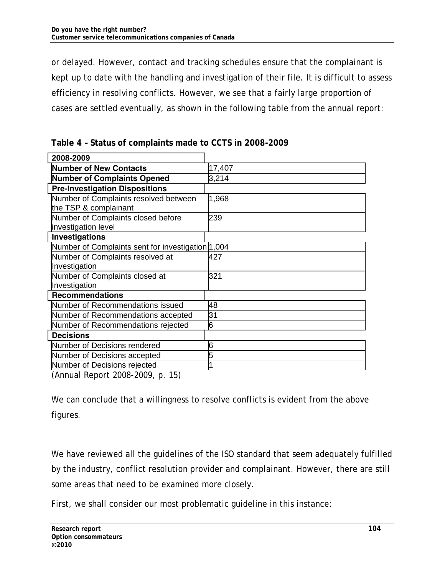or delayed. However, contact and tracking schedules ensure that the complainant is kept up to date with the handling and investigation of their file. It is difficult to assess efficiency in resolving conflicts. However, we see that a fairly large proportion of cases are settled eventually, as shown in the following table from the annual report:

| 2008-2009                                                      |        |
|----------------------------------------------------------------|--------|
| Number of New Contacts                                         | 17,407 |
| Number of Complaints Opened                                    | 3,214  |
| <b>Pre-Investigation Dispositions</b>                          |        |
| Number of Complaints resolved between<br>the TSP & complainant | 1,968  |
| Number of Complaints closed before<br>investigation level      | 239    |
| Investigations                                                 |        |
| Number of Complaints sent for investigation 1,004              |        |
| Number of Complaints resolved at                               | 427    |
| Investigation                                                  |        |
| Number of Complaints closed at                                 | 321    |
| Investigation                                                  |        |
| <b>Recommendations</b>                                         |        |
| Number of Recommendations issued                               | 48     |
| Number of Recommendations accepted                             | 31     |
| Number of Recommendations rejected                             | 6      |
| <b>Decisions</b>                                               |        |
| Number of Decisions rendered                                   | 6      |
| Number of Decisions accepted                                   | 5      |
| Number of Decisions rejected                                   |        |
| $(\Lambda_{\rm Pl})$ Depart 2009 2000 $\mu$ 15)                |        |

**Table 4 – Status of complaints made to CCTS in 2008-2009** 

(Annual Report 2008-2009, p. 15)

We can conclude that a willingness to resolve conflicts is evident from the above figures.

We have reviewed all the guidelines of the ISO standard that seem adequately fulfilled by the industry, conflict resolution provider and complainant. However, there are still some areas that need to be examined more closely.

First, we shall consider our most problematic guideline in this instance: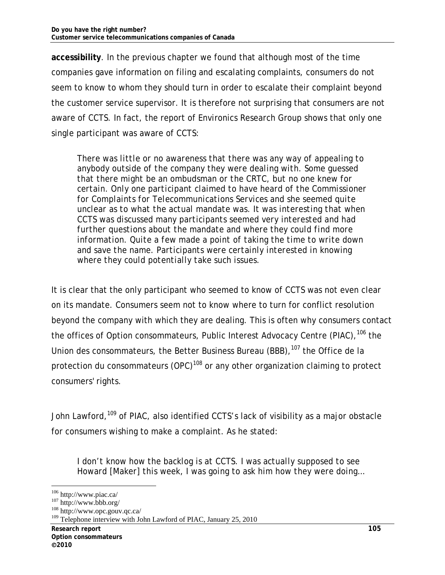**accessibility**. In the previous chapter we found that although most of the time companies gave information on filing and escalating complaints, consumers do not seem to know to whom they should turn in order to escalate their complaint beyond the customer service supervisor. It is therefore not surprising that consumers are not aware of CCTS. In fact, the report of Environics Research Group shows that only one single participant was aware of CCTS:

*There was little or no awareness that there was any way of appealing to anybody outside of the company they were dealing with. Some guessed that there might be an ombudsman or the CRTC, but no one knew for certain. Only one participant claimed to have heard of the Commissioner for Complaints for Telecommunications Services and she seemed quite unclear as to what the actual mandate was. It was interesting that when CCTS was discussed many participants seemed very interested and had further questions about the mandate and where they could find more information. Quite a few made a point of taking the time to write down and save the name. Participants were certainly interested in knowing where they could potentially take such issues.* 

It is clear that the only participant who seemed to know of CCTS was not even clear on its mandate. Consumers seem not to know where to turn for conflict resolution beyond the company with which they are dealing. This is often why consumers contact the offices of Option consommateurs, Public Interest Advocacy Centre (PIAC), <sup>106</sup> the Union des consommateurs, the Better Business Bureau (BBB),<sup>107</sup> the Office de la protection du consommateurs (OPC)<sup>108</sup> or any other organization claiming to protect consumers' rights.

John Lawford,<sup>109</sup> of PIAC, also identified CCTS's lack of visibility as a major obstacle for consumers wishing to make a complaint. As he stated:

*I don't know how the backlog is at CCTS. I was actually supposed to see Howard [Maker] this week, I was going to ask him how they were doing…* 

<sup>-</sup>

<sup>&</sup>lt;sup>106</sup> http://www.piac.ca/<br><sup>107</sup> http://www.bbb.org/<br><sup>108</sup> http://www.opc.gouv.qc.ca/

<sup>&</sup>lt;sup>109</sup> Telephone interview with John Lawford of PIAC, January 25, 2010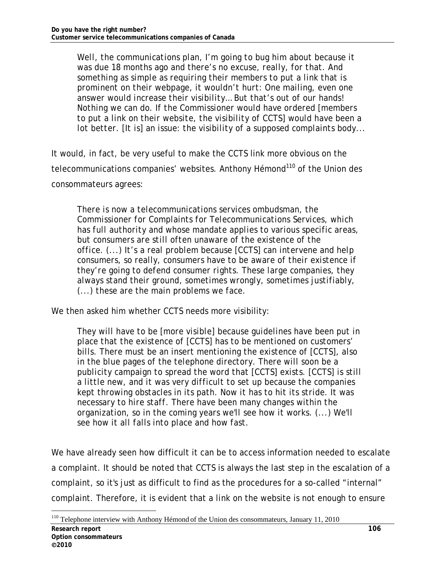*Well, the communications plan, I'm going to bug him about because it was due 18 months ago and there's no excuse, really, for that. And something as simple as requiring their members to put a link that is prominent on their webpage, it wouldn't hurt: One mailing, even one answer would increase their visibility… But that's out of our hands! Nothing we can do. If the Commissioner would have ordered [members to put a link on their website, the visibility of CCTS] would have been a lot better. [It is] an issue: the visibility of a supposed complaints body...* 

It would, in fact, be very useful to make the CCTS link more obvious on the telecommunications companies' websites. Anthony Hémond<sup>110</sup> of the Union des consommateurs agrees:

*There is now a telecommunications services ombudsman, the Commissioner for Complaints for Telecommunications Services, which has full authority and whose mandate applies to various specific areas, but consumers are still often unaware of the existence of the office. (...) It's a real problem because [CCTS] can intervene and help consumers, so really, consumers have to be aware of their existence if they're going to defend consumer rights. These large companies, they always stand their ground, sometimes wrongly, sometimes justifiably, (...) these are the main problems we face.* 

We then asked him whether CCTS needs more visibility:

*They will have to be [more visible] because guidelines have been put in place that the existence of [CCTS] has to be mentioned on customers' bills. There must be an insert mentioning the existence of [CCTS], also in the blue pages of the telephone directory. There will soon be a publicity campaign to spread the word that [CCTS] exists. [CCTS] is still a little new, and it was very difficult to set up because the companies kept throwing obstacles in its path. Now it has to hit its stride. It was necessary to hire staff. There have been many changes within the organization, so in the coming years we'll see how it works. (...) We'll see how it all falls into place and how fast.* 

We have already seen how difficult it can be to access information needed to escalate a complaint. It should be noted that CCTS is always the last step in the escalation of a complaint, so it's just as difficult to find as the procedures for a so-called "internal" complaint. Therefore, it is evident that a link on the website is not enough to ensure

<sup>&</sup>lt;sup>110</sup> Telephone interview with Anthony Hémond of the Union des consommateurs, January 11, 2010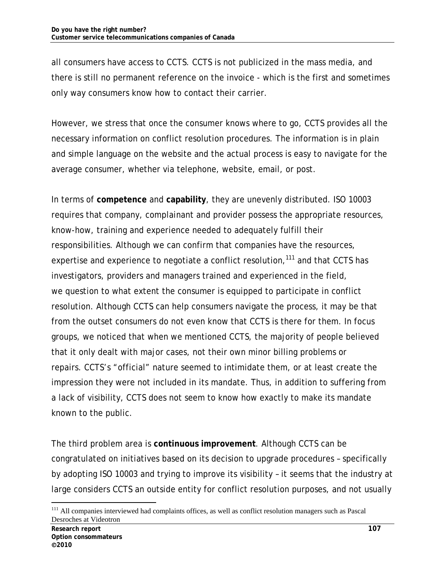all consumers have access to CCTS. CCTS is not publicized in the mass media, and there is still no permanent reference on the invoice - which is the first and sometimes only way consumers know how to contact their carrier.

However, we stress that once the consumer knows where to go, CCTS provides all the necessary information on conflict resolution procedures. The information is in plain and simple language on the website and the actual process is easy to navigate for the average consumer, whether via telephone, website, email, or post.

In terms of **competence** and **capability**, they are unevenly distributed. ISO 10003 requires that company, complainant and provider possess the appropriate resources, know-how, training and experience needed to adequately fulfill their responsibilities. Although we can confirm that companies have the resources, expertise and experience to negotiate a conflict resolution, $111$  and that CCTS has investigators, providers and managers trained and experienced in the field, we question to what extent the consumer is equipped to participate in conflict resolution. Although CCTS can help consumers navigate the process, it may be that from the outset consumers do not even know that CCTS is there for them. In focus groups, we noticed that when we mentioned CCTS, the majority of people believed that it only dealt with major cases, not their own minor billing problems or repairs. CCTS's "official" nature seemed to intimidate them, or at least create the impression they were not included in its mandate. Thus, in addition to suffering from a lack of visibility, CCTS does not seem to know how exactly to make its mandate known to the public.

The third problem area is **continuous improvement**. Although CCTS can be congratulated on initiatives based on its decision to upgrade procedures – specifically by adopting ISO 10003 and trying to improve its visibility – it seems that the industry at large considers CCTS an outside entity for conflict resolution purposes, and not usually

<sup>&</sup>lt;sup>111</sup> All companies interviewed had complaints offices, as well as conflict resolution managers such as Pascal Desroches at Videotron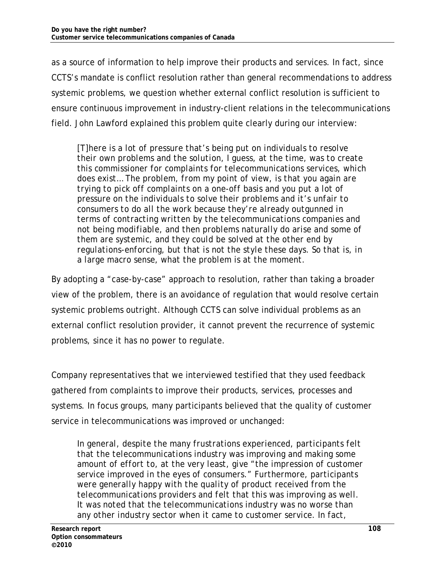as a source of information to help improve their products and services. In fact, since CCTS's mandate is conflict resolution rather than general recommendations to address systemic problems, we question whether external conflict resolution is sufficient to ensure continuous improvement in industry-client relations in the telecommunications field. John Lawford explained this problem quite clearly during our interview:

*[T]here is a lot of pressure that's being put on individuals to resolve their own problems and the solution, I guess, at the time, was to create this commissioner for complaints for telecommunications services, which does exist… The problem, from my point of view, is that you again are trying to pick off complaints on a one-off basis and you put a lot of pressure on the individuals to solve their problems and it's unfair to consumers to do all the work because they're already outgunned in terms of contracting written by the telecommunications companies and not being modifiable, and then problems naturally do arise and some of them are systemic, and they could be solved at the other end by regulations-enforcing, but that is not the style these days. So that is, in a large macro sense, what the problem is at the moment.* 

By adopting a "case-by-case" approach to resolution, rather than taking a broader view of the problem, there is an avoidance of regulation that would resolve certain systemic problems outright. Although CCTS can solve individual problems as an external conflict resolution provider, it cannot prevent the recurrence of systemic problems, since it has no power to regulate.

Company representatives that we interviewed testified that they used feedback gathered from complaints to improve their products, services, processes and systems. In focus groups, many participants believed that the quality of customer service in telecommunications was improved or unchanged:

*In general, despite the many frustrations experienced, participants felt that the telecommunications industry was improving and making some amount of effort to, at the very least, give "the impression of customer service improved in the eyes of consumers." Furthermore, participants were generally happy with the quality of product received from the telecommunications providers and felt that this was improving as well. It was noted that the telecommunications industry was no worse than any other industry sector when it came to customer service. In fact,*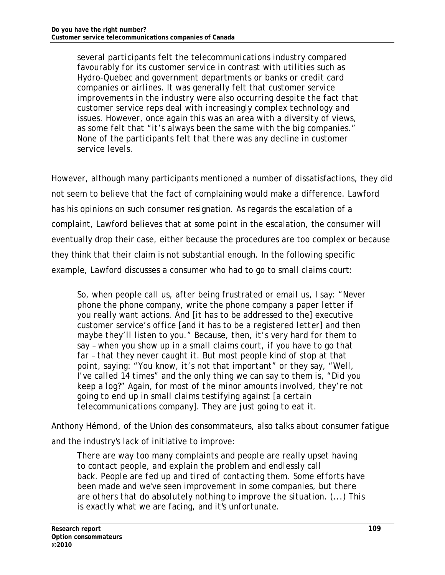*several participants felt the telecommunications industry compared favourably for its customer service in contrast with utilities such as Hydro-Quebec and government departments or banks or credit card companies or airlines. It was generally felt that customer service improvements in the industry were also occurring despite the fact that customer service reps deal with increasingly complex technology and issues. However, once again this was an area with a diversity of views, as some felt that "it's always been the same with the big companies." None of the participants felt that there was any decline in customer service levels.* 

However, although many participants mentioned a number of dissatisfactions, they did not seem to believe that the fact of complaining would make a difference. Lawford has his opinions on such consumer resignation. As regards the escalation of a complaint, Lawford believes that at some point in the escalation, the consumer will eventually drop their case, either because the procedures are too complex or because they think that their claim is not substantial enough. In the following specific example, Lawford discusses a consumer who had to go to small claims court:

*So, when people call us, after being frustrated or email us, I say: "Never phone the phone company, write the phone company a paper letter if you really want actions. And [it has to be addressed to the] executive customer service's office [and it has to be a registered letter] and then maybe they'll listen to you." Because, then, it's very hard for them to say – when you show up in a small claims court, if you have to go that far – that they never caught it. But most people kind of stop at that point, saying: "You know, it's not that important" or they say, "Well, I've called 14 times" and the only thing we can say to them is, "Did you keep a log?" Again, for most of the minor amounts involved, they're not going to end up in small claims testifying against [a certain telecommunications company]. They are just going to eat it.*

Anthony Hémond, of the Union des consommateurs, also talks about consumer fatigue and the industry's lack of initiative to improve:

*There are way too many complaints and people are really upset having to contact people, and explain the problem and endlessly call back. People are fed up and tired of contacting them. Some efforts have been made and we've seen improvement in some companies, but there are others that do absolutely nothing to improve the situation. (...) This is exactly what we are facing, and it's unfortunate.*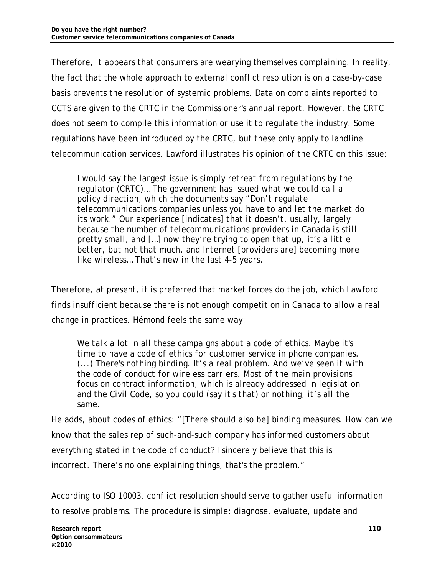Therefore, it appears that consumers are wearying themselves complaining. In reality, the fact that the whole approach to external conflict resolution is on a case-by-case basis prevents the resolution of systemic problems. Data on complaints reported to CCTS are given to the CRTC in the Commissioner's annual report. However, the CRTC does not seem to compile this information or use it to regulate the industry. Some regulations have been introduced by the CRTC, but these only apply to landline telecommunication services. Lawford illustrates his opinion of the CRTC on this issue:

*I would say the largest issue is simply retreat from regulations by the regulator (CRTC)… The government has issued what we could call a policy direction, which the documents say "Don't regulate telecommunications companies unless you have to and let the market do its work." Our experience [indicates] that it doesn't, usually, largely because the number of telecommunications providers in Canada is still pretty small, and […] now they're trying to open that up, it's a little better, but not that much, and Internet [providers are] becoming more like wireless… That's new in the last 4-5 years.* 

Therefore, at present, it is preferred that market forces do the job, which Lawford finds insufficient because there is not enough competition in Canada to allow a real change in practices. Hémond feels the same way:

*We talk a lot in all these campaigns about a code of ethics. Maybe it's time to have a code of ethics for customer service in phone companies. (...) There's nothing binding. It's a real problem. And we've seen it with the code of conduct for wireless carriers. Most of the main provisions focus on contract information, which is already addressed in legislation and the Civil Code, so you could (say it's that) or nothing, it's all the same.* 

He adds, about codes of ethics: "[There should also be] binding measures. How can we know that the sales rep of such-and-such company has informed customers about everything stated in the code of conduct? I sincerely believe that this is incorrect. There's no one explaining things, that's the problem."

According to ISO 10003, conflict resolution should serve to gather useful information to resolve problems. The procedure is simple: diagnose, evaluate, update and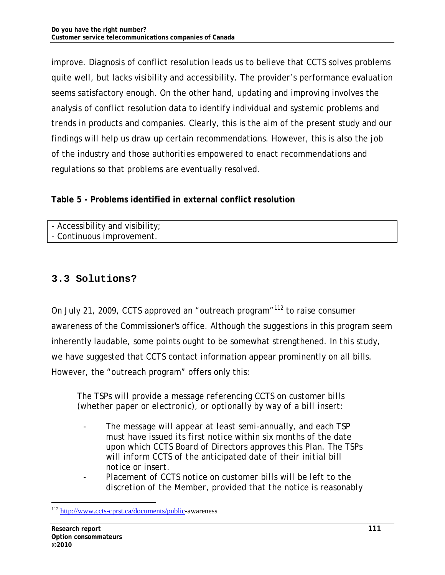improve. Diagnosis of conflict resolution leads us to believe that CCTS solves problems quite well, but lacks visibility and accessibility. The provider's performance evaluation seems satisfactory enough. On the other hand, updating and improving involves the analysis of conflict resolution data to identify individual and systemic problems and trends in products and companies. Clearly, this is the aim of the present study and our findings will help us draw up certain recommendations. However, this is also the job of the industry and those authorities empowered to enact recommendations and regulations so that problems are eventually resolved.

### **Table 5 - Problems identified in external conflict resolution**

| - Accessibility and visibility; |
|---------------------------------|
|---------------------------------|

- Continuous improvement.

# **3.3 Solutions?**

On July 21, 2009, CCTS approved an "outreach program"<sup>112</sup> to raise consumer awareness of the Commissioner's office. Although the suggestions in this program seem inherently laudable, some points ought to be somewhat strengthened. In this study, we have suggested that CCTS contact information appear prominently on all bills. However, the "outreach program" offers only this:

*The TSPs will provide a message referencing CCTS on customer bills (whether paper or electronic), or optionally by way of a bill insert:* 

- *The message will appear at least semi-annually, and each TSP must have issued its first notice within six months of the date upon which CCTS Board of Directors approves this Plan. The TSPs will inform CCTS of the anticipated date of their initial bill notice or insert.*
- *Placement of CCTS notice on customer bills will be left to the discretion of the Member, provided that the notice is reasonably*

-

<sup>&</sup>lt;sup>112</sup> http://www.ccts-cprst.ca/documents/public-awareness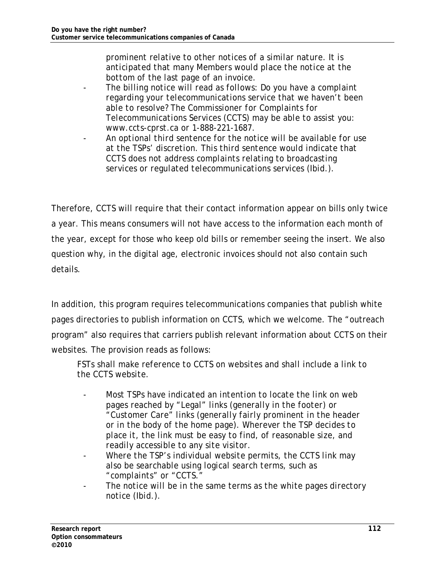*prominent relative to other notices of a similar nature. It is anticipated that many Members would place the notice at the bottom of the last page of an invoice.* 

- *The billing notice will read as follows: Do you have a complaint regarding your telecommunications service that we haven't been able to resolve? The Commissioner for Complaints for Telecommunications Services (CCTS) may be able to assist you: www.ccts-cprst.ca or 1-888-221-1687.*
- *An optional third sentence for the notice will be available for use at the TSPs' discretion. This third sentence would indicate that CCTS does not address complaints relating to broadcasting services or regulated telecommunications services (Ibid.).*

Therefore, CCTS will require that their contact information appear on bills only twice a year. This means consumers will not have access to the information each month of the year, except for those who keep old bills or remember seeing the insert. We also question why, in the digital age, electronic invoices should not also contain such details.

In addition, this program requires telecommunications companies that publish white pages directories to publish information on CCTS, which we welcome. The "outreach program" also requires that carriers publish relevant information about CCTS on their websites. The provision reads as follows:

*FSTs shall make reference to CCTS on websites and shall include a link to the CCTS website.* 

- *Most TSPs have indicated an intention to locate the link on web pages reached by "Legal" links (generally in the footer) or "Customer Care" links (generally fairly prominent in the header or in the body of the home page). Wherever the TSP decides to place it, the link must be easy to find, of reasonable size, and readily accessible to any site visitor.*
- *Where the TSP's individual website permits, the CCTS link may also be searchable using logical search terms, such as "complaints" or "CCTS."*
- The notice will be in the same terms as the white pages directory *notice (Ibid.).*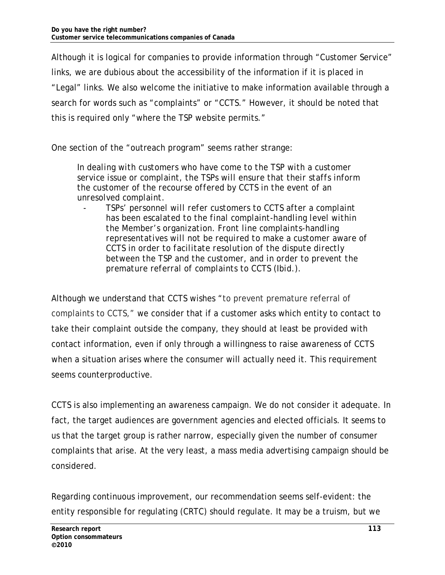Although it is logical for companies to provide information through "Customer Service" links, we are dubious about the accessibility of the information if it is placed in "Legal" links. We also welcome the initiative to make information available through a search for words such as "complaints" or "CCTS." However, it should be noted that this is required only "where the TSP website permits."

One section of the "outreach program" seems rather strange:

*In dealing with customers who have come to the TSP with a customer service issue or complaint, the TSPs will ensure that their staffs inform the customer of the recourse offered by CCTS in the event of an unresolved complaint.* 

- *TSPs' personnel will refer customers to CCTS after a complaint has been escalated to the final complaint-handling level within the Member's organization. Front line complaints-handling representatives will not be required to make a customer aware of CCTS in order to facilitate resolution of the dispute directly between the TSP and the customer, and in order to prevent the premature referral of complaints to CCTS (Ibid.).* 

Although we understand that CCTS wishes "to prevent premature referral of complaints to CCTS," we consider that if a customer asks which entity to contact to take their complaint outside the company, they should at least be provided with contact information, even if only through a willingness to raise awareness of CCTS when a situation arises where the consumer will actually need it. This requirement seems counterproductive.

CCTS is also implementing an awareness campaign. We do not consider it adequate. In fact, the target audiences are government agencies and elected officials. It seems to us that the target group is rather narrow, especially given the number of consumer complaints that arise. At the very least, a mass media advertising campaign should be considered.

Regarding continuous improvement, our recommendation seems self-evident: the entity responsible for regulating (CRTC) should regulate. It may be a truism, but we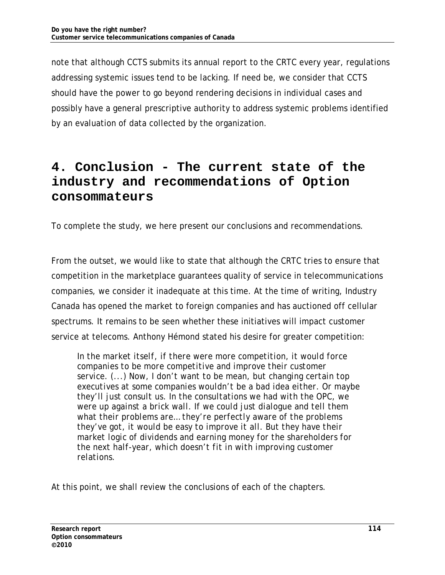note that although CCTS submits its annual report to the CRTC every year, regulations addressing systemic issues tend to be lacking. If need be, we consider that CCTS should have the power to go beyond rendering decisions in individual cases and possibly have a general prescriptive authority to address systemic problems identified by an evaluation of data collected by the organization.

# **4. Conclusion - The current state of the industry and recommendations of Option consommateurs**

To complete the study, we here present our conclusions and recommendations.

From the outset, we would like to state that although the CRTC tries to ensure that competition in the marketplace guarantees quality of service in telecommunications companies, we consider it inadequate at this time. At the time of writing, Industry Canada has opened the market to foreign companies and has auctioned off cellular spectrums. It remains to be seen whether these initiatives will impact customer service at telecoms. Anthony Hémond stated his desire for greater competition:

*In the market itself, if there were more competition, it would force companies to be more competitive and improve their customer service. (...) Now, I don't want to be mean, but changing certain top executives at some companies wouldn't be a bad idea either. Or maybe they'll just consult us. In the consultations we had with the OPC, we were up against a brick wall. If we could just dialogue and tell them what their problems are… they're perfectly aware of the problems they've got, it would be easy to improve it all. But they have their market logic of dividends and earning money for the shareholders for the next half-year, which doesn't fit in with improving customer relations.* 

At this point, we shall review the conclusions of each of the chapters.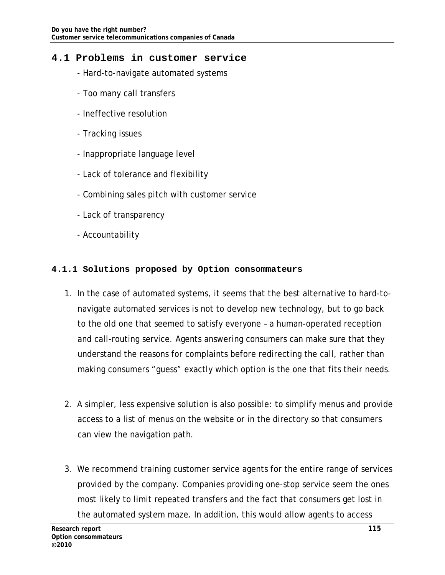### **4.1 Problems in customer service**

- Hard-to-navigate automated systems
- Too many call transfers
- Ineffective resolution
- Tracking issues
- Inappropriate language level
- Lack of tolerance and flexibility
- Combining sales pitch with customer service
- Lack of transparency
- Accountability

#### **4.1.1 Solutions proposed by Option consommateurs**

- 1. In the case of automated systems, it seems that the best alternative to hard-tonavigate automated services is not to develop new technology, but to go back to the old one that seemed to satisfy everyone – a human-operated reception and call-routing service. Agents answering consumers can make sure that they understand the reasons for complaints before redirecting the call, rather than making consumers "guess" exactly which option is the one that fits their needs.
- 2. A simpler, less expensive solution is also possible: to simplify menus and provide access to a list of menus on the website or in the directory so that consumers can view the navigation path.
- 3. We recommend training customer service agents for the entire range of services provided by the company. Companies providing one-stop service seem the ones most likely to limit repeated transfers and the fact that consumers get lost in the automated system maze. In addition, this would allow agents to access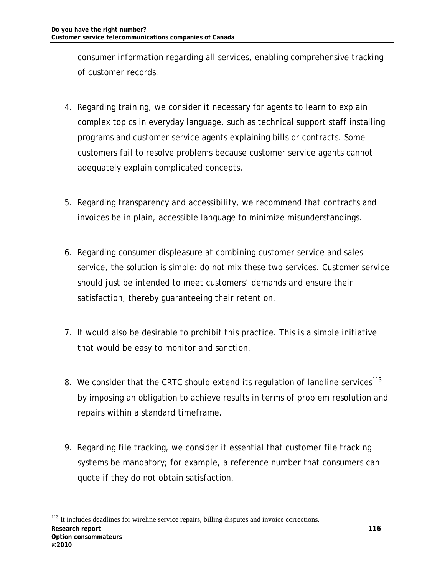consumer information regarding all services, enabling comprehensive tracking of customer records.

- 4. Regarding training, we consider it necessary for agents to learn to explain complex topics in everyday language, such as technical support staff installing programs and customer service agents explaining bills or contracts. Some customers fail to resolve problems because customer service agents cannot adequately explain complicated concepts.
- 5. Regarding transparency and accessibility, we recommend that contracts and invoices be in plain, accessible language to minimize misunderstandings.
- 6. Regarding consumer displeasure at combining customer service and sales service, the solution is simple: do not mix these two services. Customer service should just be intended to meet customers' demands and ensure their satisfaction, thereby guaranteeing their retention.
- 7. It would also be desirable to prohibit this practice. This is a simple initiative that would be easy to monitor and sanction.
- 8. We consider that the CRTC should extend its regulation of landline services<sup>113</sup> by imposing an obligation to achieve results in terms of problem resolution and repairs within a standard timeframe.
- 9. Regarding file tracking, we consider it essential that customer file tracking systems be mandatory; for example, a reference number that consumers can quote if they do not obtain satisfaction.

<sup>-</sup><sup>113</sup> It includes deadlines for wireline service repairs, billing disputes and invoice corrections.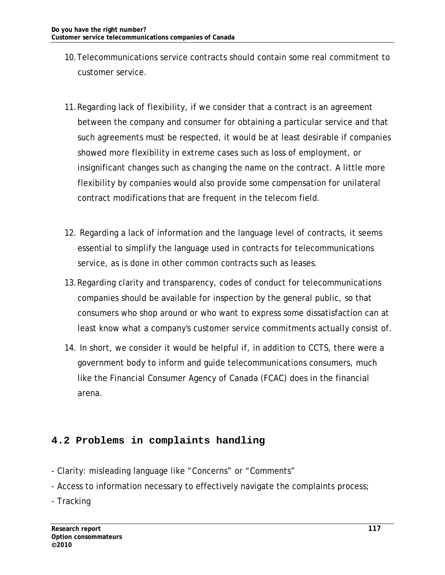- 10.Telecommunications service contracts should contain some real commitment to customer service.
- 11.Regarding lack of flexibility, if we consider that a contract is an agreement between the company and consumer for obtaining a particular service and that such agreements must be respected, it would be at least desirable if companies showed more flexibility in extreme cases such as loss of employment, or insignificant changes such as changing the name on the contract. A little more flexibility by companies would also provide some compensation for unilateral contract modifications that are frequent in the telecom field.
- 12. Regarding a lack of information and the language level of contracts, it seems essential to simplify the language used in contracts for telecommunications service, as is done in other common contracts such as leases.
- 13.Regarding clarity and transparency, codes of conduct for telecommunications companies should be available for inspection by the general public, so that consumers who shop around or who want to express some dissatisfaction can at least know what a company's customer service commitments actually consist of.
- 14. In short, we consider it would be helpful if, in addition to CCTS, there were a government body to inform and guide telecommunications consumers, much like the Financial Consumer Agency of Canada (FCAC) does in the financial arena.

# **4.2 Problems in complaints handling**

- Clarity: misleading language like "Concerns" or "Comments"
- Access to information necessary to effectively navigate the complaints process;
- Tracking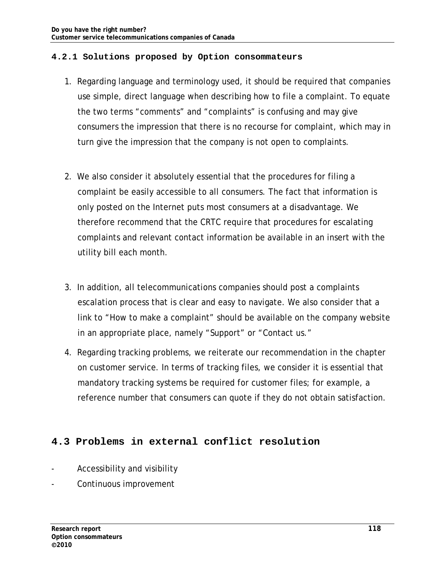#### **4.2.1 Solutions proposed by Option consommateurs**

- 1. Regarding language and terminology used, it should be required that companies use simple, direct language when describing how to file a complaint. To equate the two terms "comments" and "complaints" is confusing and may give consumers the impression that there is no recourse for complaint, which may in turn give the impression that the company is not open to complaints.
- 2. We also consider it absolutely essential that the procedures for filing a complaint be easily accessible to all consumers. The fact that information is only posted on the Internet puts most consumers at a disadvantage. We therefore recommend that the CRTC require that procedures for escalating complaints and relevant contact information be available in an insert with the utility bill each month.
- 3. In addition, all telecommunications companies should post a complaints escalation process that is clear and easy to navigate. We also consider that a link to "How to make a complaint" should be available on the company website in an appropriate place, namely "Support" or "Contact us."
- 4. Regarding tracking problems, we reiterate our recommendation in the chapter on customer service. In terms of tracking files, we consider it is essential that mandatory tracking systems be required for customer files; for example, a reference number that consumers can quote if they do not obtain satisfaction.

## **4.3 Problems in external conflict resolution**

- Accessibility and visibility
- Continuous improvement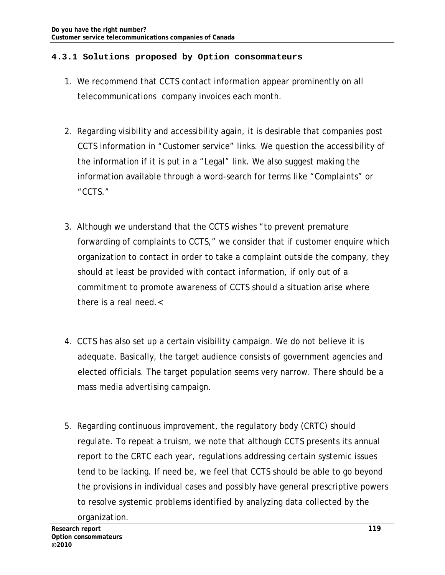#### **4.3.1 Solutions proposed by Option consommateurs**

- 1. We recommend that CCTS contact information appear prominently on all telecommunications company invoices each month.
- 2. Regarding visibility and accessibility again, it is desirable that companies post CCTS information in "Customer service" links. We question the accessibility of the information if it is put in a "Legal" link. We also suggest making the information available through a word-search for terms like "Complaints" or "CCTS."
- 3. Although we understand that the CCTS wishes "to prevent premature forwarding of complaints to CCTS," we consider that if customer enquire which organization to contact in order to take a complaint outside the company, they should at least be provided with contact information, if only out of a commitment to promote awareness of CCTS should a situation arise where there is a real need.<
- 4. CCTS has also set up a certain visibility campaign. We do not believe it is adequate. Basically, the target audience consists of government agencies and elected officials. The target population seems very narrow. There should be a mass media advertising campaign.
- 5. Regarding continuous improvement, the regulatory body (CRTC) should regulate. To repeat a truism, we note that although CCTS presents its annual report to the CRTC each year, regulations addressing certain systemic issues tend to be lacking. If need be, we feel that CCTS should be able to go beyond the provisions in individual cases and possibly have general prescriptive powers to resolve systemic problems identified by analyzing data collected by the organization.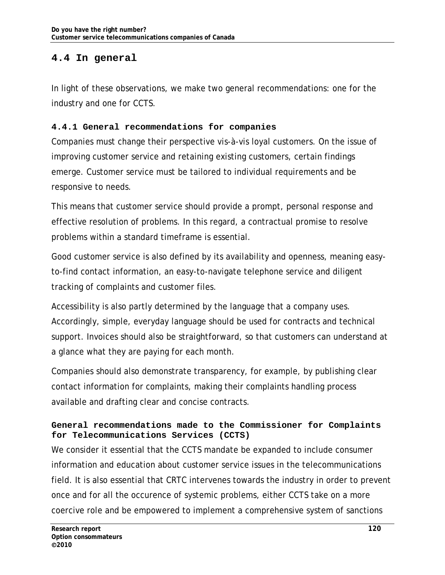# **4.4 In general**

In light of these observations, we make two general recommendations: one for the industry and one for CCTS.

#### **4.4.1 General recommendations for companies**

Companies must change their perspective vis-à-vis loyal customers. On the issue of improving customer service and retaining existing customers, certain findings emerge. Customer service must be tailored to individual requirements and be responsive to needs.

This means that customer service should provide a prompt, personal response and effective resolution of problems. In this regard, a contractual promise to resolve problems within a standard timeframe is essential.

Good customer service is also defined by its availability and openness, meaning easyto-find contact information, an easy-to-navigate telephone service and diligent tracking of complaints and customer files.

Accessibility is also partly determined by the language that a company uses. Accordingly, simple, everyday language should be used for contracts and technical support. Invoices should also be straightforward, so that customers can understand at a glance what they are paying for each month.

Companies should also demonstrate transparency, for example, by publishing clear contact information for complaints, making their complaints handling process available and drafting clear and concise contracts.

### **General recommendations made to the Commissioner for Complaints for Telecommunications Services (CCTS)**

We consider it essential that the CCTS mandate be expanded to include consumer information and education about customer service issues in the telecommunications field. It is also essential that CRTC intervenes towards the industry in order to prevent once and for all the occurence of systemic problems, either CCTS take on a more coercive role and be empowered to implement a comprehensive system of sanctions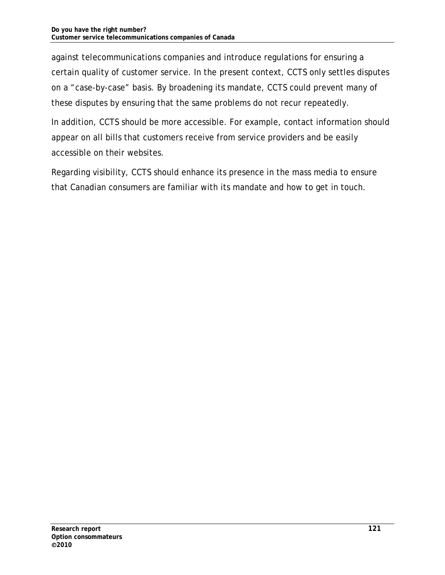against telecommunications companies and introduce regulations for ensuring a certain quality of customer service. In the present context, CCTS only settles disputes on a "case-by-case" basis. By broadening its mandate, CCTS could prevent many of these disputes by ensuring that the same problems do not recur repeatedly.

In addition, CCTS should be more accessible. For example, contact information should appear on all bills that customers receive from service providers and be easily accessible on their websites.

Regarding visibility, CCTS should enhance its presence in the mass media to ensure that Canadian consumers are familiar with its mandate and how to get in touch.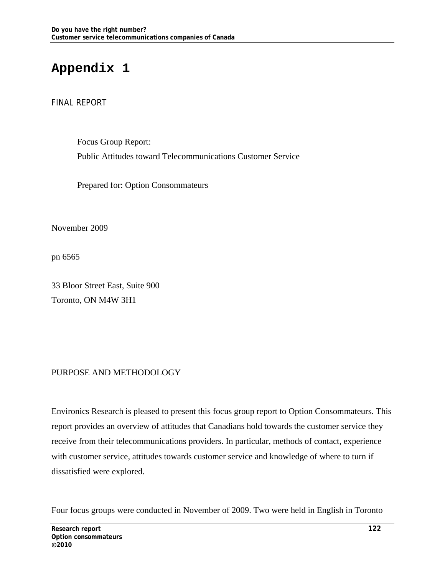# **Appendix 1**

#### FINAL REPORT

Focus Group Report: Public Attitudes toward Telecommunications Customer Service

Prepared for: Option Consommateurs

November 2009

pn 6565

33 Bloor Street East, Suite 900 Toronto, ON M4W 3H1

### PURPOSE AND METHODOLOGY

Environics Research is pleased to present this focus group report to Option Consommateurs. This report provides an overview of attitudes that Canadians hold towards the customer service they receive from their telecommunications providers. In particular, methods of contact, experience with customer service, attitudes towards customer service and knowledge of where to turn if dissatisfied were explored.

Four focus groups were conducted in November of 2009. Two were held in English in Toronto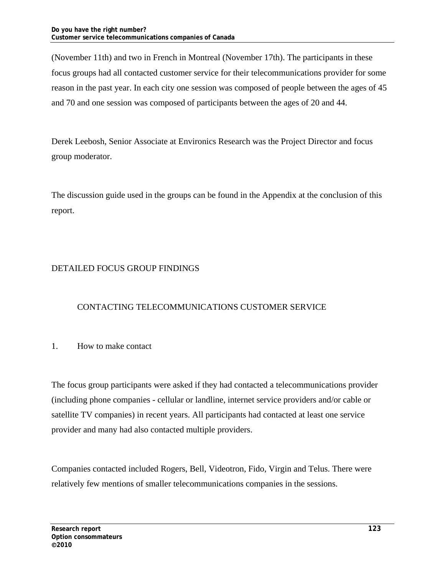(November 11th) and two in French in Montreal (November 17th). The participants in these focus groups had all contacted customer service for their telecommunications provider for some reason in the past year. In each city one session was composed of people between the ages of 45 and 70 and one session was composed of participants between the ages of 20 and 44.

Derek Leebosh, Senior Associate at Environics Research was the Project Director and focus group moderator.

The discussion guide used in the groups can be found in the Appendix at the conclusion of this report.

### DETAILED FOCUS GROUP FINDINGS

### CONTACTING TELECOMMUNICATIONS CUSTOMER SERVICE

#### 1. How to make contact

The focus group participants were asked if they had contacted a telecommunications provider (including phone companies - cellular or landline, internet service providers and/or cable or satellite TV companies) in recent years. All participants had contacted at least one service provider and many had also contacted multiple providers.

Companies contacted included Rogers, Bell, Videotron, Fido, Virgin and Telus. There were relatively few mentions of smaller telecommunications companies in the sessions.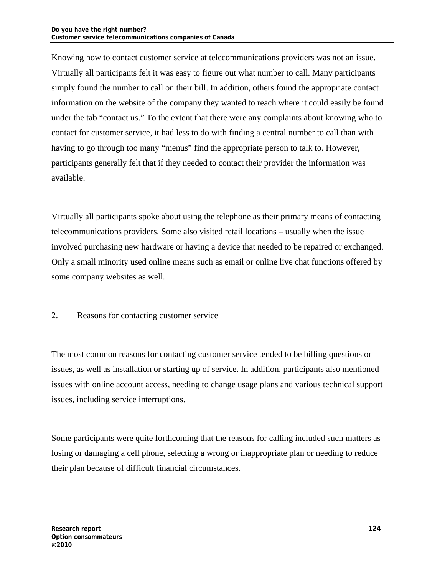Knowing how to contact customer service at telecommunications providers was not an issue. Virtually all participants felt it was easy to figure out what number to call. Many participants simply found the number to call on their bill. In addition, others found the appropriate contact information on the website of the company they wanted to reach where it could easily be found under the tab "contact us." To the extent that there were any complaints about knowing who to contact for customer service, it had less to do with finding a central number to call than with having to go through too many "menus" find the appropriate person to talk to. However, participants generally felt that if they needed to contact their provider the information was available.

Virtually all participants spoke about using the telephone as their primary means of contacting telecommunications providers. Some also visited retail locations – usually when the issue involved purchasing new hardware or having a device that needed to be repaired or exchanged. Only a small minority used online means such as email or online live chat functions offered by some company websites as well.

#### 2. Reasons for contacting customer service

The most common reasons for contacting customer service tended to be billing questions or issues, as well as installation or starting up of service. In addition, participants also mentioned issues with online account access, needing to change usage plans and various technical support issues, including service interruptions.

Some participants were quite forthcoming that the reasons for calling included such matters as losing or damaging a cell phone, selecting a wrong or inappropriate plan or needing to reduce their plan because of difficult financial circumstances.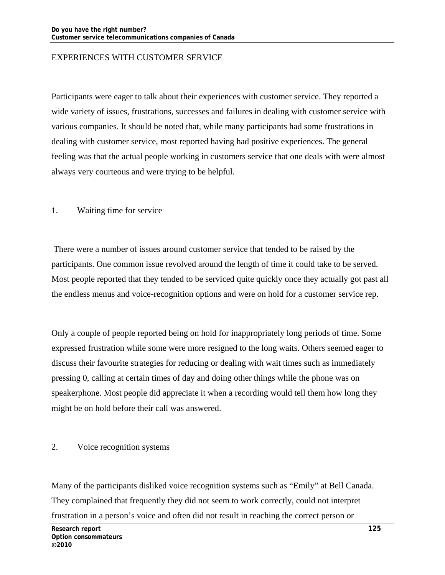#### EXPERIENCES WITH CUSTOMER SERVICE

Participants were eager to talk about their experiences with customer service. They reported a wide variety of issues, frustrations, successes and failures in dealing with customer service with various companies. It should be noted that, while many participants had some frustrations in dealing with customer service, most reported having had positive experiences. The general feeling was that the actual people working in customers service that one deals with were almost always very courteous and were trying to be helpful.

#### 1. Waiting time for service

 There were a number of issues around customer service that tended to be raised by the participants. One common issue revolved around the length of time it could take to be served. Most people reported that they tended to be serviced quite quickly once they actually got past all the endless menus and voice-recognition options and were on hold for a customer service rep.

Only a couple of people reported being on hold for inappropriately long periods of time. Some expressed frustration while some were more resigned to the long waits. Others seemed eager to discuss their favourite strategies for reducing or dealing with wait times such as immediately pressing 0, calling at certain times of day and doing other things while the phone was on speakerphone. Most people did appreciate it when a recording would tell them how long they might be on hold before their call was answered.

#### 2. Voice recognition systems

Many of the participants disliked voice recognition systems such as "Emily" at Bell Canada. They complained that frequently they did not seem to work correctly, could not interpret frustration in a person's voice and often did not result in reaching the correct person or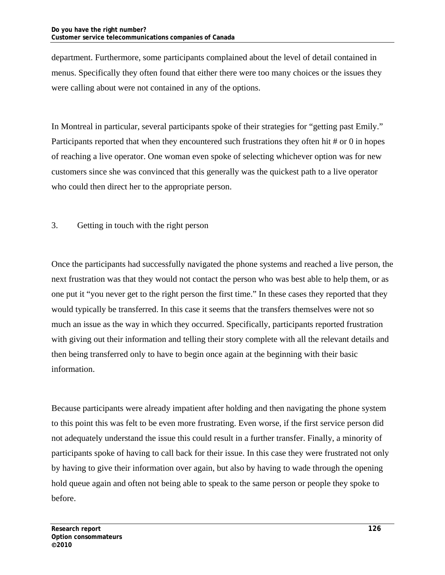department. Furthermore, some participants complained about the level of detail contained in menus. Specifically they often found that either there were too many choices or the issues they were calling about were not contained in any of the options.

In Montreal in particular, several participants spoke of their strategies for "getting past Emily." Participants reported that when they encountered such frustrations they often hit # or 0 in hopes of reaching a live operator. One woman even spoke of selecting whichever option was for new customers since she was convinced that this generally was the quickest path to a live operator who could then direct her to the appropriate person.

3. Getting in touch with the right person

Once the participants had successfully navigated the phone systems and reached a live person, the next frustration was that they would not contact the person who was best able to help them, or as one put it "you never get to the right person the first time." In these cases they reported that they would typically be transferred. In this case it seems that the transfers themselves were not so much an issue as the way in which they occurred. Specifically, participants reported frustration with giving out their information and telling their story complete with all the relevant details and then being transferred only to have to begin once again at the beginning with their basic information.

Because participants were already impatient after holding and then navigating the phone system to this point this was felt to be even more frustrating. Even worse, if the first service person did not adequately understand the issue this could result in a further transfer. Finally, a minority of participants spoke of having to call back for their issue. In this case they were frustrated not only by having to give their information over again, but also by having to wade through the opening hold queue again and often not being able to speak to the same person or people they spoke to before.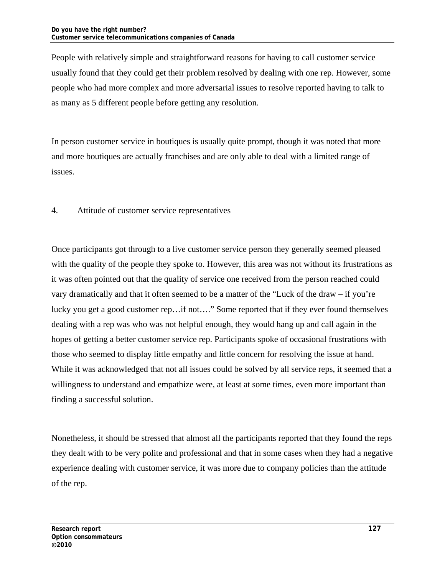People with relatively simple and straightforward reasons for having to call customer service usually found that they could get their problem resolved by dealing with one rep. However, some people who had more complex and more adversarial issues to resolve reported having to talk to as many as 5 different people before getting any resolution.

In person customer service in boutiques is usually quite prompt, though it was noted that more and more boutiques are actually franchises and are only able to deal with a limited range of issues.

4. Attitude of customer service representatives

Once participants got through to a live customer service person they generally seemed pleased with the quality of the people they spoke to. However, this area was not without its frustrations as it was often pointed out that the quality of service one received from the person reached could vary dramatically and that it often seemed to be a matter of the "Luck of the draw – if you're lucky you get a good customer rep…if not…." Some reported that if they ever found themselves dealing with a rep was who was not helpful enough, they would hang up and call again in the hopes of getting a better customer service rep. Participants spoke of occasional frustrations with those who seemed to display little empathy and little concern for resolving the issue at hand. While it was acknowledged that not all issues could be solved by all service reps, it seemed that a willingness to understand and empathize were, at least at some times, even more important than finding a successful solution.

Nonetheless, it should be stressed that almost all the participants reported that they found the reps they dealt with to be very polite and professional and that in some cases when they had a negative experience dealing with customer service, it was more due to company policies than the attitude of the rep.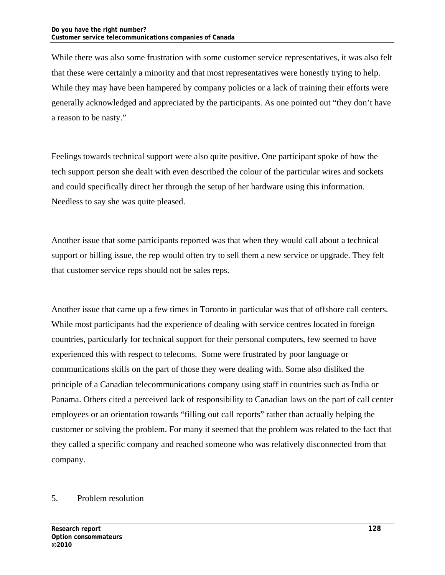While there was also some frustration with some customer service representatives, it was also felt that these were certainly a minority and that most representatives were honestly trying to help. While they may have been hampered by company policies or a lack of training their efforts were generally acknowledged and appreciated by the participants. As one pointed out "they don't have a reason to be nasty."

Feelings towards technical support were also quite positive. One participant spoke of how the tech support person she dealt with even described the colour of the particular wires and sockets and could specifically direct her through the setup of her hardware using this information. Needless to say she was quite pleased.

Another issue that some participants reported was that when they would call about a technical support or billing issue, the rep would often try to sell them a new service or upgrade. They felt that customer service reps should not be sales reps.

Another issue that came up a few times in Toronto in particular was that of offshore call centers. While most participants had the experience of dealing with service centres located in foreign countries, particularly for technical support for their personal computers, few seemed to have experienced this with respect to telecoms. Some were frustrated by poor language or communications skills on the part of those they were dealing with. Some also disliked the principle of a Canadian telecommunications company using staff in countries such as India or Panama. Others cited a perceived lack of responsibility to Canadian laws on the part of call center employees or an orientation towards "filling out call reports" rather than actually helping the customer or solving the problem. For many it seemed that the problem was related to the fact that they called a specific company and reached someone who was relatively disconnected from that company.

#### 5. Problem resolution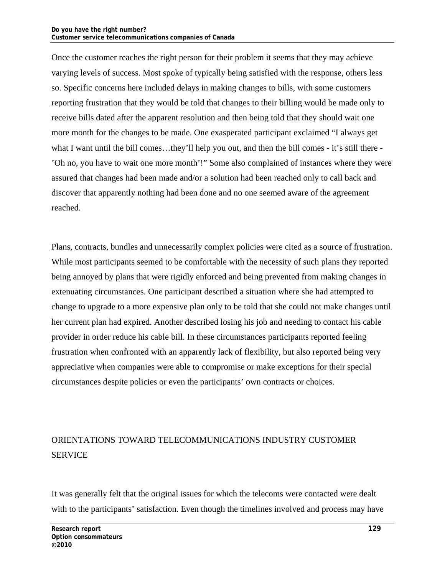Once the customer reaches the right person for their problem it seems that they may achieve varying levels of success. Most spoke of typically being satisfied with the response, others less so. Specific concerns here included delays in making changes to bills, with some customers reporting frustration that they would be told that changes to their billing would be made only to receive bills dated after the apparent resolution and then being told that they should wait one more month for the changes to be made. One exasperated participant exclaimed "I always get what I want until the bill comes...they'll help you out, and then the bill comes - it's still there -'Oh no, you have to wait one more month'!" Some also complained of instances where they were assured that changes had been made and/or a solution had been reached only to call back and discover that apparently nothing had been done and no one seemed aware of the agreement reached.

Plans, contracts, bundles and unnecessarily complex policies were cited as a source of frustration. While most participants seemed to be comfortable with the necessity of such plans they reported being annoyed by plans that were rigidly enforced and being prevented from making changes in extenuating circumstances. One participant described a situation where she had attempted to change to upgrade to a more expensive plan only to be told that she could not make changes until her current plan had expired. Another described losing his job and needing to contact his cable provider in order reduce his cable bill. In these circumstances participants reported feeling frustration when confronted with an apparently lack of flexibility, but also reported being very appreciative when companies were able to compromise or make exceptions for their special circumstances despite policies or even the participants' own contracts or choices.

# ORIENTATIONS TOWARD TELECOMMUNICATIONS INDUSTRY CUSTOMER SERVICE

It was generally felt that the original issues for which the telecoms were contacted were dealt with to the participants' satisfaction. Even though the timelines involved and process may have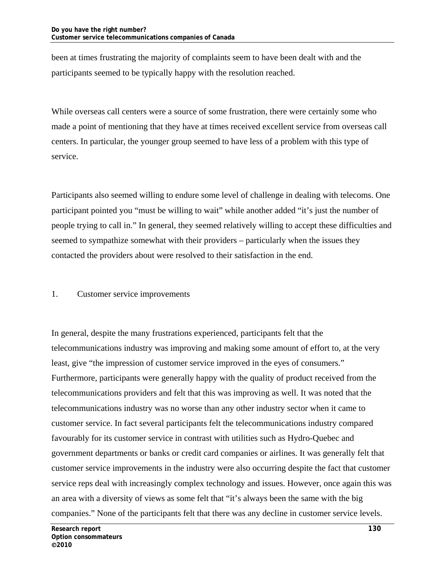been at times frustrating the majority of complaints seem to have been dealt with and the participants seemed to be typically happy with the resolution reached.

While overseas call centers were a source of some frustration, there were certainly some who made a point of mentioning that they have at times received excellent service from overseas call centers. In particular, the younger group seemed to have less of a problem with this type of service.

Participants also seemed willing to endure some level of challenge in dealing with telecoms. One participant pointed you "must be willing to wait" while another added "it's just the number of people trying to call in." In general, they seemed relatively willing to accept these difficulties and seemed to sympathize somewhat with their providers – particularly when the issues they contacted the providers about were resolved to their satisfaction in the end.

#### 1. Customer service improvements

In general, despite the many frustrations experienced, participants felt that the telecommunications industry was improving and making some amount of effort to, at the very least, give "the impression of customer service improved in the eyes of consumers." Furthermore, participants were generally happy with the quality of product received from the telecommunications providers and felt that this was improving as well. It was noted that the telecommunications industry was no worse than any other industry sector when it came to customer service. In fact several participants felt the telecommunications industry compared favourably for its customer service in contrast with utilities such as Hydro-Quebec and government departments or banks or credit card companies or airlines. It was generally felt that customer service improvements in the industry were also occurring despite the fact that customer service reps deal with increasingly complex technology and issues. However, once again this was an area with a diversity of views as some felt that "it's always been the same with the big companies." None of the participants felt that there was any decline in customer service levels.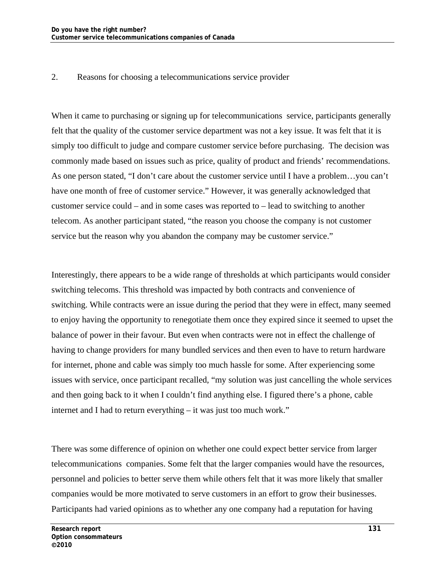#### 2. Reasons for choosing a telecommunications service provider

When it came to purchasing or signing up for telecommunications service, participants generally felt that the quality of the customer service department was not a key issue. It was felt that it is simply too difficult to judge and compare customer service before purchasing. The decision was commonly made based on issues such as price, quality of product and friends' recommendations. As one person stated, "I don't care about the customer service until I have a problem…you can't have one month of free of customer service." However, it was generally acknowledged that customer service could – and in some cases was reported to – lead to switching to another telecom. As another participant stated, "the reason you choose the company is not customer service but the reason why you abandon the company may be customer service."

Interestingly, there appears to be a wide range of thresholds at which participants would consider switching telecoms. This threshold was impacted by both contracts and convenience of switching. While contracts were an issue during the period that they were in effect, many seemed to enjoy having the opportunity to renegotiate them once they expired since it seemed to upset the balance of power in their favour. But even when contracts were not in effect the challenge of having to change providers for many bundled services and then even to have to return hardware for internet, phone and cable was simply too much hassle for some. After experiencing some issues with service, once participant recalled, "my solution was just cancelling the whole services and then going back to it when I couldn't find anything else. I figured there's a phone, cable internet and I had to return everything – it was just too much work."

There was some difference of opinion on whether one could expect better service from larger telecommunications companies. Some felt that the larger companies would have the resources, personnel and policies to better serve them while others felt that it was more likely that smaller companies would be more motivated to serve customers in an effort to grow their businesses. Participants had varied opinions as to whether any one company had a reputation for having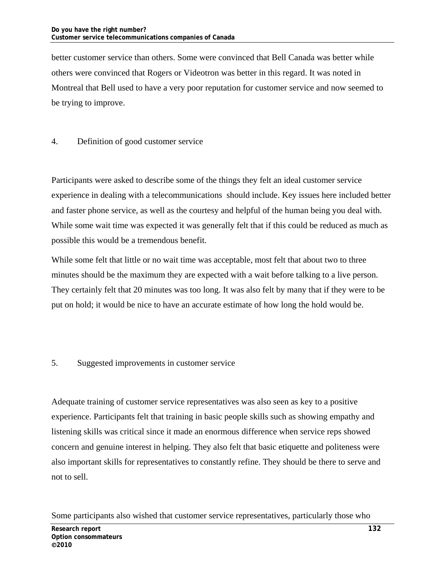better customer service than others. Some were convinced that Bell Canada was better while others were convinced that Rogers or Videotron was better in this regard. It was noted in Montreal that Bell used to have a very poor reputation for customer service and now seemed to be trying to improve.

#### 4. Definition of good customer service

Participants were asked to describe some of the things they felt an ideal customer service experience in dealing with a telecommunications should include. Key issues here included better and faster phone service, as well as the courtesy and helpful of the human being you deal with. While some wait time was expected it was generally felt that if this could be reduced as much as possible this would be a tremendous benefit.

While some felt that little or no wait time was acceptable, most felt that about two to three minutes should be the maximum they are expected with a wait before talking to a live person. They certainly felt that 20 minutes was too long. It was also felt by many that if they were to be put on hold; it would be nice to have an accurate estimate of how long the hold would be.

#### 5. Suggested improvements in customer service

Adequate training of customer service representatives was also seen as key to a positive experience. Participants felt that training in basic people skills such as showing empathy and listening skills was critical since it made an enormous difference when service reps showed concern and genuine interest in helping. They also felt that basic etiquette and politeness were also important skills for representatives to constantly refine. They should be there to serve and not to sell.

Some participants also wished that customer service representatives, particularly those who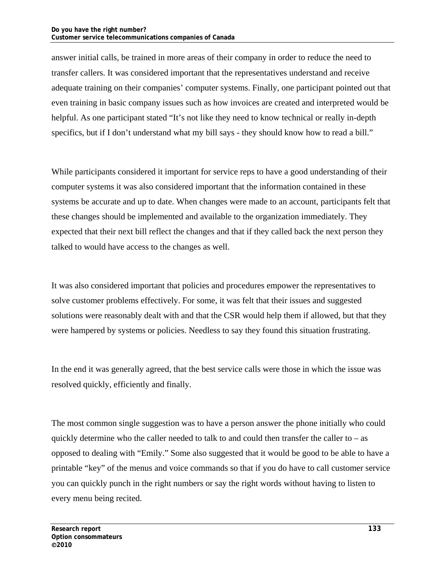answer initial calls, be trained in more areas of their company in order to reduce the need to transfer callers. It was considered important that the representatives understand and receive adequate training on their companies' computer systems. Finally, one participant pointed out that even training in basic company issues such as how invoices are created and interpreted would be helpful. As one participant stated "It's not like they need to know technical or really in-depth specifics, but if I don't understand what my bill says - they should know how to read a bill."

While participants considered it important for service reps to have a good understanding of their computer systems it was also considered important that the information contained in these systems be accurate and up to date. When changes were made to an account, participants felt that these changes should be implemented and available to the organization immediately. They expected that their next bill reflect the changes and that if they called back the next person they talked to would have access to the changes as well.

It was also considered important that policies and procedures empower the representatives to solve customer problems effectively. For some, it was felt that their issues and suggested solutions were reasonably dealt with and that the CSR would help them if allowed, but that they were hampered by systems or policies. Needless to say they found this situation frustrating.

In the end it was generally agreed, that the best service calls were those in which the issue was resolved quickly, efficiently and finally.

The most common single suggestion was to have a person answer the phone initially who could quickly determine who the caller needed to talk to and could then transfer the caller to  $-$  as opposed to dealing with "Emily." Some also suggested that it would be good to be able to have a printable "key" of the menus and voice commands so that if you do have to call customer service you can quickly punch in the right numbers or say the right words without having to listen to every menu being recited.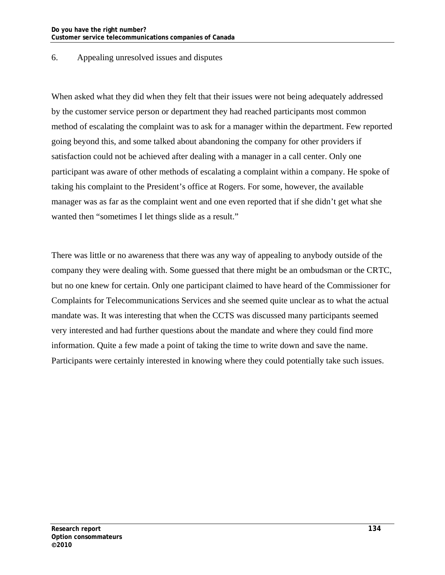#### 6. Appealing unresolved issues and disputes

When asked what they did when they felt that their issues were not being adequately addressed by the customer service person or department they had reached participants most common method of escalating the complaint was to ask for a manager within the department. Few reported going beyond this, and some talked about abandoning the company for other providers if satisfaction could not be achieved after dealing with a manager in a call center. Only one participant was aware of other methods of escalating a complaint within a company. He spoke of taking his complaint to the President's office at Rogers. For some, however, the available manager was as far as the complaint went and one even reported that if she didn't get what she wanted then "sometimes I let things slide as a result."

There was little or no awareness that there was any way of appealing to anybody outside of the company they were dealing with. Some guessed that there might be an ombudsman or the CRTC, but no one knew for certain. Only one participant claimed to have heard of the Commissioner for Complaints for Telecommunications Services and she seemed quite unclear as to what the actual mandate was. It was interesting that when the CCTS was discussed many participants seemed very interested and had further questions about the mandate and where they could find more information. Quite a few made a point of taking the time to write down and save the name. Participants were certainly interested in knowing where they could potentially take such issues.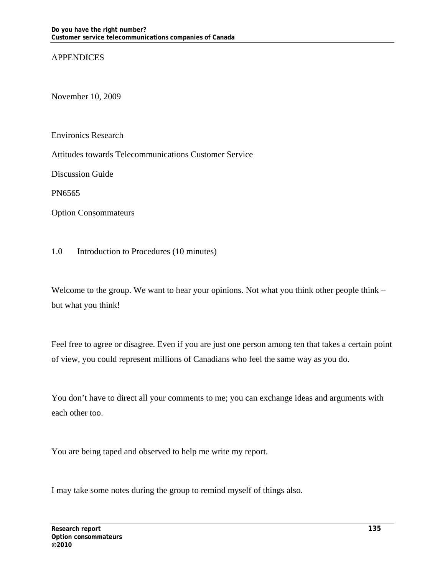#### **APPENDICES**

November 10, 2009

Environics Research

Attitudes towards Telecommunications Customer Service

Discussion Guide

PN6565

Option Consommateurs

1.0 Introduction to Procedures (10 minutes)

Welcome to the group. We want to hear your opinions. Not what you think other people think – but what you think!

Feel free to agree or disagree. Even if you are just one person among ten that takes a certain point of view, you could represent millions of Canadians who feel the same way as you do.

You don't have to direct all your comments to me; you can exchange ideas and arguments with each other too.

You are being taped and observed to help me write my report.

I may take some notes during the group to remind myself of things also.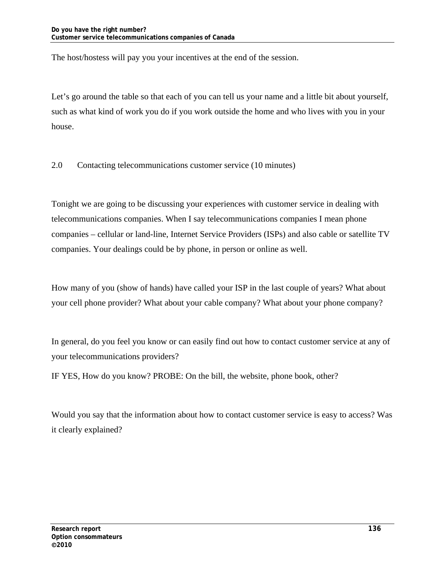The host/hostess will pay you your incentives at the end of the session.

Let's go around the table so that each of you can tell us your name and a little bit about yourself, such as what kind of work you do if you work outside the home and who lives with you in your house.

2.0 Contacting telecommunications customer service (10 minutes)

Tonight we are going to be discussing your experiences with customer service in dealing with telecommunications companies. When I say telecommunications companies I mean phone companies – cellular or land-line, Internet Service Providers (ISPs) and also cable or satellite TV companies. Your dealings could be by phone, in person or online as well.

How many of you (show of hands) have called your ISP in the last couple of years? What about your cell phone provider? What about your cable company? What about your phone company?

In general, do you feel you know or can easily find out how to contact customer service at any of your telecommunications providers?

IF YES, How do you know? PROBE: On the bill, the website, phone book, other?

Would you say that the information about how to contact customer service is easy to access? Was it clearly explained?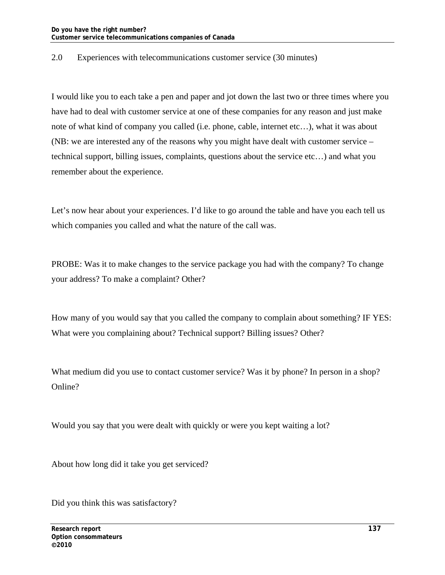#### 2.0 Experiences with telecommunications customer service (30 minutes)

I would like you to each take a pen and paper and jot down the last two or three times where you have had to deal with customer service at one of these companies for any reason and just make note of what kind of company you called (i.e. phone, cable, internet etc…), what it was about (NB: we are interested any of the reasons why you might have dealt with customer service – technical support, billing issues, complaints, questions about the service etc…) and what you remember about the experience.

Let's now hear about your experiences. I'd like to go around the table and have you each tell us which companies you called and what the nature of the call was.

PROBE: Was it to make changes to the service package you had with the company? To change your address? To make a complaint? Other?

How many of you would say that you called the company to complain about something? IF YES: What were you complaining about? Technical support? Billing issues? Other?

What medium did you use to contact customer service? Was it by phone? In person in a shop? Online?

Would you say that you were dealt with quickly or were you kept waiting a lot?

About how long did it take you get serviced?

Did you think this was satisfactory?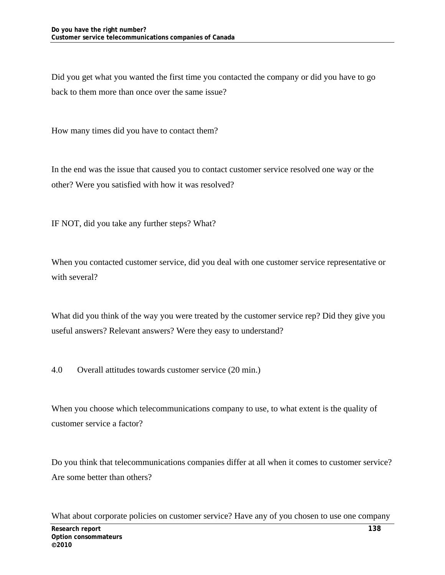Did you get what you wanted the first time you contacted the company or did you have to go back to them more than once over the same issue?

How many times did you have to contact them?

In the end was the issue that caused you to contact customer service resolved one way or the other? Were you satisfied with how it was resolved?

IF NOT, did you take any further steps? What?

When you contacted customer service, did you deal with one customer service representative or with several?

What did you think of the way you were treated by the customer service rep? Did they give you useful answers? Relevant answers? Were they easy to understand?

4.0 Overall attitudes towards customer service (20 min.)

When you choose which telecommunications company to use, to what extent is the quality of customer service a factor?

Do you think that telecommunications companies differ at all when it comes to customer service? Are some better than others?

What about corporate policies on customer service? Have any of you chosen to use one company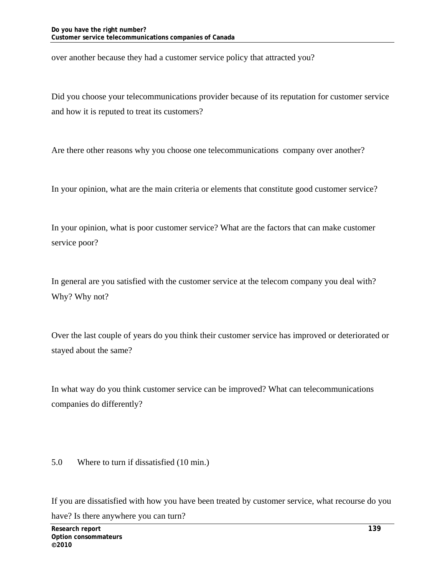over another because they had a customer service policy that attracted you?

Did you choose your telecommunications provider because of its reputation for customer service and how it is reputed to treat its customers?

Are there other reasons why you choose one telecommunications company over another?

In your opinion, what are the main criteria or elements that constitute good customer service?

In your opinion, what is poor customer service? What are the factors that can make customer service poor?

In general are you satisfied with the customer service at the telecom company you deal with? Why? Why not?

Over the last couple of years do you think their customer service has improved or deteriorated or stayed about the same?

In what way do you think customer service can be improved? What can telecommunications companies do differently?

5.0 Where to turn if dissatisfied (10 min.)

If you are dissatisfied with how you have been treated by customer service, what recourse do you have? Is there anywhere you can turn?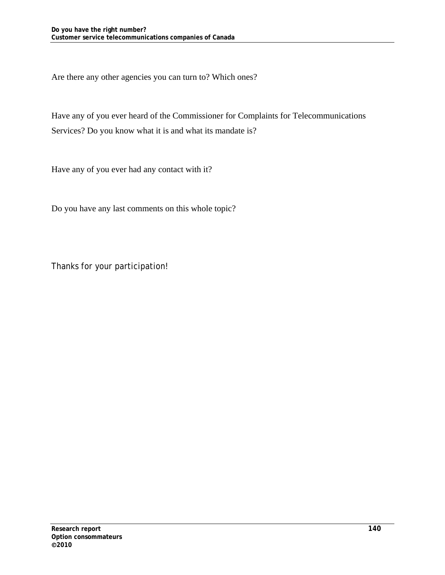Are there any other agencies you can turn to? Which ones?

Have any of you ever heard of the Commissioner for Complaints for Telecommunications Services? Do you know what it is and what its mandate is?

Have any of you ever had any contact with it?

Do you have any last comments on this whole topic?

Thanks for your participation!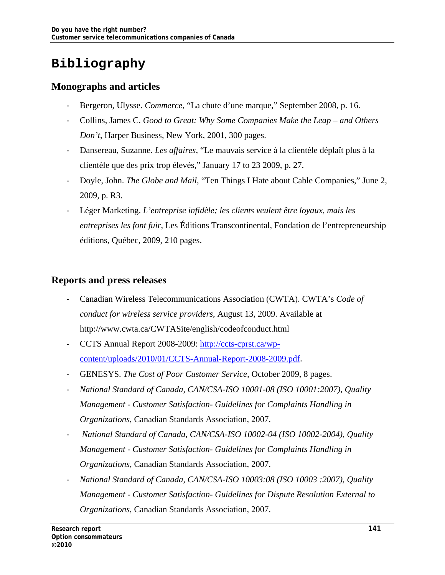# **Bibliography**

## **Monographs and articles**

- Bergeron, Ulysse. *Commerce*, "La chute d'une marque," September 2008, p. 16.
- Collins, James C. *Good to Great: Why Some Companies Make the Leap and Others Don't*, Harper Business, New York, 2001, 300 pages.
- Dansereau, Suzanne. *Les affaires*, "Le mauvais service à la clientèle déplaît plus à la clientèle que des prix trop élevés," January 17 to 23 2009, p. 27.
- Doyle, John. *The Globe and Mail*, "Ten Things I Hate about Cable Companies," June 2, 2009, p. R3.
- Léger Marketing. *L'entreprise infidèle; les clients veulent être loyaux, mais les entreprises les font fuir*, Les Éditions Transcontinental, Fondation de l'entrepreneurship éditions, Québec, 2009, 210 pages.

### **Reports and press releases**

- Canadian Wireless Telecommunications Association (CWTA). CWTA's *Code of conduct for wireless service providers*, August 13, 2009. Available at http://www.cwta.ca/CWTASite/english/codeofconduct.html
- CCTS Annual Report 2008-2009: http://ccts-cprst.ca/wpcontent/uploads/2010/01/CCTS-Annual-Report-2008-2009.pdf.
- GENESYS. *The Cost of Poor Customer Service*, October 2009, 8 pages.
- *National Standard of Canada, CAN/CSA-ISO 10001-08 (ISO 10001:2007), Quality Management - Customer Satisfaction- Guidelines for Complaints Handling in Organizations*, Canadian Standards Association, 2007.
- - *National Standard of Canada, CAN/CSA-ISO 10002-04 (ISO 10002-2004), Quality Management - Customer Satisfaction- Guidelines for Complaints Handling in Organizations*, Canadian Standards Association, 2007.
- *National Standard of Canada, CAN/CSA-ISO 10003:08 (ISO 10003 :2007), Quality Management - Customer Satisfaction- Guidelines for Dispute Resolution External to Organizations*, Canadian Standards Association, 2007.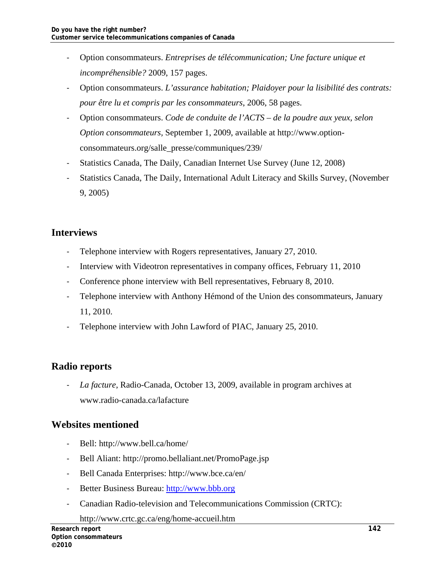- Option consommateurs. *Entreprises de télécommunication; Une facture unique et incompréhensible?* 2009, 157 pages.
- Option consommateurs. *L'assurance habitation; Plaidoyer pour la lisibilité des contrats: pour être lu et compris par les consommateurs*, 2006, 58 pages.
- Option consommateurs. *Code de conduite de l'ACTS de la poudre aux yeux, selon Option consommateurs,* September 1, 2009, available at http://www.optionconsommateurs.org/salle\_presse/communiques/239/
- Statistics Canada, The Daily, Canadian Internet Use Survey (June 12, 2008)
- Statistics Canada, The Daily, International Adult Literacy and Skills Survey, (November 9, 2005)

# **Interviews**

- Telephone interview with Rogers representatives, January 27, 2010.
- Interview with Videotron representatives in company offices, February 11, 2010
- Conference phone interview with Bell representatives, February 8, 2010.
- Telephone interview with Anthony Hémond of the Union des consommateurs, January 11, 2010.
- Telephone interview with John Lawford of PIAC, January 25, 2010.

# **Radio reports**

- *La facture*, Radio-Canada, October 13, 2009, available in program archives at www.radio-canada.ca/lafacture

# **Websites mentioned**

- Bell: http://www.bell.ca/home/
- Bell Aliant: http://promo.bellaliant.net/PromoPage.jsp
- Bell Canada Enterprises: http://www.bce.ca/en/
- Better Business Bureau: http://www.bbb.org
- Canadian Radio-television and Telecommunications Commission (CRTC):

http://www.crtc.gc.ca/eng/home-accueil.htm